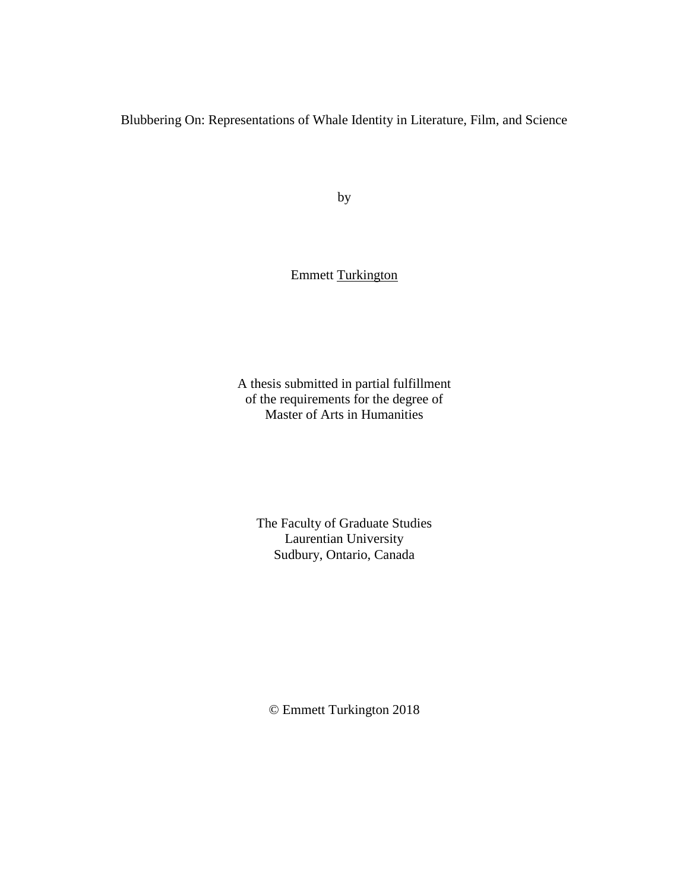Blubbering On: Representations of Whale Identity in Literature, Film, and Science

by

# Emmett Turkington

A thesis submitted in partial fulfillment of the requirements for the degree of Master of Arts in Humanities

The Faculty of Graduate Studies Laurentian University Sudbury, Ontario, Canada

© Emmett Turkington 2018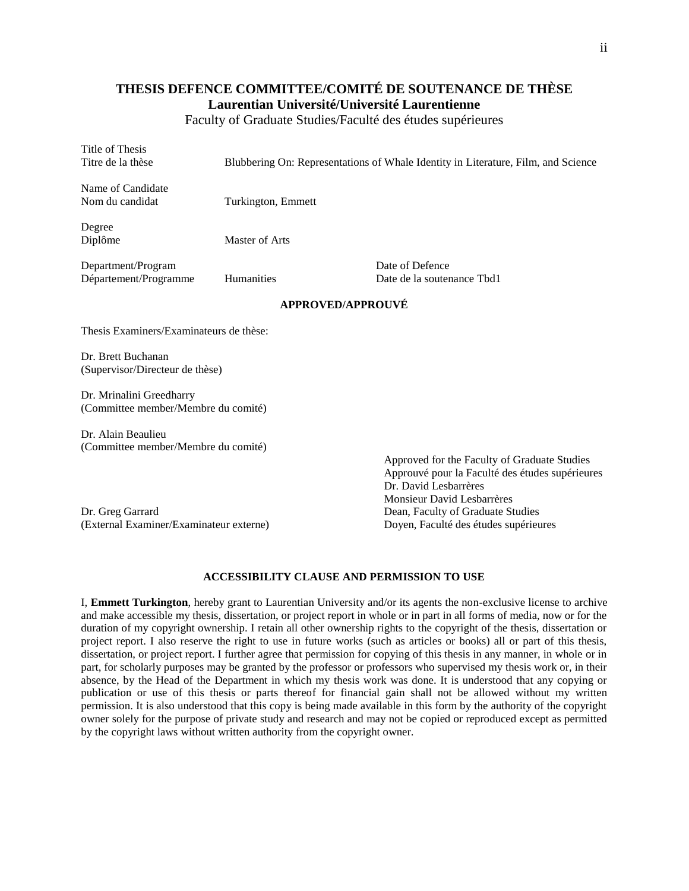## **THESIS DEFENCE COMMITTEE/COMITÉ DE SOUTENANCE DE THÈSE Laurentian Université/Université Laurentienne**

Faculty of Graduate Studies/Faculté des études supérieures

Title of Thesis Titre de la thèse Blubbering On: Representations of Whale Identity in Literature, Film, and Science Name of Candidate Nom du candidat Turkington, Emmett Degree Diplôme Master of Arts Department/Program Date of Defence Département/Programme Humanities Date de la soutenance Tbd1 **APPROVED/APPROUVÉ** Thesis Examiners/Examinateurs de thèse: Dr. Brett Buchanan (Supervisor/Directeur de thèse) Dr. Mrinalini Greedharry (Committee member/Membre du comité)

Dr. Alain Beaulieu (Committee member/Membre du comité)

Dr. Greg Garrard Dean, Faculty of Graduate Studies (External Examiner/Examinateur externe) Doyen, Faculté des études supérieures

Approved for the Faculty of Graduate Studies Approuvé pour la Faculté des études supérieures Dr. David Lesbarrères Monsieur David Lesbarrères

#### **ACCESSIBILITY CLAUSE AND PERMISSION TO USE**

I, **Emmett Turkington**, hereby grant to Laurentian University and/or its agents the non-exclusive license to archive and make accessible my thesis, dissertation, or project report in whole or in part in all forms of media, now or for the duration of my copyright ownership. I retain all other ownership rights to the copyright of the thesis, dissertation or project report. I also reserve the right to use in future works (such as articles or books) all or part of this thesis, dissertation, or project report. I further agree that permission for copying of this thesis in any manner, in whole or in part, for scholarly purposes may be granted by the professor or professors who supervised my thesis work or, in their absence, by the Head of the Department in which my thesis work was done. It is understood that any copying or publication or use of this thesis or parts thereof for financial gain shall not be allowed without my written permission. It is also understood that this copy is being made available in this form by the authority of the copyright owner solely for the purpose of private study and research and may not be copied or reproduced except as permitted by the copyright laws without written authority from the copyright owner.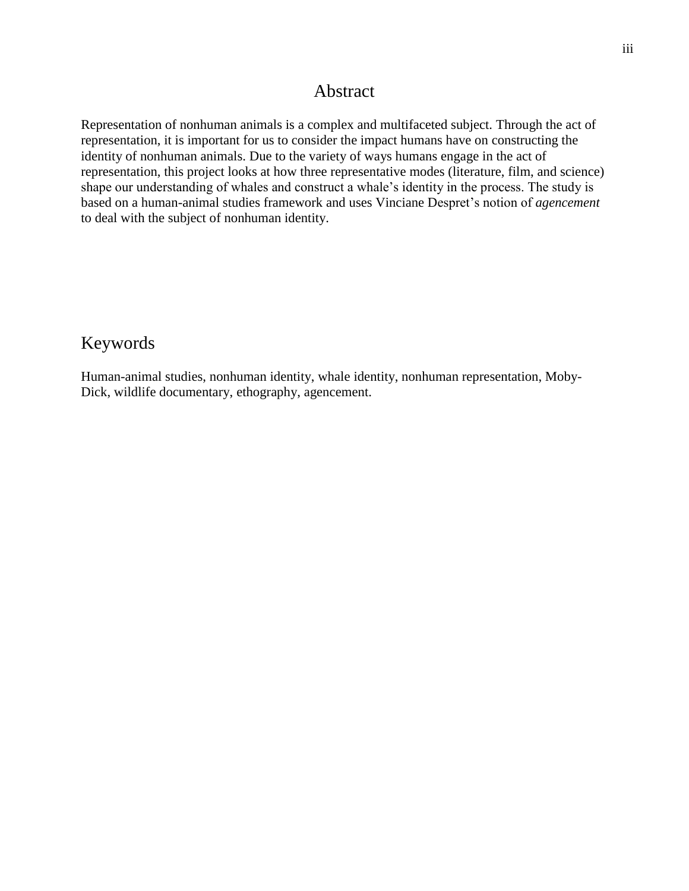# Abstract

<span id="page-2-0"></span>Representation of nonhuman animals is a complex and multifaceted subject. Through the act of representation, it is important for us to consider the impact humans have on constructing the identity of nonhuman animals. Due to the variety of ways humans engage in the act of representation, this project looks at how three representative modes (literature, film, and science) shape our understanding of whales and construct a whale's identity in the process. The study is based on a human-animal studies framework and uses Vinciane Despret's notion of *agencement* to deal with the subject of nonhuman identity.

# <span id="page-2-1"></span>Keywords

Human-animal studies, nonhuman identity, whale identity, nonhuman representation, Moby-Dick, wildlife documentary, ethography, agencement.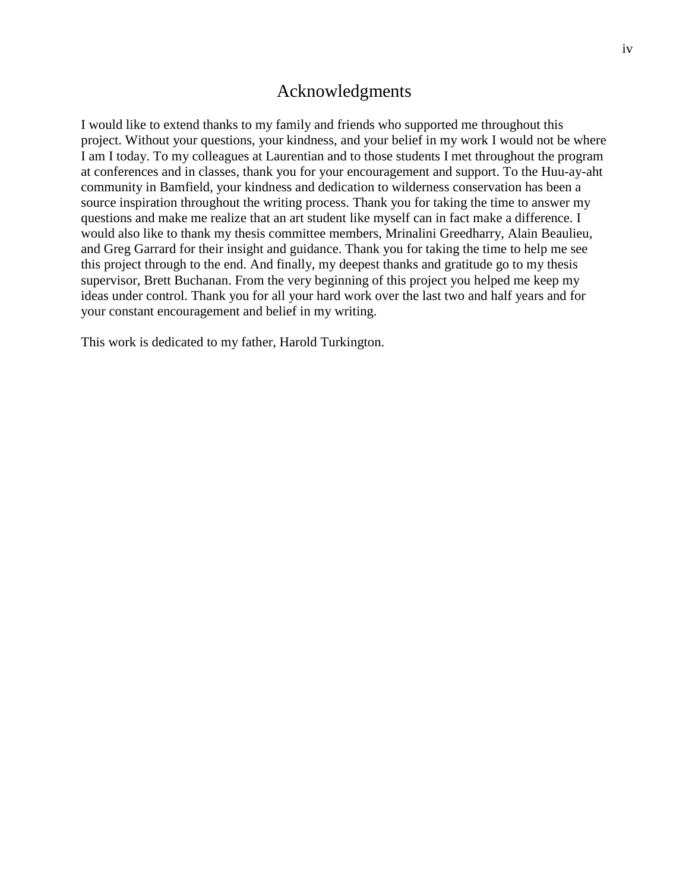# Acknowledgments

<span id="page-3-0"></span>I would like to extend thanks to my family and friends who supported me throughout this project. Without your questions, your kindness, and your belief in my work I would not be where I am I today. To my colleagues at Laurentian and to those students I met throughout the program at conferences and in classes, thank you for your encouragement and support. To the Huu-ay-aht community in Bamfield, your kindness and dedication to wilderness conservation has been a source inspiration throughout the writing process. Thank you for taking the time to answer my questions and make me realize that an art student like myself can in fact make a difference. I would also like to thank my thesis committee members, Mrinalini Greedharry, Alain Beaulieu, and Greg Garrard for their insight and guidance. Thank you for taking the time to help me see this project through to the end. And finally, my deepest thanks and gratitude go to my thesis supervisor, Brett Buchanan. From the very beginning of this project you helped me keep my ideas under control. Thank you for all your hard work over the last two and half years and for your constant encouragement and belief in my writing.

This work is dedicated to my father, Harold Turkington.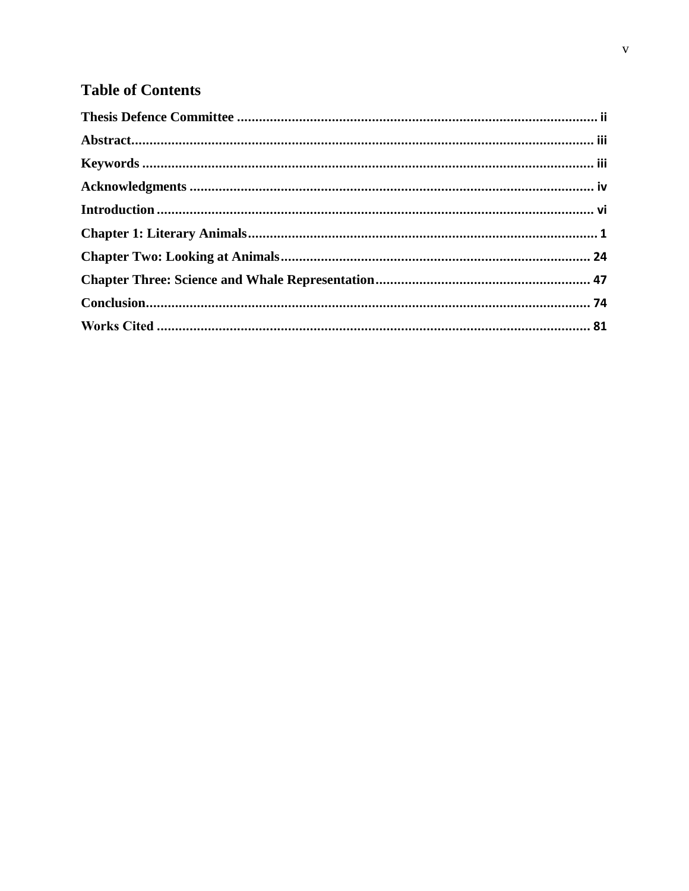# **Table of Contents**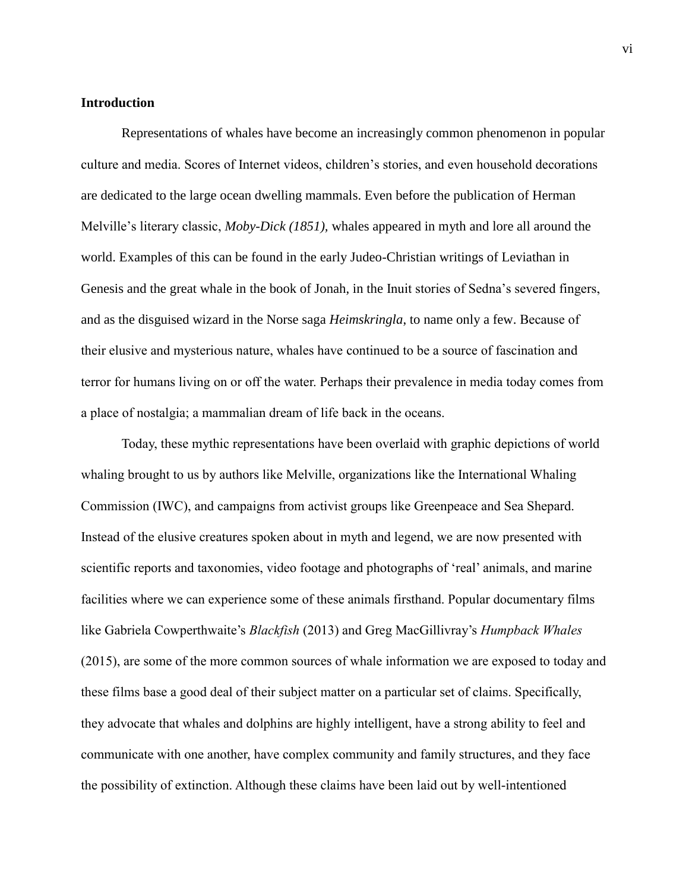### <span id="page-5-0"></span>**Introduction**

Representations of whales have become an increasingly common phenomenon in popular culture and media. Scores of Internet videos, children's stories, and even household decorations are dedicated to the large ocean dwelling mammals. Even before the publication of Herman Melville's literary classic, *Moby-Dick (1851),* whales appeared in myth and lore all around the world. Examples of this can be found in the early Judeo-Christian writings of Leviathan in Genesis and the great whale in the book of Jonah, in the Inuit stories of Sedna's severed fingers, and as the disguised wizard in the Norse saga *Heimskringla*, to name only a few. Because of their elusive and mysterious nature, whales have continued to be a source of fascination and terror for humans living on or off the water. Perhaps their prevalence in media today comes from a place of nostalgia; a mammalian dream of life back in the oceans.

Today, these mythic representations have been overlaid with graphic depictions of world whaling brought to us by authors like Melville, organizations like the International Whaling Commission (IWC), and campaigns from activist groups like Greenpeace and Sea Shepard. Instead of the elusive creatures spoken about in myth and legend, we are now presented with scientific reports and taxonomies, video footage and photographs of 'real' animals, and marine facilities where we can experience some of these animals firsthand. Popular documentary films like Gabriela Cowperthwaite's *Blackfish* (2013) and Greg MacGillivray's *Humpback Whales* (2015), are some of the more common sources of whale information we are exposed to today and these films base a good deal of their subject matter on a particular set of claims. Specifically, they advocate that whales and dolphins are highly intelligent, have a strong ability to feel and communicate with one another, have complex community and family structures, and they face the possibility of extinction. Although these claims have been laid out by well-intentioned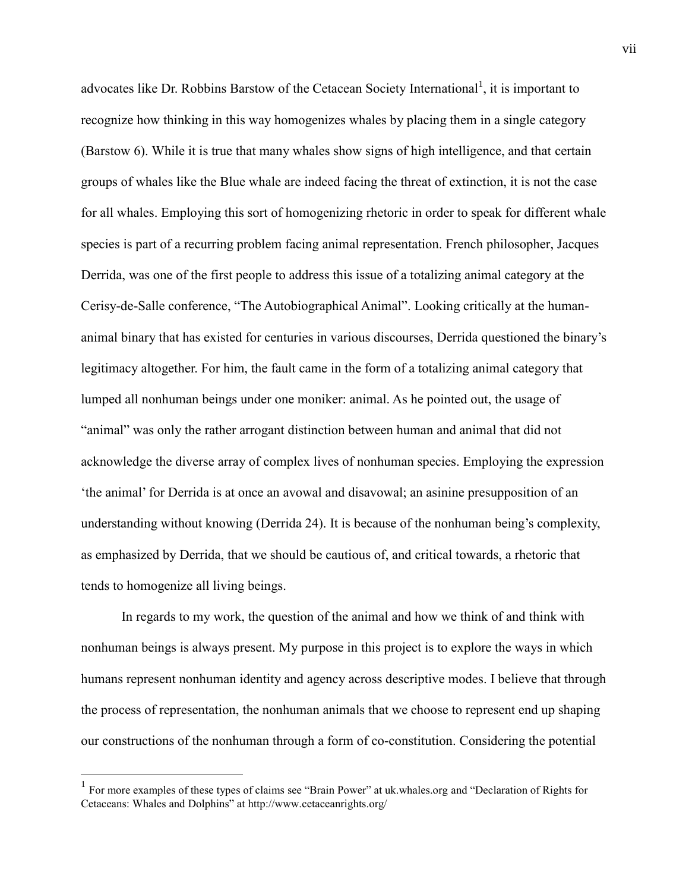advocates like Dr. Robbins Barstow of the Cetacean Society International<sup>1</sup>, it is important to recognize how thinking in this way homogenizes whales by placing them in a single category (Barstow 6). While it is true that many whales show signs of high intelligence, and that certain groups of whales like the Blue whale are indeed facing the threat of extinction, it is not the case for all whales. Employing this sort of homogenizing rhetoric in order to speak for different whale species is part of a recurring problem facing animal representation. French philosopher, Jacques Derrida, was one of the first people to address this issue of a totalizing animal category at the Cerisy-de-Salle conference, "The Autobiographical Animal". Looking critically at the humananimal binary that has existed for centuries in various discourses, Derrida questioned the binary's legitimacy altogether. For him, the fault came in the form of a totalizing animal category that lumped all nonhuman beings under one moniker: animal. As he pointed out, the usage of "animal" was only the rather arrogant distinction between human and animal that did not acknowledge the diverse array of complex lives of nonhuman species. Employing the expression 'the animal' for Derrida is at once an avowal and disavowal; an asinine presupposition of an understanding without knowing (Derrida 24). It is because of the nonhuman being's complexity, as emphasized by Derrida, that we should be cautious of, and critical towards, a rhetoric that tends to homogenize all living beings.

In regards to my work, the question of the animal and how we think of and think with nonhuman beings is always present. My purpose in this project is to explore the ways in which humans represent nonhuman identity and agency across descriptive modes. I believe that through the process of representation, the nonhuman animals that we choose to represent end up shaping our constructions of the nonhuman through a form of co-constitution. Considering the potential

 $\overline{a}$ 

<sup>&</sup>lt;sup>1</sup> For more examples of these types of claims see "Brain Power" at uk.whales.org and "Declaration of Rights for Cetaceans: Whales and Dolphins" at http://www.cetaceanrights.org/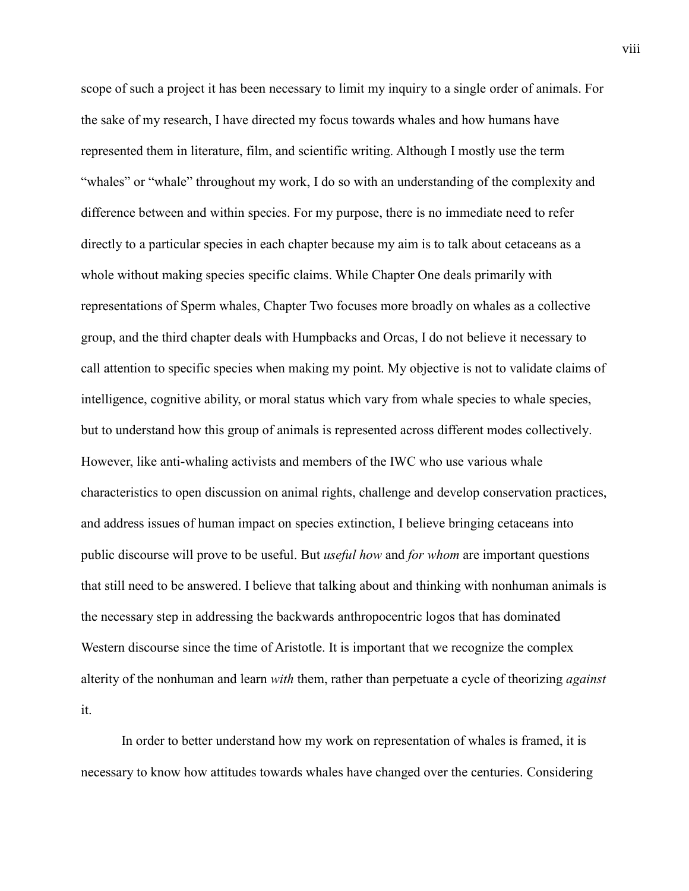scope of such a project it has been necessary to limit my inquiry to a single order of animals. For the sake of my research, I have directed my focus towards whales and how humans have represented them in literature, film, and scientific writing. Although I mostly use the term "whales" or "whale" throughout my work, I do so with an understanding of the complexity and difference between and within species. For my purpose, there is no immediate need to refer directly to a particular species in each chapter because my aim is to talk about cetaceans as a whole without making species specific claims. While Chapter One deals primarily with representations of Sperm whales, Chapter Two focuses more broadly on whales as a collective group, and the third chapter deals with Humpbacks and Orcas, I do not believe it necessary to call attention to specific species when making my point. My objective is not to validate claims of intelligence, cognitive ability, or moral status which vary from whale species to whale species, but to understand how this group of animals is represented across different modes collectively. However, like anti-whaling activists and members of the IWC who use various whale characteristics to open discussion on animal rights, challenge and develop conservation practices, and address issues of human impact on species extinction, I believe bringing cetaceans into public discourse will prove to be useful. But *useful how* and *for whom* are important questions that still need to be answered. I believe that talking about and thinking with nonhuman animals is the necessary step in addressing the backwards anthropocentric logos that has dominated Western discourse since the time of Aristotle. It is important that we recognize the complex alterity of the nonhuman and learn *with* them, rather than perpetuate a cycle of theorizing *against* it.

In order to better understand how my work on representation of whales is framed, it is necessary to know how attitudes towards whales have changed over the centuries. Considering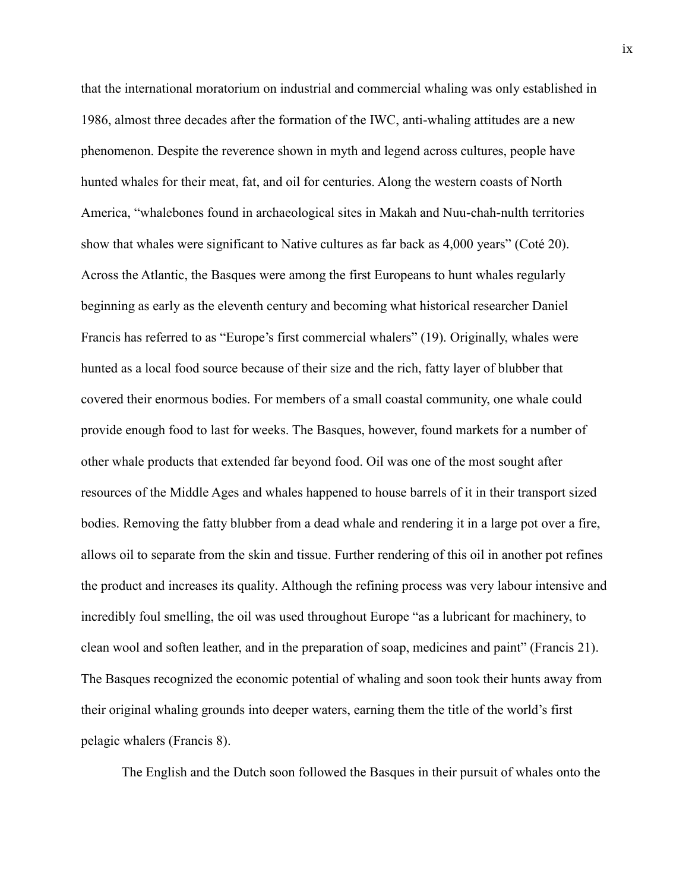that the international moratorium on industrial and commercial whaling was only established in 1986, almost three decades after the formation of the IWC, anti-whaling attitudes are a new phenomenon. Despite the reverence shown in myth and legend across cultures, people have hunted whales for their meat, fat, and oil for centuries. Along the western coasts of North America, "whalebones found in archaeological sites in Makah and Nuu-chah-nulth territories show that whales were significant to Native cultures as far back as 4,000 years" (Coté 20). Across the Atlantic, the Basques were among the first Europeans to hunt whales regularly beginning as early as the eleventh century and becoming what historical researcher Daniel Francis has referred to as "Europe's first commercial whalers" (19). Originally, whales were hunted as a local food source because of their size and the rich, fatty layer of blubber that covered their enormous bodies. For members of a small coastal community, one whale could provide enough food to last for weeks. The Basques, however, found markets for a number of other whale products that extended far beyond food. Oil was one of the most sought after resources of the Middle Ages and whales happened to house barrels of it in their transport sized bodies. Removing the fatty blubber from a dead whale and rendering it in a large pot over a fire, allows oil to separate from the skin and tissue. Further rendering of this oil in another pot refines the product and increases its quality. Although the refining process was very labour intensive and incredibly foul smelling, the oil was used throughout Europe "as a lubricant for machinery, to clean wool and soften leather, and in the preparation of soap, medicines and paint" (Francis 21). The Basques recognized the economic potential of whaling and soon took their hunts away from their original whaling grounds into deeper waters, earning them the title of the world's first pelagic whalers (Francis 8).

The English and the Dutch soon followed the Basques in their pursuit of whales onto the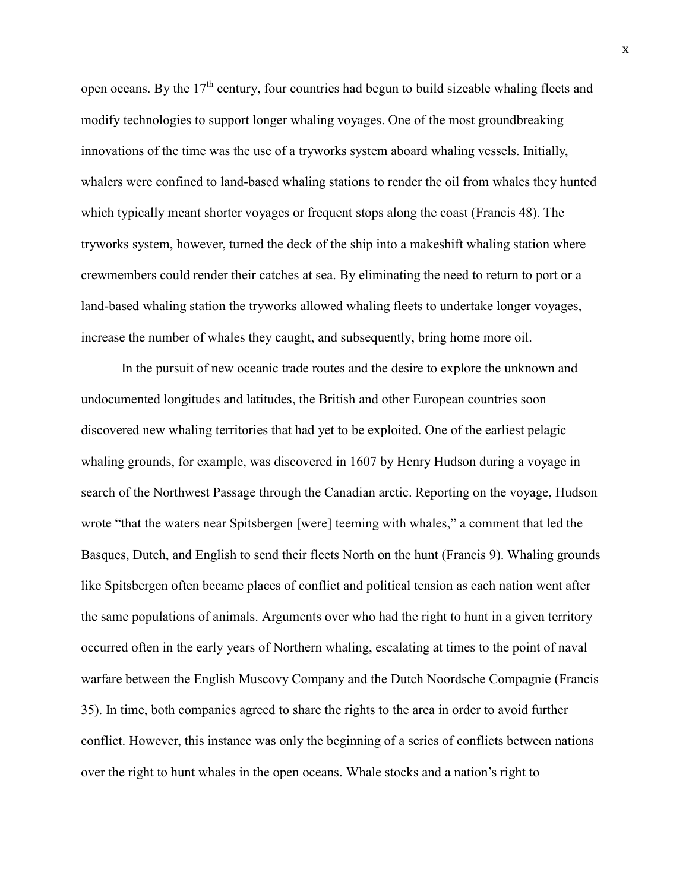open oceans. By the  $17<sup>th</sup>$  century, four countries had begun to build sizeable whaling fleets and modify technologies to support longer whaling voyages. One of the most groundbreaking innovations of the time was the use of a tryworks system aboard whaling vessels. Initially, whalers were confined to land-based whaling stations to render the oil from whales they hunted which typically meant shorter voyages or frequent stops along the coast (Francis 48). The tryworks system, however, turned the deck of the ship into a makeshift whaling station where crewmembers could render their catches at sea. By eliminating the need to return to port or a land-based whaling station the tryworks allowed whaling fleets to undertake longer voyages, increase the number of whales they caught, and subsequently, bring home more oil.

In the pursuit of new oceanic trade routes and the desire to explore the unknown and undocumented longitudes and latitudes, the British and other European countries soon discovered new whaling territories that had yet to be exploited. One of the earliest pelagic whaling grounds, for example, was discovered in 1607 by Henry Hudson during a voyage in search of the Northwest Passage through the Canadian arctic. Reporting on the voyage, Hudson wrote "that the waters near Spitsbergen [were] teeming with whales," a comment that led the Basques, Dutch, and English to send their fleets North on the hunt (Francis 9). Whaling grounds like Spitsbergen often became places of conflict and political tension as each nation went after the same populations of animals. Arguments over who had the right to hunt in a given territory occurred often in the early years of Northern whaling, escalating at times to the point of naval warfare between the English Muscovy Company and the Dutch Noordsche Compagnie (Francis 35). In time, both companies agreed to share the rights to the area in order to avoid further conflict. However, this instance was only the beginning of a series of conflicts between nations over the right to hunt whales in the open oceans. Whale stocks and a nation's right to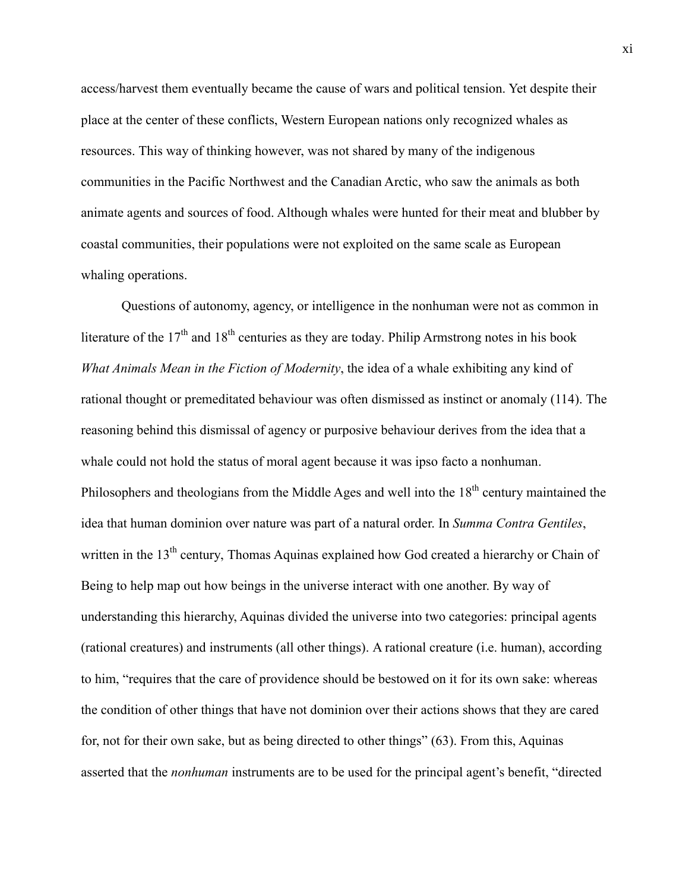access/harvest them eventually became the cause of wars and political tension. Yet despite their place at the center of these conflicts, Western European nations only recognized whales as resources. This way of thinking however, was not shared by many of the indigenous communities in the Pacific Northwest and the Canadian Arctic, who saw the animals as both animate agents and sources of food. Although whales were hunted for their meat and blubber by coastal communities, their populations were not exploited on the same scale as European whaling operations.

Questions of autonomy, agency, or intelligence in the nonhuman were not as common in literature of the  $17<sup>th</sup>$  and  $18<sup>th</sup>$  centuries as they are today. Philip Armstrong notes in his book *What Animals Mean in the Fiction of Modernity*, the idea of a whale exhibiting any kind of rational thought or premeditated behaviour was often dismissed as instinct or anomaly (114). The reasoning behind this dismissal of agency or purposive behaviour derives from the idea that a whale could not hold the status of moral agent because it was ipso facto a nonhuman. Philosophers and theologians from the Middle Ages and well into the 18<sup>th</sup> century maintained the idea that human dominion over nature was part of a natural order. In *Summa Contra Gentiles*, written in the 13<sup>th</sup> century, Thomas Aquinas explained how God created a hierarchy or Chain of Being to help map out how beings in the universe interact with one another. By way of understanding this hierarchy, Aquinas divided the universe into two categories: principal agents (rational creatures) and instruments (all other things). A rational creature (i.e. human), according to him, "requires that the care of providence should be bestowed on it for its own sake: whereas the condition of other things that have not dominion over their actions shows that they are cared for, not for their own sake, but as being directed to other things" (63). From this, Aquinas asserted that the *nonhuman* instruments are to be used for the principal agent's benefit, "directed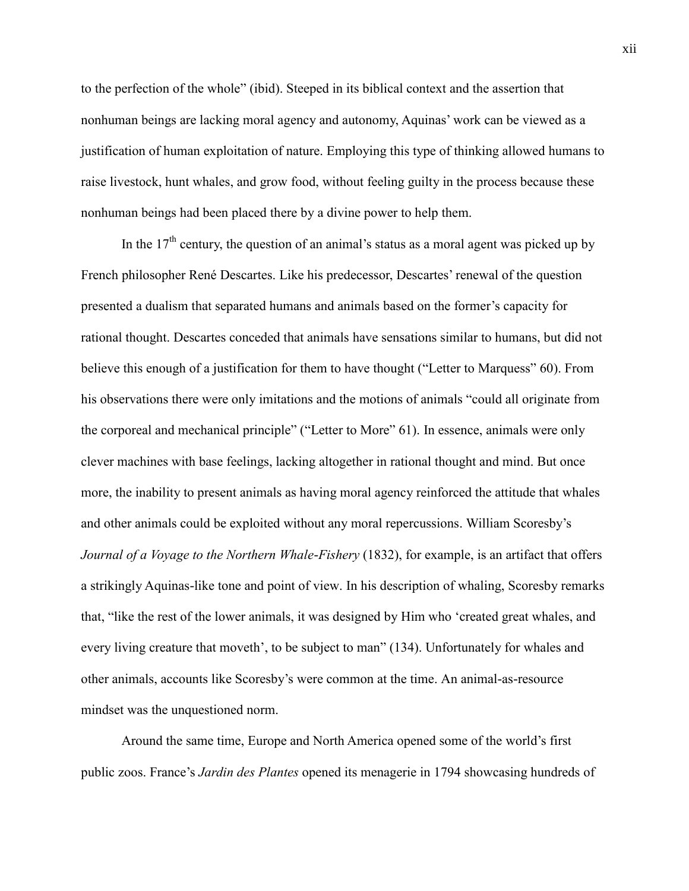to the perfection of the whole" (ibid). Steeped in its biblical context and the assertion that nonhuman beings are lacking moral agency and autonomy, Aquinas' work can be viewed as a justification of human exploitation of nature. Employing this type of thinking allowed humans to raise livestock, hunt whales, and grow food, without feeling guilty in the process because these nonhuman beings had been placed there by a divine power to help them.

In the  $17<sup>th</sup>$  century, the question of an animal's status as a moral agent was picked up by French philosopher René Descartes. Like his predecessor, Descartes' renewal of the question presented a dualism that separated humans and animals based on the former's capacity for rational thought. Descartes conceded that animals have sensations similar to humans, but did not believe this enough of a justification for them to have thought ("Letter to Marquess" 60). From his observations there were only imitations and the motions of animals "could all originate from the corporeal and mechanical principle" ("Letter to More" 61). In essence, animals were only clever machines with base feelings, lacking altogether in rational thought and mind. But once more, the inability to present animals as having moral agency reinforced the attitude that whales and other animals could be exploited without any moral repercussions. William Scoresby's *Journal of a Voyage to the Northern Whale-Fishery* (1832), for example, is an artifact that offers a strikingly Aquinas-like tone and point of view. In his description of whaling, Scoresby remarks that, "like the rest of the lower animals, it was designed by Him who 'created great whales, and every living creature that moveth', to be subject to man" (134). Unfortunately for whales and other animals, accounts like Scoresby's were common at the time. An animal-as-resource mindset was the unquestioned norm.

Around the same time, Europe and North America opened some of the world's first public zoos. France's *Jardin des Plantes* opened its menagerie in 1794 showcasing hundreds of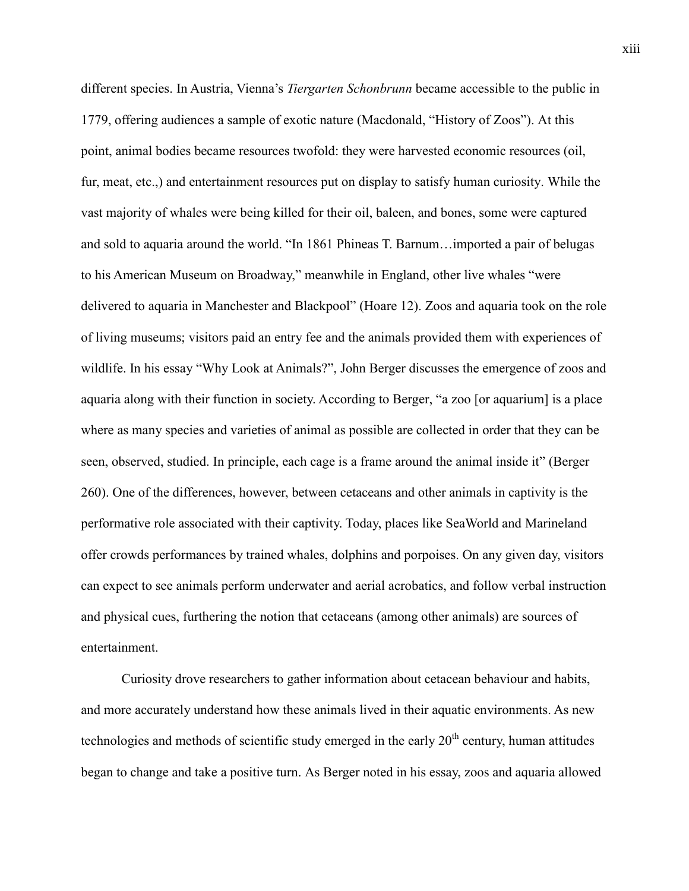different species. In Austria, Vienna's *Tiergarten Schonbrunn* became accessible to the public in 1779, offering audiences a sample of exotic nature (Macdonald, "History of Zoos"). At this point, animal bodies became resources twofold: they were harvested economic resources (oil, fur, meat, etc.,) and entertainment resources put on display to satisfy human curiosity. While the vast majority of whales were being killed for their oil, baleen, and bones, some were captured and sold to aquaria around the world. "In 1861 Phineas T. Barnum…imported a pair of belugas to his American Museum on Broadway," meanwhile in England, other live whales "were delivered to aquaria in Manchester and Blackpool" (Hoare 12). Zoos and aquaria took on the role of living museums; visitors paid an entry fee and the animals provided them with experiences of wildlife. In his essay "Why Look at Animals?", John Berger discusses the emergence of zoos and aquaria along with their function in society. According to Berger, "a zoo [or aquarium] is a place where as many species and varieties of animal as possible are collected in order that they can be seen, observed, studied. In principle, each cage is a frame around the animal inside it" (Berger 260). One of the differences, however, between cetaceans and other animals in captivity is the performative role associated with their captivity. Today, places like SeaWorld and Marineland offer crowds performances by trained whales, dolphins and porpoises. On any given day, visitors can expect to see animals perform underwater and aerial acrobatics, and follow verbal instruction and physical cues, furthering the notion that cetaceans (among other animals) are sources of entertainment.

Curiosity drove researchers to gather information about cetacean behaviour and habits, and more accurately understand how these animals lived in their aquatic environments. As new technologies and methods of scientific study emerged in the early  $20<sup>th</sup>$  century, human attitudes began to change and take a positive turn. As Berger noted in his essay, zoos and aquaria allowed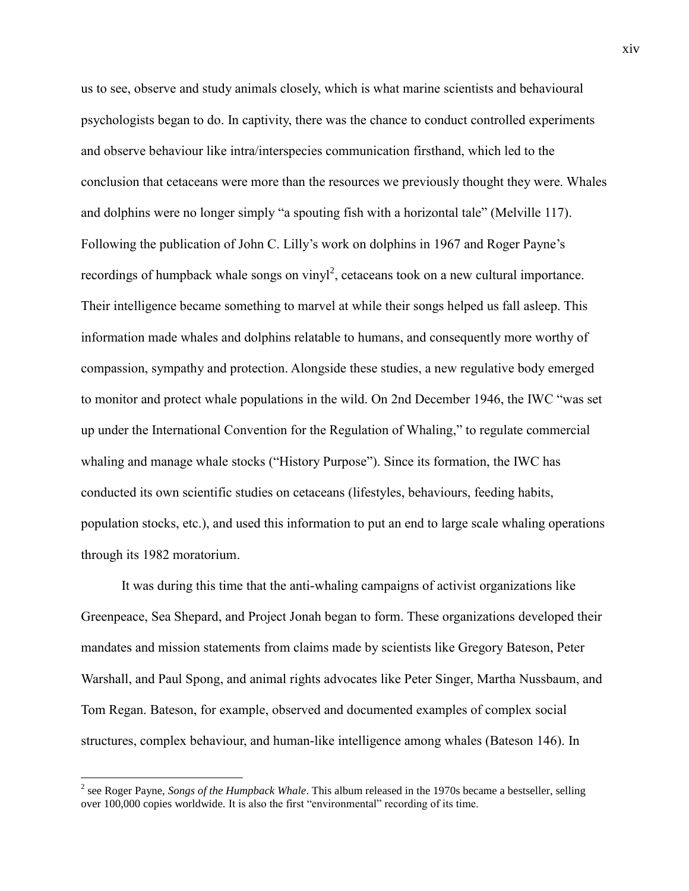us to see, observe and study animals closely, which is what marine scientists and behavioural psychologists began to do. In captivity, there was the chance to conduct controlled experiments and observe behaviour like intra/interspecies communication firsthand, which led to the conclusion that cetaceans were more than the resources we previously thought they were. Whales and dolphins were no longer simply "a spouting fish with a horizontal tale" (Melville 117). Following the publication of John C. Lilly's work on dolphins in 1967 and Roger Payne's recordings of humpback whale songs on vinyl<sup>2</sup>, cetaceans took on a new cultural importance. Their intelligence became something to marvel at while their songs helped us fall asleep. This information made whales and dolphins relatable to humans, and consequently more worthy of compassion, sympathy and protection. Alongside these studies, a new regulative body emerged to monitor and protect whale populations in the wild. On 2nd December 1946, the IWC "was set up under the International Convention for the Regulation of Whaling," to regulate commercial whaling and manage whale stocks ("History Purpose"). Since its formation, the IWC has conducted its own scientific studies on cetaceans (lifestyles, behaviours, feeding habits, population stocks, etc.), and used this information to put an end to large scale whaling operations through its 1982 moratorium.

It was during this time that the anti-whaling campaigns of activist organizations like Greenpeace, Sea Shepard, and Project Jonah began to form. These organizations developed their mandates and mission statements from claims made by scientists like Gregory Bateson, Peter Warshall, and Paul Spong, and animal rights advocates like Peter Singer, Martha Nussbaum, and Tom Regan. Bateson, for example, observed and documented examples of complex social structures, complex behaviour, and human-like intelligence among whales (Bateson 146). In

 $\overline{a}$ 

<sup>2</sup> see Roger Payne, *Songs of the Humpback Whale*. This album released in the 1970s became a bestseller, selling over 100,000 copies worldwide. It is also the first "environmental" recording of its time.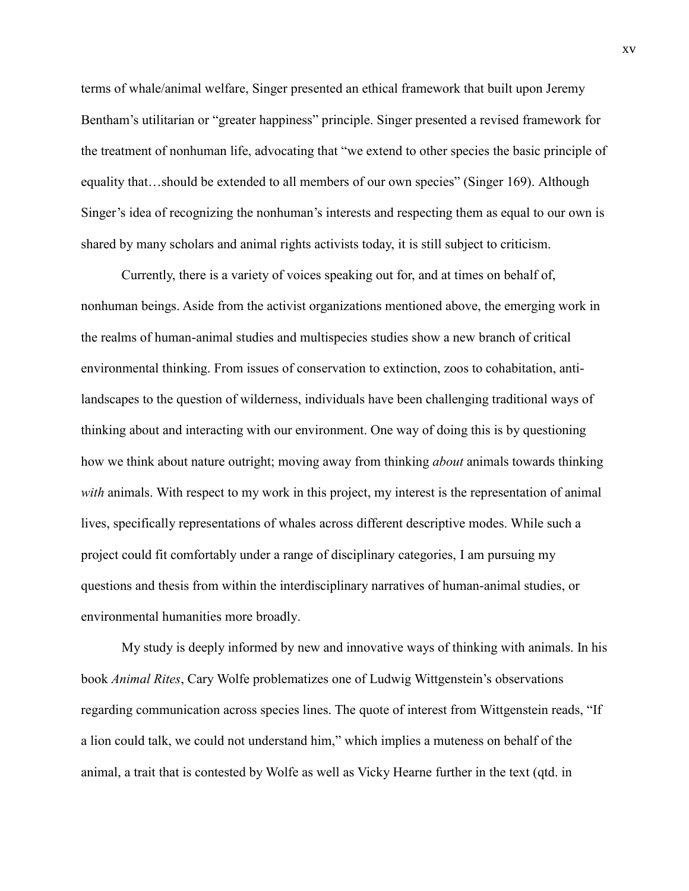terms of whale/animal welfare, Singer presented an ethical framework that built upon Jeremy Bentham's utilitarian or "greater happiness" principle. Singer presented a revised framework for the treatment of nonhuman life, advocating that "we extend to other species the basic principle of equality that…should be extended to all members of our own species" (Singer 169). Although Singer's idea of recognizing the nonhuman's interests and respecting them as equal to our own is shared by many scholars and animal rights activists today, it is still subject to criticism.

Currently, there is a variety of voices speaking out for, and at times on behalf of, nonhuman beings. Aside from the activist organizations mentioned above, the emerging work in the realms of human-animal studies and multispecies studies show a new branch of critical environmental thinking. From issues of conservation to extinction, zoos to cohabitation, antilandscapes to the question of wilderness, individuals have been challenging traditional ways of thinking about and interacting with our environment. One way of doing this is by questioning how we think about nature outright; moving away from thinking *about* animals towards thinking *with* animals. With respect to my work in this project, my interest is the representation of animal lives, specifically representations of whales across different descriptive modes. While such a project could fit comfortably under a range of disciplinary categories, I am pursuing my questions and thesis from within the interdisciplinary narratives of human-animal studies, or environmental humanities more broadly.

My study is deeply informed by new and innovative ways of thinking with animals. In his book *Animal Rites*, Cary Wolfe problematizes one of Ludwig Wittgenstein's observations regarding communication across species lines. The quote of interest from Wittgenstein reads, "If a lion could talk, we could not understand him," which implies a muteness on behalf of the animal, a trait that is contested by Wolfe as well as Vicky Hearne further in the text (qtd. in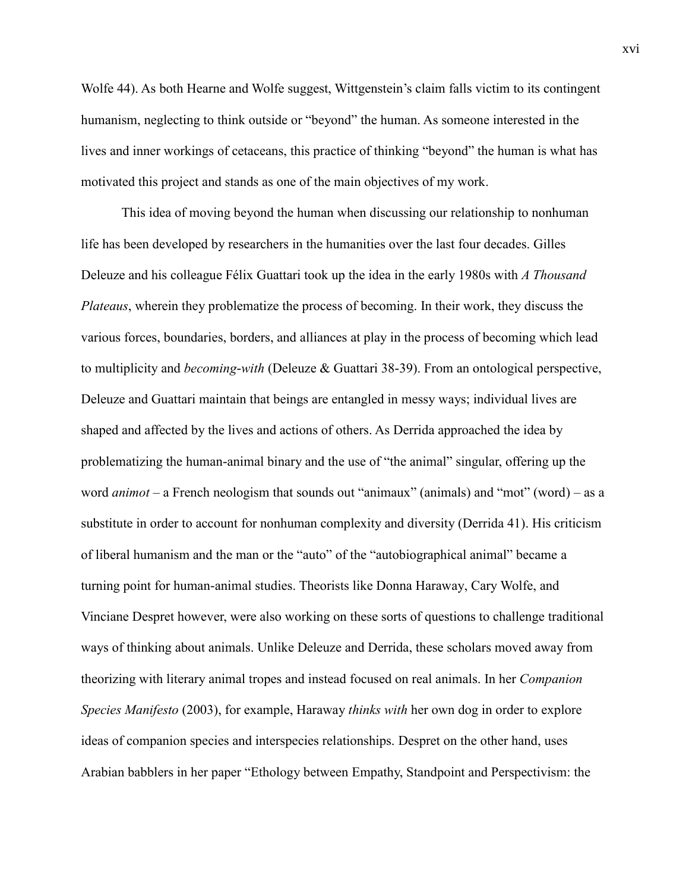Wolfe 44). As both Hearne and Wolfe suggest, Wittgenstein's claim falls victim to its contingent humanism, neglecting to think outside or "beyond" the human. As someone interested in the lives and inner workings of cetaceans, this practice of thinking "beyond" the human is what has motivated this project and stands as one of the main objectives of my work.

This idea of moving beyond the human when discussing our relationship to nonhuman life has been developed by researchers in the humanities over the last four decades. Gilles Deleuze and his colleague Félix Guattari took up the idea in the early 1980s with *A Thousand Plateaus*, wherein they problematize the process of becoming. In their work, they discuss the various forces, boundaries, borders, and alliances at play in the process of becoming which lead to multiplicity and *becoming-with* (Deleuze & Guattari 38-39). From an ontological perspective, Deleuze and Guattari maintain that beings are entangled in messy ways; individual lives are shaped and affected by the lives and actions of others. As Derrida approached the idea by problematizing the human-animal binary and the use of "the animal" singular, offering up the word *animot* – a French neologism that sounds out "animaux" (animals) and "mot" (word) – as a substitute in order to account for nonhuman complexity and diversity (Derrida 41). His criticism of liberal humanism and the man or the "auto" of the "autobiographical animal" became a turning point for human-animal studies. Theorists like Donna Haraway, Cary Wolfe, and Vinciane Despret however, were also working on these sorts of questions to challenge traditional ways of thinking about animals. Unlike Deleuze and Derrida, these scholars moved away from theorizing with literary animal tropes and instead focused on real animals. In her *Companion Species Manifesto* (2003), for example, Haraway *thinks with* her own dog in order to explore ideas of companion species and interspecies relationships. Despret on the other hand, uses Arabian babblers in her paper "Ethology between Empathy, Standpoint and Perspectivism: the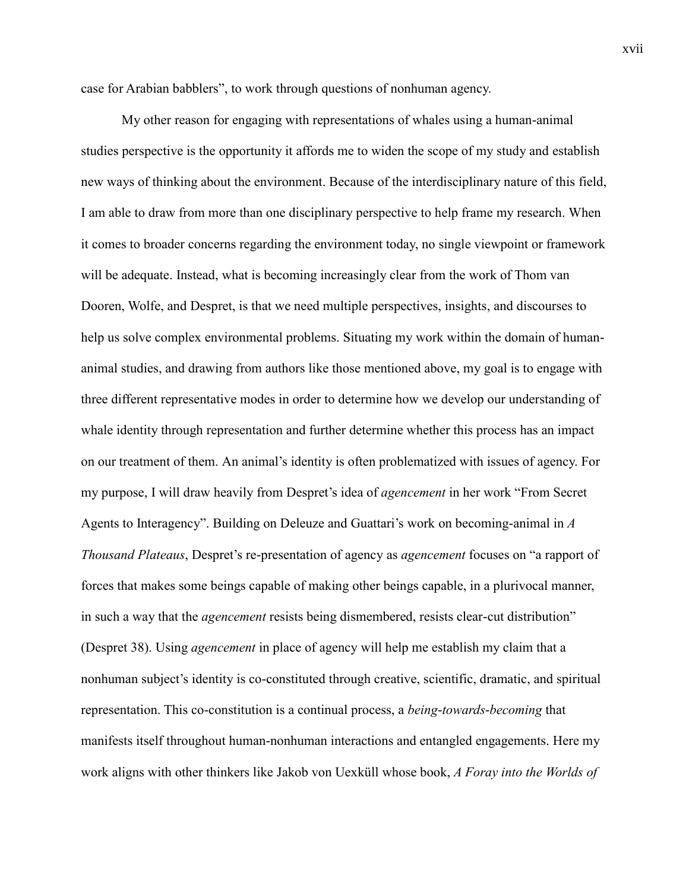case for Arabian babblers", to work through questions of nonhuman agency.

My other reason for engaging with representations of whales using a human-animal studies perspective is the opportunity it affords me to widen the scope of my study and establish new ways of thinking about the environment. Because of the interdisciplinary nature of this field, I am able to draw from more than one disciplinary perspective to help frame my research. When it comes to broader concerns regarding the environment today, no single viewpoint or framework will be adequate. Instead, what is becoming increasingly clear from the work of Thom van Dooren, Wolfe, and Despret, is that we need multiple perspectives, insights, and discourses to help us solve complex environmental problems. Situating my work within the domain of humananimal studies, and drawing from authors like those mentioned above, my goal is to engage with three different representative modes in order to determine how we develop our understanding of whale identity through representation and further determine whether this process has an impact on our treatment of them. An animal's identity is often problematized with issues of agency. For my purpose, I will draw heavily from Despret's idea of *agencement* in her work "From Secret Agents to Interagency". Building on Deleuze and Guattari's work on becoming-animal in *A Thousand Plateaus*, Despret's re-presentation of agency as *agencement* focuses on "a rapport of forces that makes some beings capable of making other beings capable, in a plurivocal manner, in such a way that the *agencement* resists being dismembered, resists clear-cut distribution" (Despret 38). Using *agencement* in place of agency will help me establish my claim that a nonhuman subject's identity is co-constituted through creative, scientific, dramatic, and spiritual representation. This co-constitution is a continual process, a *being-towards-becoming* that manifests itself throughout human-nonhuman interactions and entangled engagements. Here my work aligns with other thinkers like Jakob von Uexküll whose book, *A Foray into the Worlds of*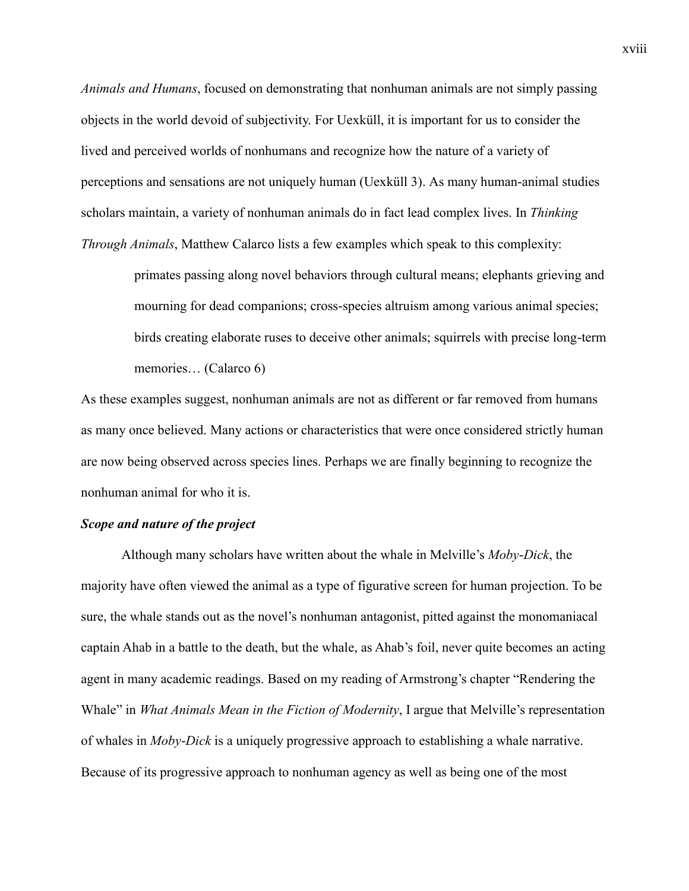*Animals and Humans*, focused on demonstrating that nonhuman animals are not simply passing objects in the world devoid of subjectivity. For Uexküll, it is important for us to consider the lived and perceived worlds of nonhumans and recognize how the nature of a variety of perceptions and sensations are not uniquely human (Uexküll 3). As many human-animal studies scholars maintain, a variety of nonhuman animals do in fact lead complex lives. In *Thinking Through Animals*, Matthew Calarco lists a few examples which speak to this complexity:

> primates passing along novel behaviors through cultural means; elephants grieving and mourning for dead companions; cross-species altruism among various animal species; birds creating elaborate ruses to deceive other animals; squirrels with precise long-term memories… (Calarco 6)

As these examples suggest, nonhuman animals are not as different or far removed from humans as many once believed. Many actions or characteristics that were once considered strictly human are now being observed across species lines. Perhaps we are finally beginning to recognize the nonhuman animal for who it is.

### *Scope and nature of the project*

Although many scholars have written about the whale in Melville's *Moby-Dick*, the majority have often viewed the animal as a type of figurative screen for human projection. To be sure, the whale stands out as the novel's nonhuman antagonist, pitted against the monomaniacal captain Ahab in a battle to the death, but the whale, as Ahab's foil, never quite becomes an acting agent in many academic readings. Based on my reading of Armstrong's chapter "Rendering the Whale" in *What Animals Mean in the Fiction of Modernity*, I argue that Melville's representation of whales in *Moby-Dick* is a uniquely progressive approach to establishing a whale narrative. Because of its progressive approach to nonhuman agency as well as being one of the most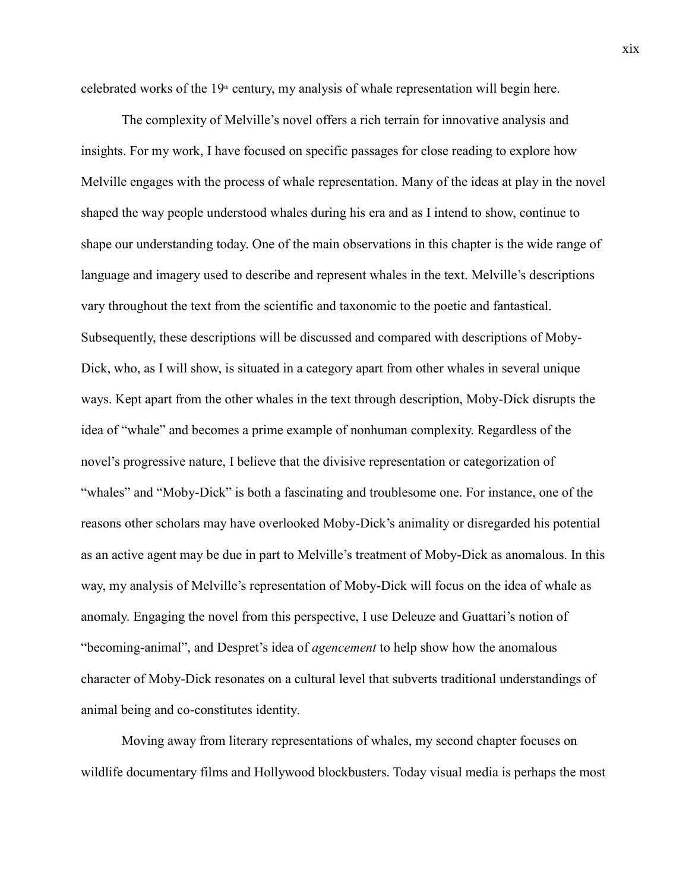celebrated works of the  $19<sup>th</sup>$  century, my analysis of whale representation will begin here.

The complexity of Melville's novel offers a rich terrain for innovative analysis and insights. For my work, I have focused on specific passages for close reading to explore how Melville engages with the process of whale representation. Many of the ideas at play in the novel shaped the way people understood whales during his era and as I intend to show, continue to shape our understanding today. One of the main observations in this chapter is the wide range of language and imagery used to describe and represent whales in the text. Melville's descriptions vary throughout the text from the scientific and taxonomic to the poetic and fantastical. Subsequently, these descriptions will be discussed and compared with descriptions of Moby-Dick, who, as I will show, is situated in a category apart from other whales in several unique ways. Kept apart from the other whales in the text through description, Moby-Dick disrupts the idea of "whale" and becomes a prime example of nonhuman complexity. Regardless of the novel's progressive nature, I believe that the divisive representation or categorization of "whales" and "Moby-Dick" is both a fascinating and troublesome one. For instance, one of the reasons other scholars may have overlooked Moby-Dick's animality or disregarded his potential as an active agent may be due in part to Melville's treatment of Moby-Dick as anomalous. In this way, my analysis of Melville's representation of Moby-Dick will focus on the idea of whale as anomaly. Engaging the novel from this perspective, I use Deleuze and Guattari's notion of "becoming-animal", and Despret's idea of *agencement* to help show how the anomalous character of Moby-Dick resonates on a cultural level that subverts traditional understandings of animal being and co-constitutes identity.

Moving away from literary representations of whales, my second chapter focuses on wildlife documentary films and Hollywood blockbusters. Today visual media is perhaps the most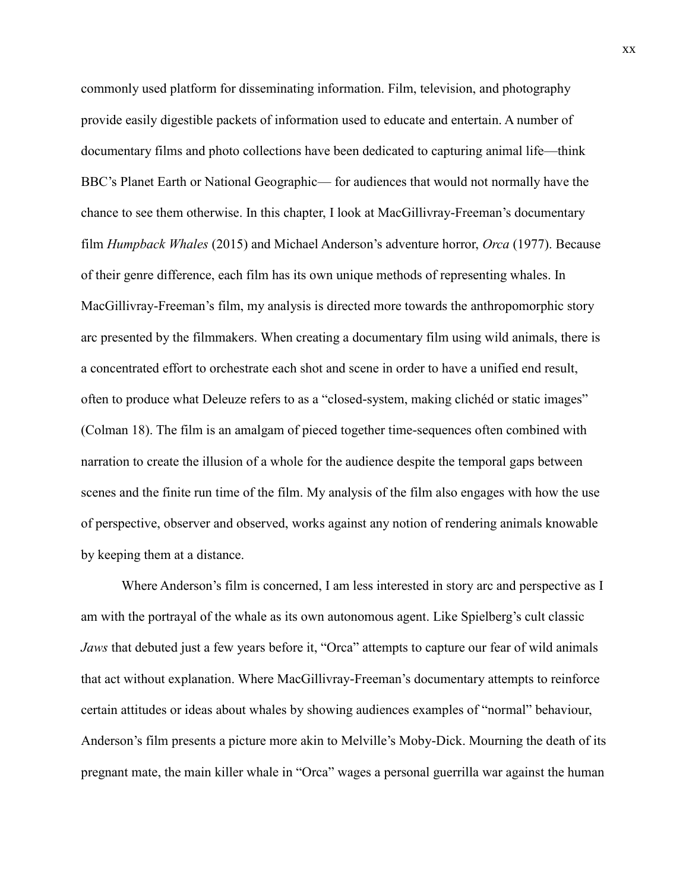commonly used platform for disseminating information. Film, television, and photography provide easily digestible packets of information used to educate and entertain. A number of documentary films and photo collections have been dedicated to capturing animal life—think BBC's Planet Earth or National Geographic— for audiences that would not normally have the chance to see them otherwise. In this chapter, I look at MacGillivray-Freeman's documentary film *Humpback Whales* (2015) and Michael Anderson's adventure horror, *Orca* (1977). Because of their genre difference, each film has its own unique methods of representing whales. In MacGillivray-Freeman's film, my analysis is directed more towards the anthropomorphic story arc presented by the filmmakers. When creating a documentary film using wild animals, there is a concentrated effort to orchestrate each shot and scene in order to have a unified end result, often to produce what Deleuze refers to as a "closed-system, making clichéd or static images" (Colman 18). The film is an amalgam of pieced together time-sequences often combined with narration to create the illusion of a whole for the audience despite the temporal gaps between scenes and the finite run time of the film. My analysis of the film also engages with how the use of perspective, observer and observed, works against any notion of rendering animals knowable by keeping them at a distance.

Where Anderson's film is concerned, I am less interested in story arc and perspective as I am with the portrayal of the whale as its own autonomous agent. Like Spielberg's cult classic *Jaws* that debuted just a few years before it, "Orca" attempts to capture our fear of wild animals that act without explanation. Where MacGillivray-Freeman's documentary attempts to reinforce certain attitudes or ideas about whales by showing audiences examples of "normal" behaviour, Anderson's film presents a picture more akin to Melville's Moby-Dick. Mourning the death of its pregnant mate, the main killer whale in "Orca" wages a personal guerrilla war against the human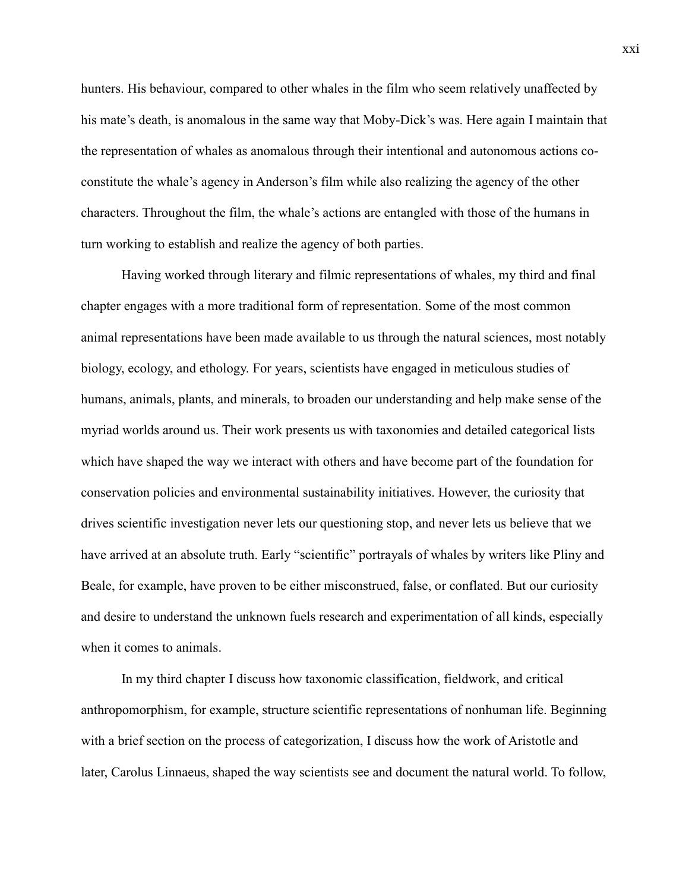hunters. His behaviour, compared to other whales in the film who seem relatively unaffected by his mate's death, is anomalous in the same way that Moby-Dick's was. Here again I maintain that the representation of whales as anomalous through their intentional and autonomous actions coconstitute the whale's agency in Anderson's film while also realizing the agency of the other characters. Throughout the film, the whale's actions are entangled with those of the humans in turn working to establish and realize the agency of both parties.

Having worked through literary and filmic representations of whales, my third and final chapter engages with a more traditional form of representation. Some of the most common animal representations have been made available to us through the natural sciences, most notably biology, ecology, and ethology. For years, scientists have engaged in meticulous studies of humans, animals, plants, and minerals, to broaden our understanding and help make sense of the myriad worlds around us. Their work presents us with taxonomies and detailed categorical lists which have shaped the way we interact with others and have become part of the foundation for conservation policies and environmental sustainability initiatives. However, the curiosity that drives scientific investigation never lets our questioning stop, and never lets us believe that we have arrived at an absolute truth. Early "scientific" portrayals of whales by writers like Pliny and Beale, for example, have proven to be either misconstrued, false, or conflated. But our curiosity and desire to understand the unknown fuels research and experimentation of all kinds, especially when it comes to animals.

In my third chapter I discuss how taxonomic classification, fieldwork, and critical anthropomorphism, for example, structure scientific representations of nonhuman life. Beginning with a brief section on the process of categorization, I discuss how the work of Aristotle and later, Carolus Linnaeus, shaped the way scientists see and document the natural world. To follow,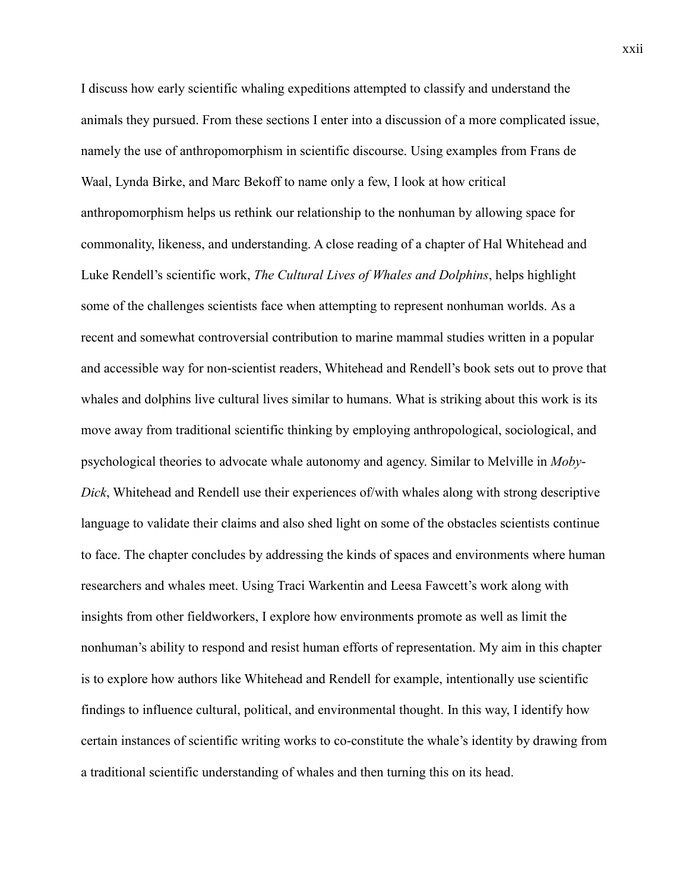I discuss how early scientific whaling expeditions attempted to classify and understand the animals they pursued. From these sections I enter into a discussion of a more complicated issue, namely the use of anthropomorphism in scientific discourse. Using examples from Frans de Waal, Lynda Birke, and Marc Bekoff to name only a few, I look at how critical anthropomorphism helps us rethink our relationship to the nonhuman by allowing space for commonality, likeness, and understanding. A close reading of a chapter of Hal Whitehead and Luke Rendell's scientific work, *The Cultural Lives of Whales and Dolphins*, helps highlight some of the challenges scientists face when attempting to represent nonhuman worlds. As a recent and somewhat controversial contribution to marine mammal studies written in a popular and accessible way for non-scientist readers, Whitehead and Rendell's book sets out to prove that whales and dolphins live cultural lives similar to humans. What is striking about this work is its move away from traditional scientific thinking by employing anthropological, sociological, and psychological theories to advocate whale autonomy and agency. Similar to Melville in *Moby-Dick*, Whitehead and Rendell use their experiences of/with whales along with strong descriptive language to validate their claims and also shed light on some of the obstacles scientists continue to face. The chapter concludes by addressing the kinds of spaces and environments where human researchers and whales meet. Using Traci Warkentin and Leesa Fawcett's work along with insights from other fieldworkers, I explore how environments promote as well as limit the nonhuman's ability to respond and resist human efforts of representation. My aim in this chapter is to explore how authors like Whitehead and Rendell for example, intentionally use scientific findings to influence cultural, political, and environmental thought. In this way, I identify how certain instances of scientific writing works to co-constitute the whale's identity by drawing from a traditional scientific understanding of whales and then turning this on its head.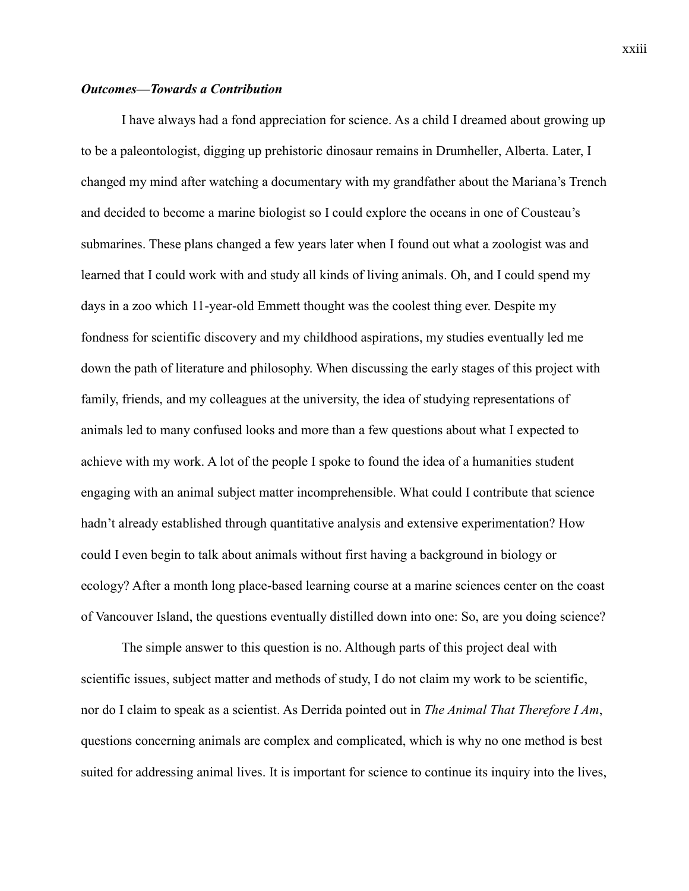### *Outcomes—Towards a Contribution*

I have always had a fond appreciation for science. As a child I dreamed about growing up to be a paleontologist, digging up prehistoric dinosaur remains in Drumheller, Alberta. Later, I changed my mind after watching a documentary with my grandfather about the Mariana's Trench and decided to become a marine biologist so I could explore the oceans in one of Cousteau's submarines. These plans changed a few years later when I found out what a zoologist was and learned that I could work with and study all kinds of living animals. Oh, and I could spend my days in a zoo which 11-year-old Emmett thought was the coolest thing ever. Despite my fondness for scientific discovery and my childhood aspirations, my studies eventually led me down the path of literature and philosophy. When discussing the early stages of this project with family, friends, and my colleagues at the university, the idea of studying representations of animals led to many confused looks and more than a few questions about what I expected to achieve with my work. A lot of the people I spoke to found the idea of a humanities student engaging with an animal subject matter incomprehensible. What could I contribute that science hadn't already established through quantitative analysis and extensive experimentation? How could I even begin to talk about animals without first having a background in biology or ecology? After a month long place-based learning course at a marine sciences center on the coast of Vancouver Island, the questions eventually distilled down into one: So, are you doing science?

The simple answer to this question is no. Although parts of this project deal with scientific issues, subject matter and methods of study, I do not claim my work to be scientific, nor do I claim to speak as a scientist. As Derrida pointed out in *The Animal That Therefore I Am*, questions concerning animals are complex and complicated, which is why no one method is best suited for addressing animal lives. It is important for science to continue its inquiry into the lives,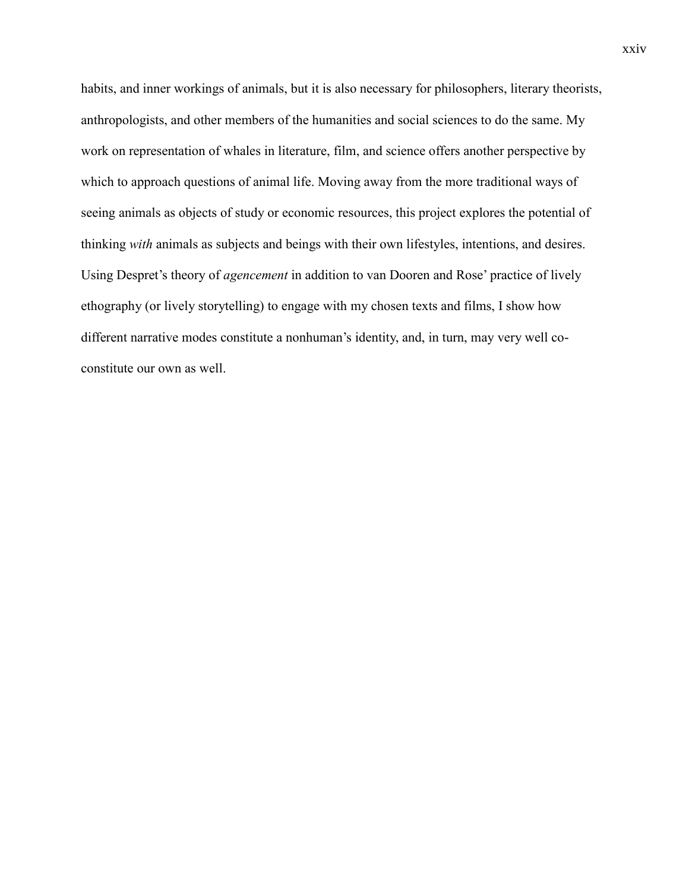habits, and inner workings of animals, but it is also necessary for philosophers, literary theorists, anthropologists, and other members of the humanities and social sciences to do the same. My work on representation of whales in literature, film, and science offers another perspective by which to approach questions of animal life. Moving away from the more traditional ways of seeing animals as objects of study or economic resources, this project explores the potential of thinking *with* animals as subjects and beings with their own lifestyles, intentions, and desires. Using Despret's theory of *agencement* in addition to van Dooren and Rose' practice of lively ethography (or lively storytelling) to engage with my chosen texts and films, I show how different narrative modes constitute a nonhuman's identity, and, in turn, may very well coconstitute our own as well.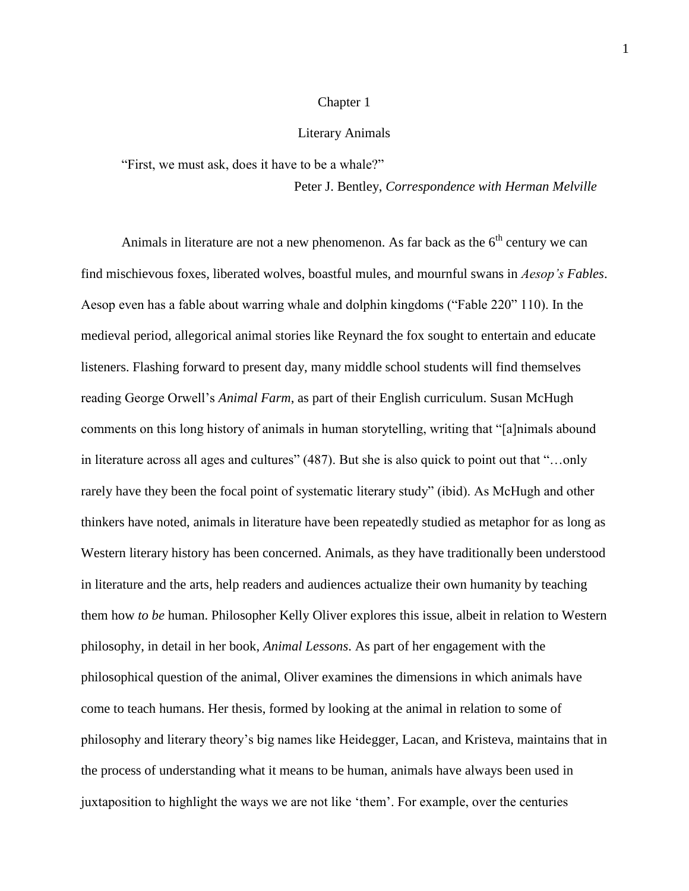#### Chapter 1

#### Literary Animals

<span id="page-24-0"></span>"First, we must ask, does it have to be a whale?"

Peter J. Bentley, *Correspondence with Herman Melville*

Animals in literature are not a new phenomenon. As far back as the  $6<sup>th</sup>$  century we can find mischievous foxes, liberated wolves, boastful mules, and mournful swans in *Aesop's Fables*. Aesop even has a fable about warring whale and dolphin kingdoms ("Fable 220" 110). In the medieval period, allegorical animal stories like Reynard the fox sought to entertain and educate listeners. Flashing forward to present day, many middle school students will find themselves reading George Orwell's *Animal Farm*, as part of their English curriculum. Susan McHugh comments on this long history of animals in human storytelling, writing that "[a]nimals abound in literature across all ages and cultures" (487). But she is also quick to point out that "…only rarely have they been the focal point of systematic literary study" (ibid). As McHugh and other thinkers have noted, animals in literature have been repeatedly studied as metaphor for as long as Western literary history has been concerned. Animals, as they have traditionally been understood in literature and the arts, help readers and audiences actualize their own humanity by teaching them how *to be* human. Philosopher Kelly Oliver explores this issue, albeit in relation to Western philosophy, in detail in her book, *Animal Lessons*. As part of her engagement with the philosophical question of the animal, Oliver examines the dimensions in which animals have come to teach humans. Her thesis, formed by looking at the animal in relation to some of philosophy and literary theory's big names like Heidegger, Lacan, and Kristeva, maintains that in the process of understanding what it means to be human, animals have always been used in juxtaposition to highlight the ways we are not like 'them'. For example, over the centuries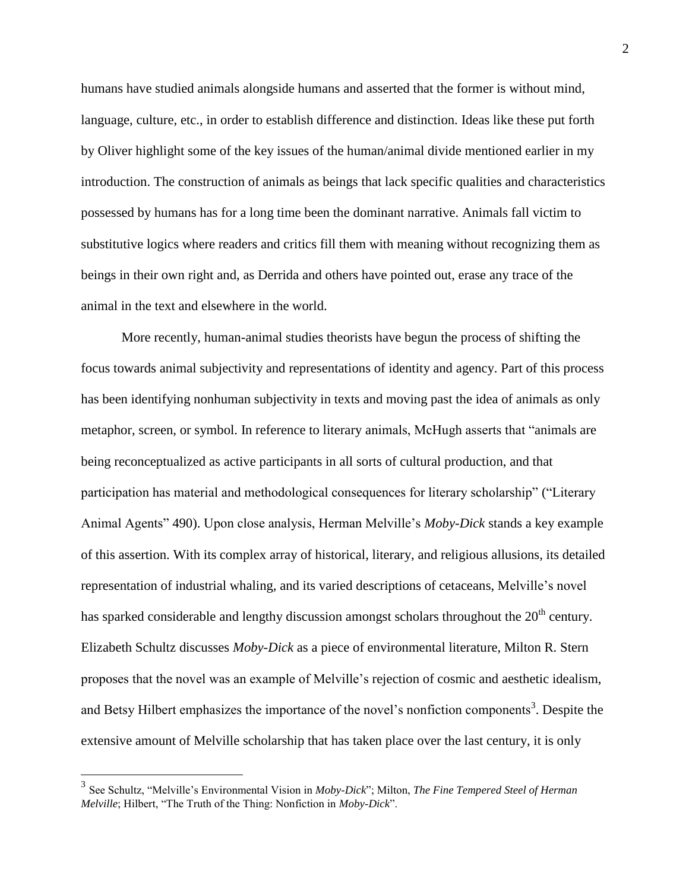humans have studied animals alongside humans and asserted that the former is without mind, language, culture, etc., in order to establish difference and distinction. Ideas like these put forth by Oliver highlight some of the key issues of the human/animal divide mentioned earlier in my introduction. The construction of animals as beings that lack specific qualities and characteristics possessed by humans has for a long time been the dominant narrative. Animals fall victim to substitutive logics where readers and critics fill them with meaning without recognizing them as beings in their own right and, as Derrida and others have pointed out, erase any trace of the animal in the text and elsewhere in the world.

More recently, human-animal studies theorists have begun the process of shifting the focus towards animal subjectivity and representations of identity and agency. Part of this process has been identifying nonhuman subjectivity in texts and moving past the idea of animals as only metaphor, screen, or symbol. In reference to literary animals, McHugh asserts that "animals are being reconceptualized as active participants in all sorts of cultural production, and that participation has material and methodological consequences for literary scholarship" ("Literary Animal Agents" 490). Upon close analysis, Herman Melville's *Moby-Dick* stands a key example of this assertion. With its complex array of historical, literary, and religious allusions, its detailed representation of industrial whaling, and its varied descriptions of cetaceans, Melville's novel has sparked considerable and lengthy discussion amongst scholars throughout the  $20<sup>th</sup>$  century. Elizabeth Schultz discusses *Moby-Dick* as a piece of environmental literature, Milton R. Stern proposes that the novel was an example of Melville's rejection of cosmic and aesthetic idealism, and Betsy Hilbert emphasizes the importance of the novel's nonfiction components<sup>3</sup>. Despite the extensive amount of Melville scholarship that has taken place over the last century, it is only

 $\overline{a}$ 

<sup>3</sup> See Schultz, "Melville's Environmental Vision in *Moby-Dick*"; Milton, *The Fine Tempered Steel of Herman Melville*; Hilbert, "The Truth of the Thing: Nonfiction in *Moby-Dick*".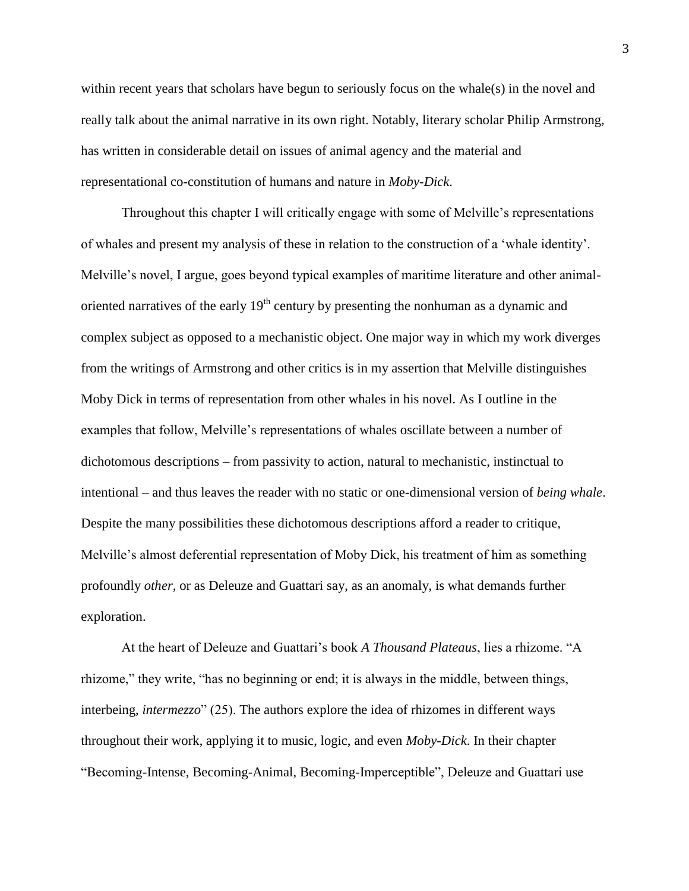within recent years that scholars have begun to seriously focus on the whale(s) in the novel and really talk about the animal narrative in its own right. Notably, literary scholar Philip Armstrong, has written in considerable detail on issues of animal agency and the material and representational co-constitution of humans and nature in *Moby-Dick*.

Throughout this chapter I will critically engage with some of Melville's representations of whales and present my analysis of these in relation to the construction of a 'whale identity'. Melville's novel, I argue, goes beyond typical examples of maritime literature and other animaloriented narratives of the early  $19<sup>th</sup>$  century by presenting the nonhuman as a dynamic and complex subject as opposed to a mechanistic object. One major way in which my work diverges from the writings of Armstrong and other critics is in my assertion that Melville distinguishes Moby Dick in terms of representation from other whales in his novel. As I outline in the examples that follow, Melville's representations of whales oscillate between a number of dichotomous descriptions – from passivity to action, natural to mechanistic, instinctual to intentional – and thus leaves the reader with no static or one-dimensional version of *being whale*. Despite the many possibilities these dichotomous descriptions afford a reader to critique, Melville's almost deferential representation of Moby Dick, his treatment of him as something profoundly *other,* or as Deleuze and Guattari say, as an anomaly, is what demands further exploration.

At the heart of Deleuze and Guattari's book *A Thousand Plateaus*, lies a rhizome. "A rhizome," they write, "has no beginning or end; it is always in the middle, between things, interbeing, *intermezzo*" (25). The authors explore the idea of rhizomes in different ways throughout their work, applying it to music, logic, and even *Moby-Dick*. In their chapter "Becoming-Intense, Becoming-Animal, Becoming-Imperceptible", Deleuze and Guattari use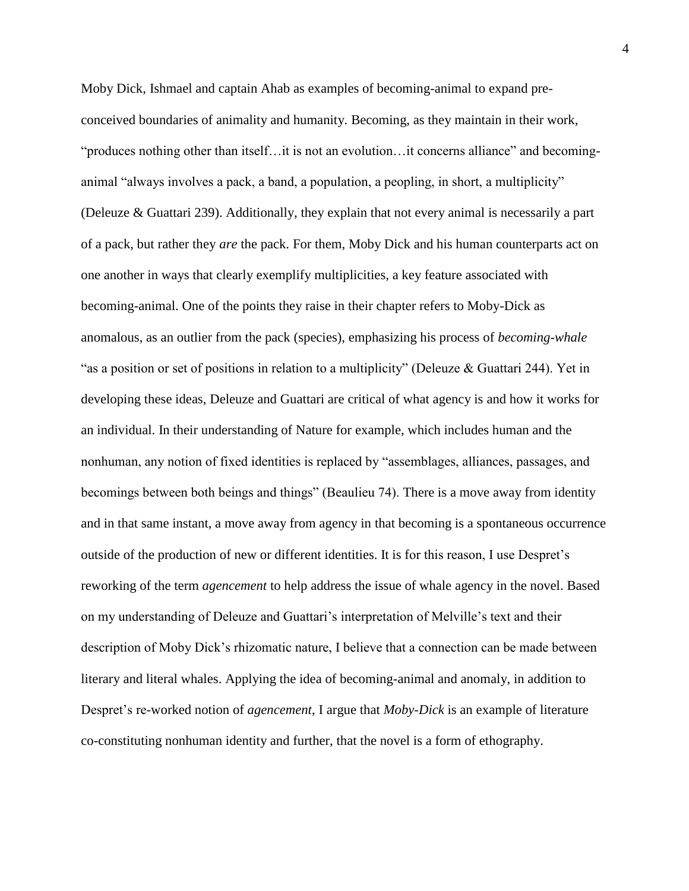Moby Dick, Ishmael and captain Ahab as examples of becoming-animal to expand preconceived boundaries of animality and humanity. Becoming, as they maintain in their work, "produces nothing other than itself…it is not an evolution…it concerns alliance" and becominganimal "always involves a pack, a band, a population, a peopling, in short, a multiplicity" (Deleuze & Guattari 239). Additionally, they explain that not every animal is necessarily a part of a pack, but rather they *are* the pack. For them, Moby Dick and his human counterparts act on one another in ways that clearly exemplify multiplicities, a key feature associated with becoming-animal. One of the points they raise in their chapter refers to Moby-Dick as anomalous, as an outlier from the pack (species), emphasizing his process of *becoming-whale*  "as a position or set of positions in relation to a multiplicity" (Deleuze & Guattari 244). Yet in developing these ideas, Deleuze and Guattari are critical of what agency is and how it works for an individual. In their understanding of Nature for example, which includes human and the nonhuman, any notion of fixed identities is replaced by "assemblages, alliances, passages, and becomings between both beings and things" (Beaulieu 74). There is a move away from identity and in that same instant, a move away from agency in that becoming is a spontaneous occurrence outside of the production of new or different identities. It is for this reason, I use Despret's reworking of the term *agencement* to help address the issue of whale agency in the novel. Based on my understanding of Deleuze and Guattari's interpretation of Melville's text and their description of Moby Dick's rhizomatic nature, I believe that a connection can be made between literary and literal whales. Applying the idea of becoming-animal and anomaly, in addition to Despret's re-worked notion of *agencement*, I argue that *Moby-Dick* is an example of literature co-constituting nonhuman identity and further, that the novel is a form of ethography.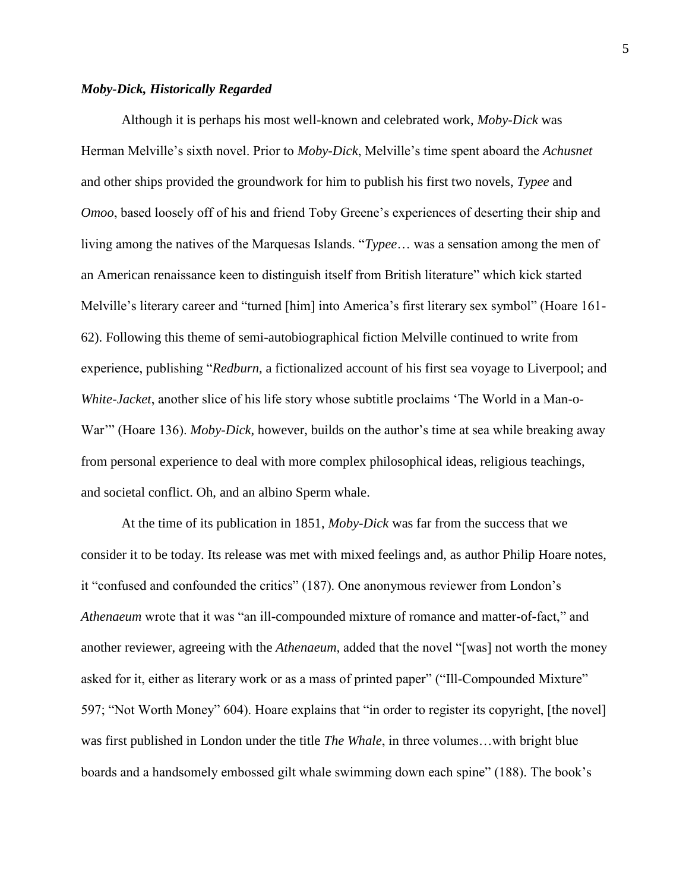### *Moby-Dick, Historically Regarded*

Although it is perhaps his most well-known and celebrated work, *Moby-Dick* was Herman Melville's sixth novel. Prior to *Moby-Dick*, Melville's time spent aboard the *Achusnet* and other ships provided the groundwork for him to publish his first two novels, *Typee* and *Omoo*, based loosely off of his and friend Toby Greene's experiences of deserting their ship and living among the natives of the Marquesas Islands. "*Typee*… was a sensation among the men of an American renaissance keen to distinguish itself from British literature" which kick started Melville's literary career and "turned [him] into America's first literary sex symbol" (Hoare 161- 62). Following this theme of semi-autobiographical fiction Melville continued to write from experience, publishing "*Redburn*, a fictionalized account of his first sea voyage to Liverpool; and *White-Jacket*, another slice of his life story whose subtitle proclaims 'The World in a Man-o-War'" (Hoare 136). *Moby-Dick*, however, builds on the author's time at sea while breaking away from personal experience to deal with more complex philosophical ideas, religious teachings, and societal conflict. Oh, and an albino Sperm whale.

At the time of its publication in 1851, *Moby-Dick* was far from the success that we consider it to be today. Its release was met with mixed feelings and, as author Philip Hoare notes, it "confused and confounded the critics" (187). One anonymous reviewer from London's *Athenaeum* wrote that it was "an ill-compounded mixture of romance and matter-of-fact," and another reviewer, agreeing with the *Athenaeum,* added that the novel "[was] not worth the money asked for it, either as literary work or as a mass of printed paper" ("Ill-Compounded Mixture" 597; "Not Worth Money" 604). Hoare explains that "in order to register its copyright, [the novel] was first published in London under the title *The Whale*, in three volumes…with bright blue boards and a handsomely embossed gilt whale swimming down each spine" (188). The book's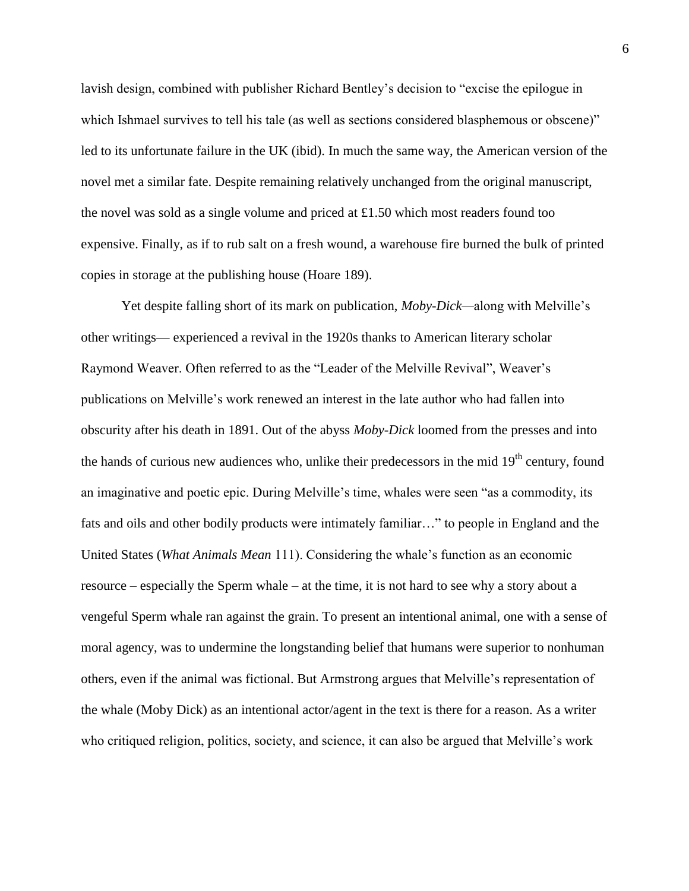lavish design, combined with publisher Richard Bentley's decision to "excise the epilogue in which Ishmael survives to tell his tale (as well as sections considered blasphemous or obscene)" led to its unfortunate failure in the UK (ibid). In much the same way, the American version of the novel met a similar fate. Despite remaining relatively unchanged from the original manuscript, the novel was sold as a single volume and priced at £1.50 which most readers found too expensive. Finally, as if to rub salt on a fresh wound, a warehouse fire burned the bulk of printed copies in storage at the publishing house (Hoare 189).

Yet despite falling short of its mark on publication, *Moby-Dick—*along with Melville's other writings— experienced a revival in the 1920s thanks to American literary scholar Raymond Weaver. Often referred to as the "Leader of the Melville Revival", Weaver's publications on Melville's work renewed an interest in the late author who had fallen into obscurity after his death in 1891. Out of the abyss *Moby-Dick* loomed from the presses and into the hands of curious new audiences who, unlike their predecessors in the mid  $19<sup>th</sup>$  century, found an imaginative and poetic epic. During Melville's time, whales were seen "as a commodity, its fats and oils and other bodily products were intimately familiar…" to people in England and the United States (*What Animals Mean* 111). Considering the whale's function as an economic resource – especially the Sperm whale – at the time, it is not hard to see why a story about a vengeful Sperm whale ran against the grain. To present an intentional animal, one with a sense of moral agency, was to undermine the longstanding belief that humans were superior to nonhuman others, even if the animal was fictional. But Armstrong argues that Melville's representation of the whale (Moby Dick) as an intentional actor/agent in the text is there for a reason. As a writer who critiqued religion, politics, society, and science, it can also be argued that Melville's work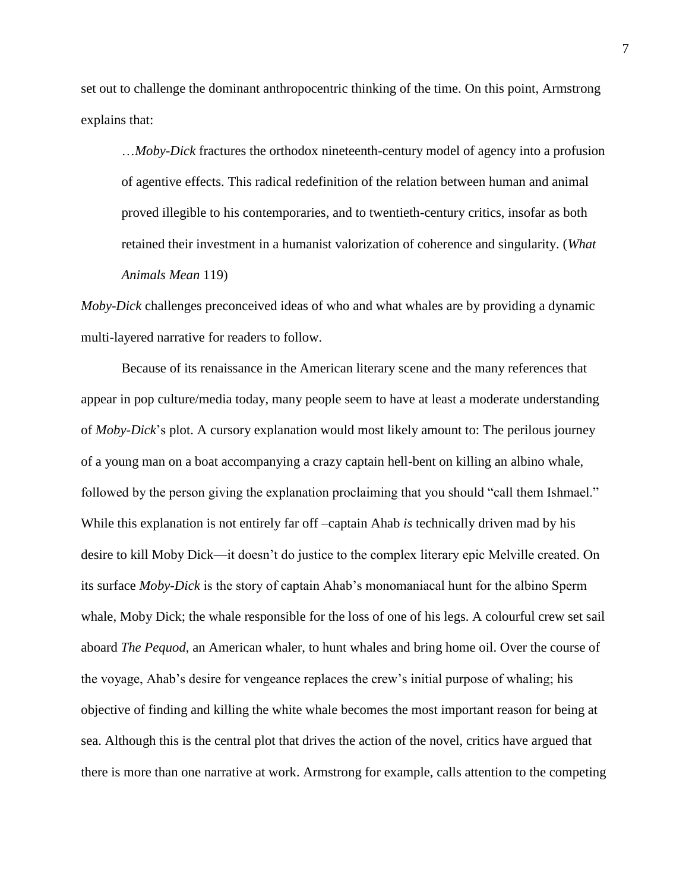set out to challenge the dominant anthropocentric thinking of the time. On this point, Armstrong explains that:

…*Moby-Dick* fractures the orthodox nineteenth-century model of agency into a profusion of agentive effects. This radical redefinition of the relation between human and animal proved illegible to his contemporaries, and to twentieth-century critics, insofar as both retained their investment in a humanist valorization of coherence and singularity. (*What Animals Mean* 119)

*Moby-Dick* challenges preconceived ideas of who and what whales are by providing a dynamic multi-layered narrative for readers to follow.

Because of its renaissance in the American literary scene and the many references that appear in pop culture/media today, many people seem to have at least a moderate understanding of *Moby-Dick*'s plot. A cursory explanation would most likely amount to: The perilous journey of a young man on a boat accompanying a crazy captain hell-bent on killing an albino whale, followed by the person giving the explanation proclaiming that you should "call them Ishmael." While this explanation is not entirely far off –captain Ahab *is* technically driven mad by his desire to kill Moby Dick—it doesn't do justice to the complex literary epic Melville created. On its surface *Moby-Dick* is the story of captain Ahab's monomaniacal hunt for the albino Sperm whale, Moby Dick; the whale responsible for the loss of one of his legs. A colourful crew set sail aboard *The Pequod*, an American whaler, to hunt whales and bring home oil. Over the course of the voyage, Ahab's desire for vengeance replaces the crew's initial purpose of whaling; his objective of finding and killing the white whale becomes the most important reason for being at sea. Although this is the central plot that drives the action of the novel, critics have argued that there is more than one narrative at work. Armstrong for example, calls attention to the competing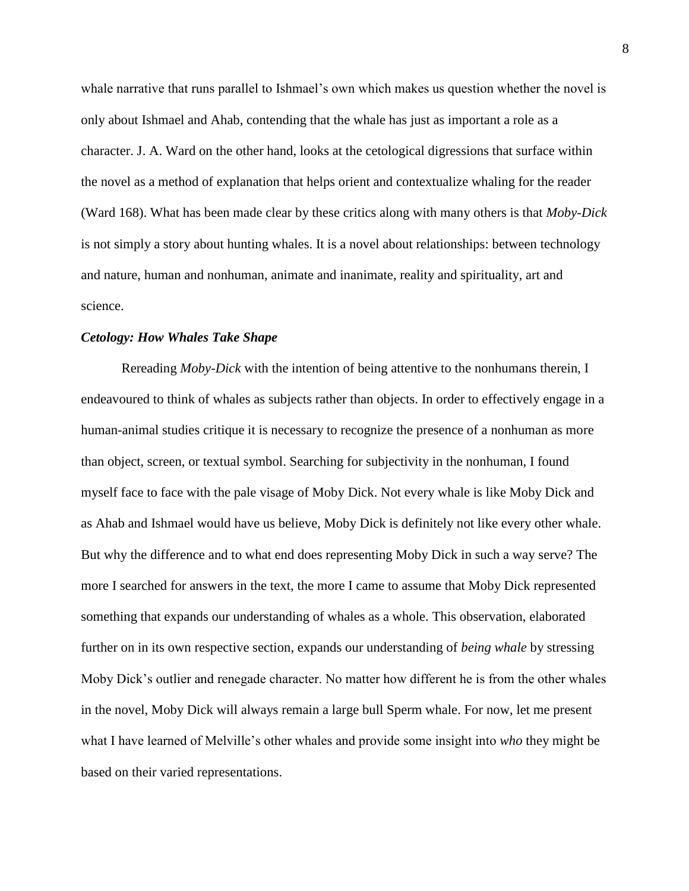whale narrative that runs parallel to Ishmael's own which makes us question whether the novel is only about Ishmael and Ahab, contending that the whale has just as important a role as a character. J. A. Ward on the other hand, looks at the cetological digressions that surface within the novel as a method of explanation that helps orient and contextualize whaling for the reader (Ward 168). What has been made clear by these critics along with many others is that *Moby-Dick* is not simply a story about hunting whales. It is a novel about relationships: between technology and nature, human and nonhuman, animate and inanimate, reality and spirituality, art and science.

#### *Cetology: How Whales Take Shape*

Rereading *Moby-Dick* with the intention of being attentive to the nonhumans therein, I endeavoured to think of whales as subjects rather than objects. In order to effectively engage in a human-animal studies critique it is necessary to recognize the presence of a nonhuman as more than object, screen, or textual symbol. Searching for subjectivity in the nonhuman, I found myself face to face with the pale visage of Moby Dick. Not every whale is like Moby Dick and as Ahab and Ishmael would have us believe, Moby Dick is definitely not like every other whale. But why the difference and to what end does representing Moby Dick in such a way serve? The more I searched for answers in the text, the more I came to assume that Moby Dick represented something that expands our understanding of whales as a whole. This observation, elaborated further on in its own respective section, expands our understanding of *being whale* by stressing Moby Dick's outlier and renegade character. No matter how different he is from the other whales in the novel, Moby Dick will always remain a large bull Sperm whale. For now, let me present what I have learned of Melville's other whales and provide some insight into *who* they might be based on their varied representations.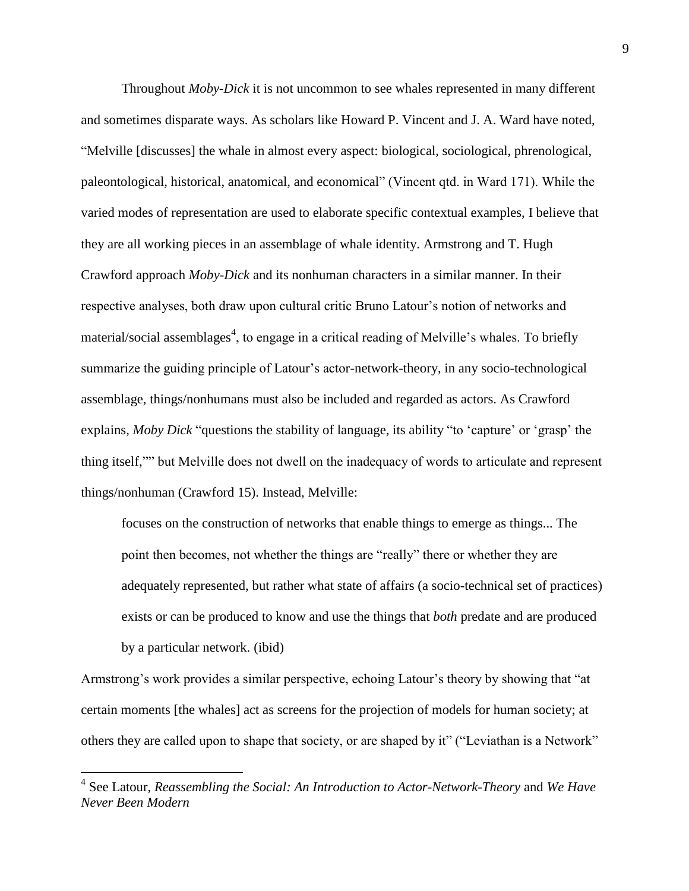Throughout *Moby-Dick* it is not uncommon to see whales represented in many different and sometimes disparate ways. As scholars like Howard P. Vincent and J. A. Ward have noted, "Melville [discusses] the whale in almost every aspect: biological, sociological, phrenological, paleontological, historical, anatomical, and economical" (Vincent qtd. in Ward 171). While the varied modes of representation are used to elaborate specific contextual examples, I believe that they are all working pieces in an assemblage of whale identity. Armstrong and T. Hugh Crawford approach *Moby-Dick* and its nonhuman characters in a similar manner. In their respective analyses, both draw upon cultural critic Bruno Latour's notion of networks and material/social assemblages<sup>4</sup>, to engage in a critical reading of Melville's whales. To briefly summarize the guiding principle of Latour's actor-network-theory, in any socio-technological assemblage, things/nonhumans must also be included and regarded as actors. As Crawford explains, *Moby Dick* "questions the stability of language, its ability "to 'capture' or 'grasp' the thing itself,"" but Melville does not dwell on the inadequacy of words to articulate and represent things/nonhuman (Crawford 15). Instead, Melville:

focuses on the construction of networks that enable things to emerge as things... The point then becomes, not whether the things are "really" there or whether they are adequately represented, but rather what state of affairs (a socio-technical set of practices) exists or can be produced to know and use the things that *both* predate and are produced by a particular network. (ibid)

Armstrong's work provides a similar perspective, echoing Latour's theory by showing that "at certain moments [the whales] act as screens for the projection of models for human society; at others they are called upon to shape that society, or are shaped by it" ("Leviathan is a Network"

 $\overline{a}$ 

<sup>4</sup> See Latour, *Reassembling the Social: An Introduction to Actor-Network-Theory* and *We Have Never Been Modern*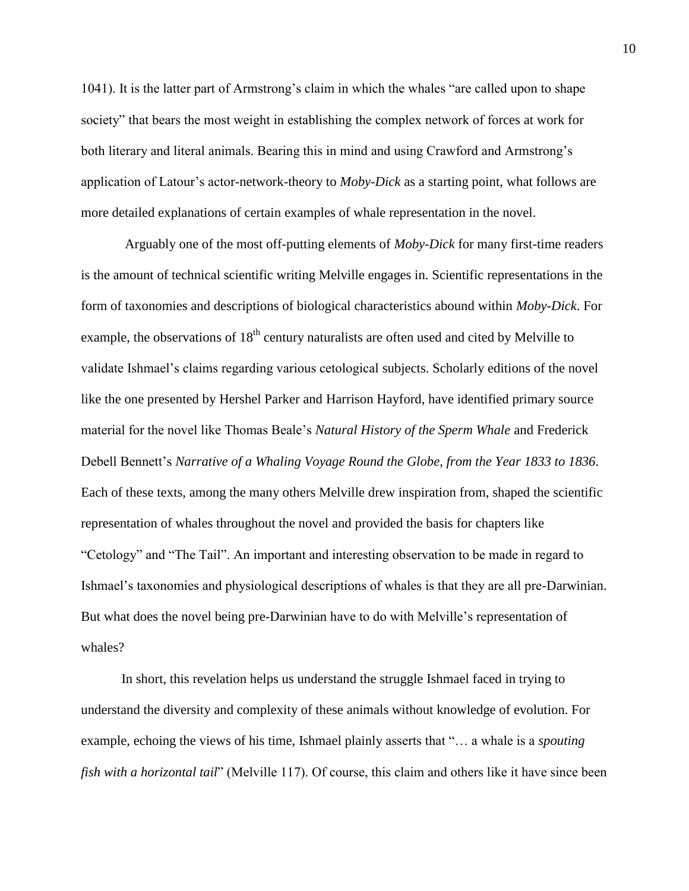1041). It is the latter part of Armstrong's claim in which the whales "are called upon to shape society" that bears the most weight in establishing the complex network of forces at work for both literary and literal animals. Bearing this in mind and using Crawford and Armstrong's application of Latour's actor-network-theory to *Moby-Dick* as a starting point, what follows are more detailed explanations of certain examples of whale representation in the novel.

Arguably one of the most off-putting elements of *Moby-Dick* for many first-time readers is the amount of technical scientific writing Melville engages in. Scientific representations in the form of taxonomies and descriptions of biological characteristics abound within *Moby-Dick*. For example, the observations of  $18<sup>th</sup>$  century naturalists are often used and cited by Melville to validate Ishmael's claims regarding various cetological subjects. Scholarly editions of the novel like the one presented by Hershel Parker and Harrison Hayford, have identified primary source material for the novel like Thomas Beale's *Natural History of the Sperm Whale* and Frederick Debell Bennett's *Narrative of a Whaling Voyage Round the Globe, from the Year 1833 to 1836*. Each of these texts, among the many others Melville drew inspiration from, shaped the scientific representation of whales throughout the novel and provided the basis for chapters like "Cetology" and "The Tail". An important and interesting observation to be made in regard to Ishmael's taxonomies and physiological descriptions of whales is that they are all pre-Darwinian. But what does the novel being pre-Darwinian have to do with Melville's representation of whales?

In short, this revelation helps us understand the struggle Ishmael faced in trying to understand the diversity and complexity of these animals without knowledge of evolution. For example, echoing the views of his time, Ishmael plainly asserts that "… a whale is a *spouting fish with a horizontal tail*" (Melville 117). Of course, this claim and others like it have since been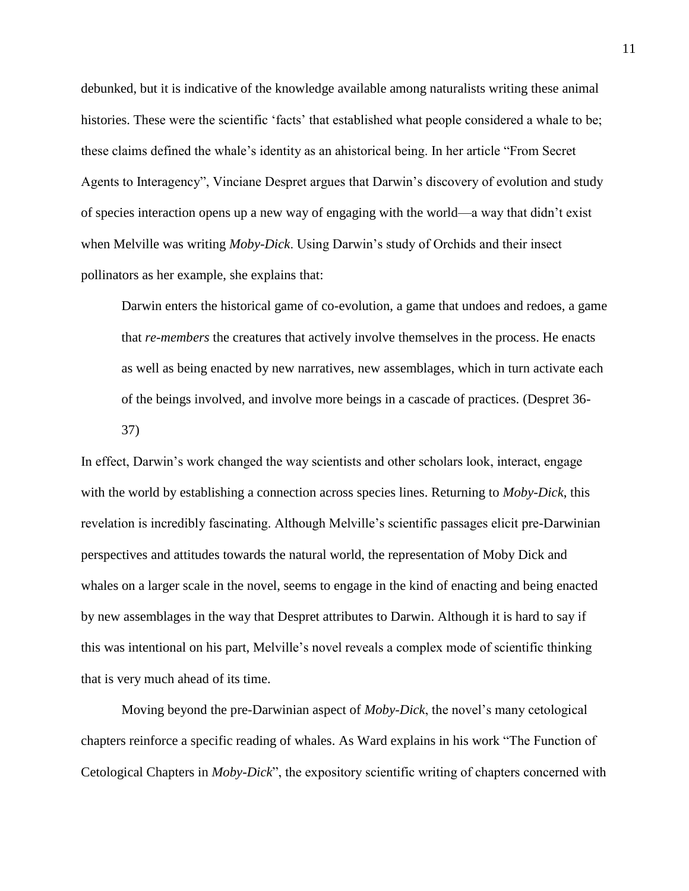debunked, but it is indicative of the knowledge available among naturalists writing these animal histories. These were the scientific 'facts' that established what people considered a whale to be; these claims defined the whale's identity as an ahistorical being. In her article "From Secret Agents to Interagency", Vinciane Despret argues that Darwin's discovery of evolution and study of species interaction opens up a new way of engaging with the world—a way that didn't exist when Melville was writing *Moby-Dick*. Using Darwin's study of Orchids and their insect pollinators as her example, she explains that:

Darwin enters the historical game of co-evolution, a game that undoes and redoes, a game that *re-members* the creatures that actively involve themselves in the process. He enacts as well as being enacted by new narratives, new assemblages, which in turn activate each of the beings involved, and involve more beings in a cascade of practices. (Despret 36- 37)

In effect, Darwin's work changed the way scientists and other scholars look, interact, engage with the world by establishing a connection across species lines. Returning to *Moby-Dick*, this revelation is incredibly fascinating. Although Melville's scientific passages elicit pre-Darwinian perspectives and attitudes towards the natural world, the representation of Moby Dick and whales on a larger scale in the novel, seems to engage in the kind of enacting and being enacted by new assemblages in the way that Despret attributes to Darwin. Although it is hard to say if this was intentional on his part, Melville's novel reveals a complex mode of scientific thinking that is very much ahead of its time.

Moving beyond the pre-Darwinian aspect of *Moby-Dick*, the novel's many cetological chapters reinforce a specific reading of whales. As Ward explains in his work "The Function of Cetological Chapters in *Moby-Dick*", the expository scientific writing of chapters concerned with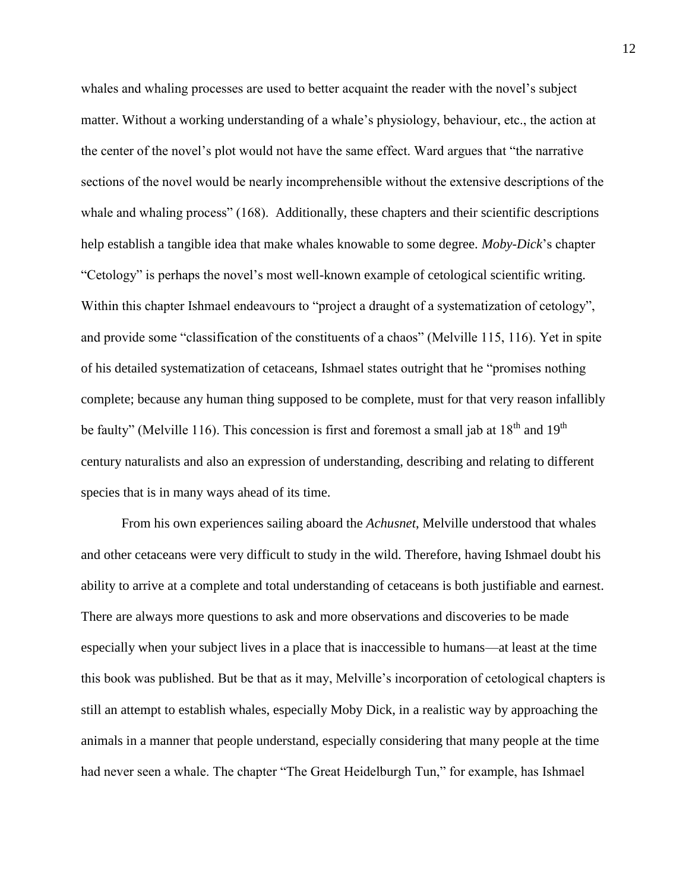whales and whaling processes are used to better acquaint the reader with the novel's subject matter. Without a working understanding of a whale's physiology, behaviour, etc., the action at the center of the novel's plot would not have the same effect. Ward argues that "the narrative sections of the novel would be nearly incomprehensible without the extensive descriptions of the whale and whaling process" (168). Additionally, these chapters and their scientific descriptions help establish a tangible idea that make whales knowable to some degree. *Moby-Dick*'s chapter "Cetology" is perhaps the novel's most well-known example of cetological scientific writing. Within this chapter Ishmael endeavours to "project a draught of a systematization of cetology", and provide some "classification of the constituents of a chaos" (Melville 115, 116). Yet in spite of his detailed systematization of cetaceans, Ishmael states outright that he "promises nothing complete; because any human thing supposed to be complete, must for that very reason infallibly be faulty" (Melville 116). This concession is first and foremost a small jab at  $18<sup>th</sup>$  and  $19<sup>th</sup>$ century naturalists and also an expression of understanding, describing and relating to different species that is in many ways ahead of its time.

From his own experiences sailing aboard the *Achusnet*, Melville understood that whales and other cetaceans were very difficult to study in the wild. Therefore, having Ishmael doubt his ability to arrive at a complete and total understanding of cetaceans is both justifiable and earnest. There are always more questions to ask and more observations and discoveries to be made especially when your subject lives in a place that is inaccessible to humans—at least at the time this book was published. But be that as it may, Melville's incorporation of cetological chapters is still an attempt to establish whales, especially Moby Dick, in a realistic way by approaching the animals in a manner that people understand, especially considering that many people at the time had never seen a whale. The chapter "The Great Heidelburgh Tun," for example, has Ishmael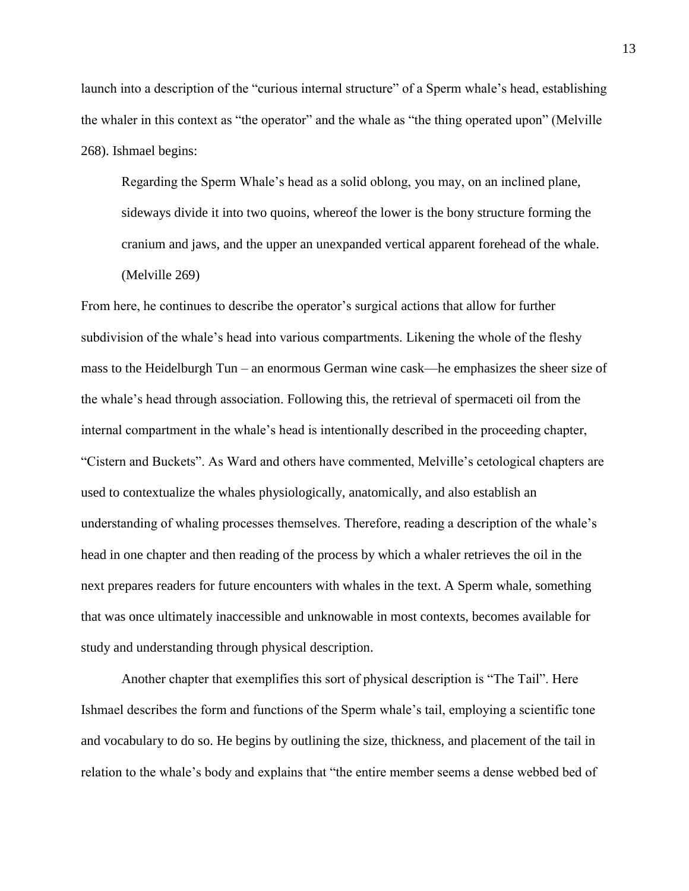launch into a description of the "curious internal structure" of a Sperm whale's head, establishing the whaler in this context as "the operator" and the whale as "the thing operated upon" (Melville 268). Ishmael begins:

Regarding the Sperm Whale's head as a solid oblong, you may, on an inclined plane, sideways divide it into two quoins, whereof the lower is the bony structure forming the cranium and jaws, and the upper an unexpanded vertical apparent forehead of the whale. (Melville 269)

From here, he continues to describe the operator's surgical actions that allow for further subdivision of the whale's head into various compartments. Likening the whole of the fleshy mass to the Heidelburgh Tun – an enormous German wine cask—he emphasizes the sheer size of the whale's head through association. Following this, the retrieval of spermaceti oil from the internal compartment in the whale's head is intentionally described in the proceeding chapter, "Cistern and Buckets". As Ward and others have commented, Melville's cetological chapters are used to contextualize the whales physiologically, anatomically, and also establish an understanding of whaling processes themselves. Therefore, reading a description of the whale's head in one chapter and then reading of the process by which a whaler retrieves the oil in the next prepares readers for future encounters with whales in the text. A Sperm whale, something that was once ultimately inaccessible and unknowable in most contexts, becomes available for study and understanding through physical description.

Another chapter that exemplifies this sort of physical description is "The Tail". Here Ishmael describes the form and functions of the Sperm whale's tail, employing a scientific tone and vocabulary to do so. He begins by outlining the size, thickness, and placement of the tail in relation to the whale's body and explains that "the entire member seems a dense webbed bed of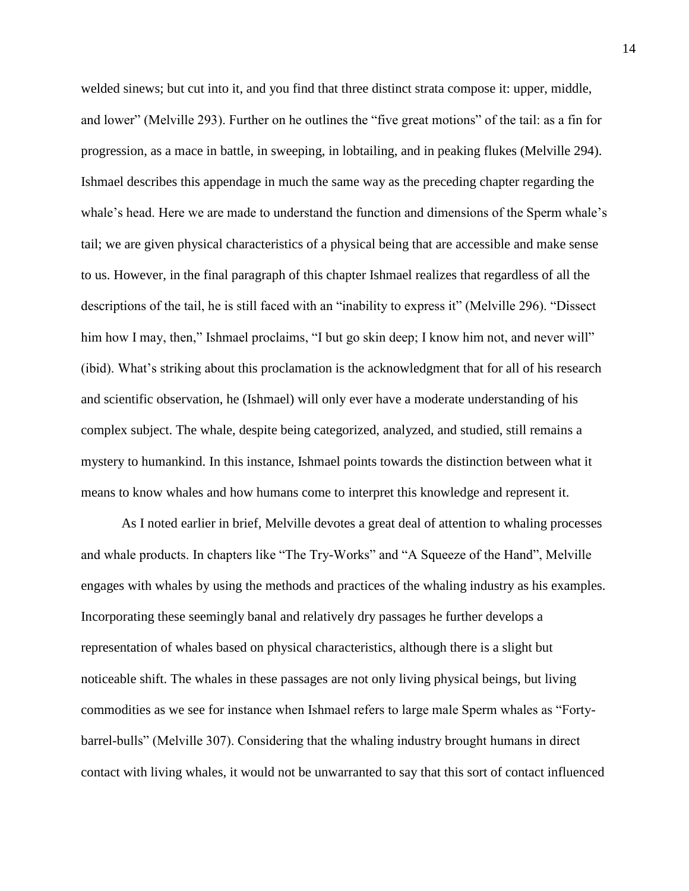welded sinews; but cut into it, and you find that three distinct strata compose it: upper, middle, and lower" (Melville 293). Further on he outlines the "five great motions" of the tail: as a fin for progression, as a mace in battle, in sweeping, in lobtailing, and in peaking flukes (Melville 294). Ishmael describes this appendage in much the same way as the preceding chapter regarding the whale's head. Here we are made to understand the function and dimensions of the Sperm whale's tail; we are given physical characteristics of a physical being that are accessible and make sense to us. However, in the final paragraph of this chapter Ishmael realizes that regardless of all the descriptions of the tail, he is still faced with an "inability to express it" (Melville 296). "Dissect him how I may, then," Ishmael proclaims, "I but go skin deep; I know him not, and never will" (ibid). What's striking about this proclamation is the acknowledgment that for all of his research and scientific observation, he (Ishmael) will only ever have a moderate understanding of his complex subject. The whale, despite being categorized, analyzed, and studied, still remains a mystery to humankind. In this instance, Ishmael points towards the distinction between what it means to know whales and how humans come to interpret this knowledge and represent it.

As I noted earlier in brief, Melville devotes a great deal of attention to whaling processes and whale products. In chapters like "The Try-Works" and "A Squeeze of the Hand", Melville engages with whales by using the methods and practices of the whaling industry as his examples. Incorporating these seemingly banal and relatively dry passages he further develops a representation of whales based on physical characteristics, although there is a slight but noticeable shift. The whales in these passages are not only living physical beings, but living commodities as we see for instance when Ishmael refers to large male Sperm whales as "Fortybarrel-bulls" (Melville 307). Considering that the whaling industry brought humans in direct contact with living whales, it would not be unwarranted to say that this sort of contact influenced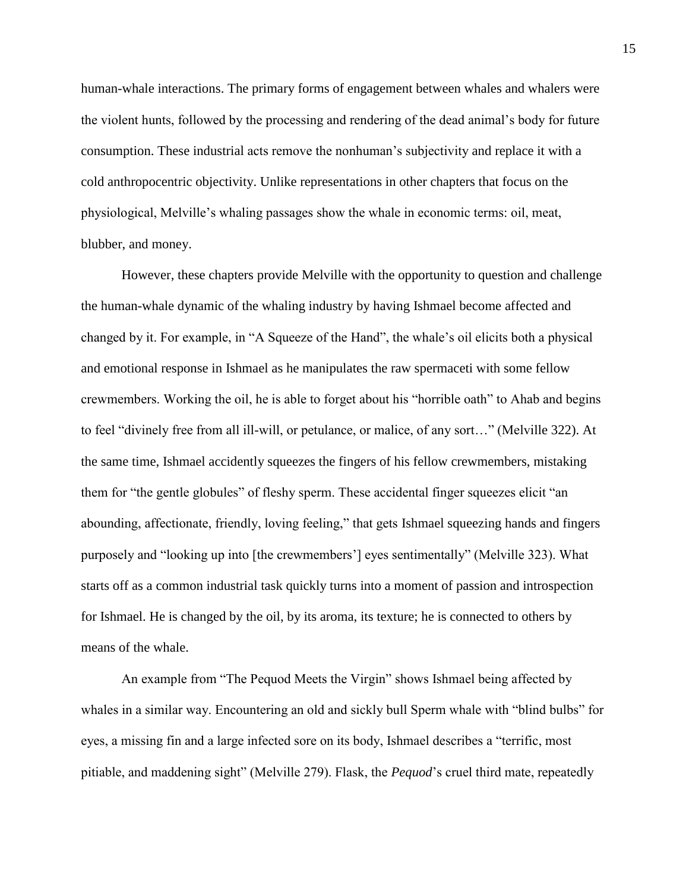human-whale interactions. The primary forms of engagement between whales and whalers were the violent hunts, followed by the processing and rendering of the dead animal's body for future consumption. These industrial acts remove the nonhuman's subjectivity and replace it with a cold anthropocentric objectivity. Unlike representations in other chapters that focus on the physiological, Melville's whaling passages show the whale in economic terms: oil, meat, blubber, and money.

However, these chapters provide Melville with the opportunity to question and challenge the human-whale dynamic of the whaling industry by having Ishmael become affected and changed by it. For example, in "A Squeeze of the Hand", the whale's oil elicits both a physical and emotional response in Ishmael as he manipulates the raw spermaceti with some fellow crewmembers. Working the oil, he is able to forget about his "horrible oath" to Ahab and begins to feel "divinely free from all ill-will, or petulance, or malice, of any sort…" (Melville 322). At the same time, Ishmael accidently squeezes the fingers of his fellow crewmembers, mistaking them for "the gentle globules" of fleshy sperm. These accidental finger squeezes elicit "an abounding, affectionate, friendly, loving feeling," that gets Ishmael squeezing hands and fingers purposely and "looking up into [the crewmembers'] eyes sentimentally" (Melville 323). What starts off as a common industrial task quickly turns into a moment of passion and introspection for Ishmael. He is changed by the oil, by its aroma, its texture; he is connected to others by means of the whale.

An example from "The Pequod Meets the Virgin" shows Ishmael being affected by whales in a similar way. Encountering an old and sickly bull Sperm whale with "blind bulbs" for eyes, a missing fin and a large infected sore on its body, Ishmael describes a "terrific, most pitiable, and maddening sight" (Melville 279). Flask, the *Pequod*'s cruel third mate, repeatedly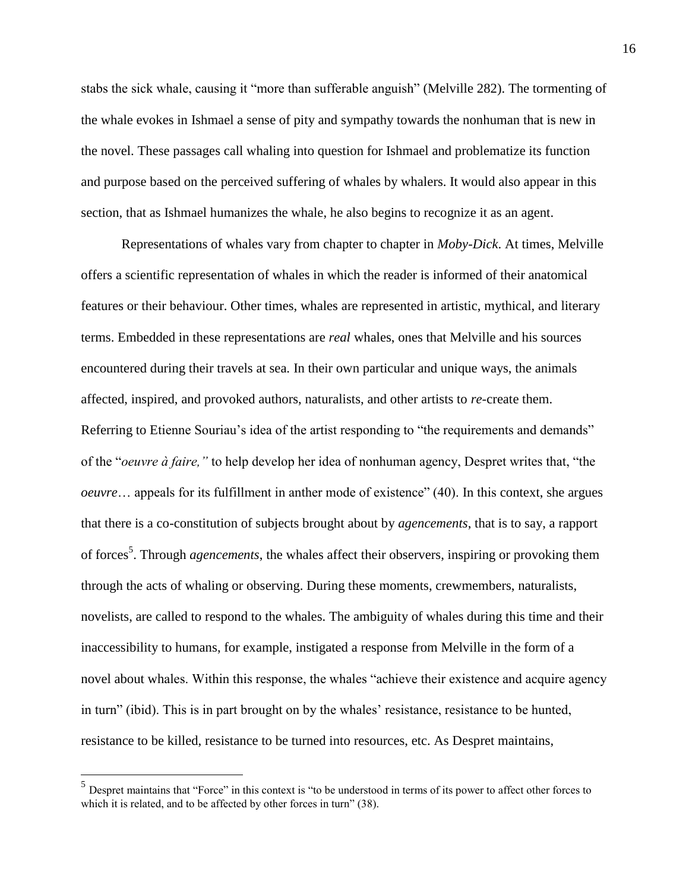stabs the sick whale, causing it "more than sufferable anguish" (Melville 282). The tormenting of the whale evokes in Ishmael a sense of pity and sympathy towards the nonhuman that is new in the novel. These passages call whaling into question for Ishmael and problematize its function and purpose based on the perceived suffering of whales by whalers. It would also appear in this section, that as Ishmael humanizes the whale, he also begins to recognize it as an agent.

Representations of whales vary from chapter to chapter in *Moby-Dick*. At times, Melville offers a scientific representation of whales in which the reader is informed of their anatomical features or their behaviour. Other times, whales are represented in artistic, mythical, and literary terms. Embedded in these representations are *real* whales, ones that Melville and his sources encountered during their travels at sea. In their own particular and unique ways, the animals affected, inspired, and provoked authors, naturalists, and other artists to *re*-create them. Referring to Etienne Souriau's idea of the artist responding to "the requirements and demands" of the "*oeuvre à faire,"* to help develop her idea of nonhuman agency, Despret writes that, "the *oeuvre*… appeals for its fulfillment in anther mode of existence" (40). In this context, she argues that there is a co-constitution of subjects brought about by *agencements*, that is to say, a rapport of forces<sup>5</sup>. Through *agencements*, the whales affect their observers, inspiring or provoking them through the acts of whaling or observing. During these moments, crewmembers, naturalists, novelists, are called to respond to the whales. The ambiguity of whales during this time and their inaccessibility to humans, for example, instigated a response from Melville in the form of a novel about whales. Within this response, the whales "achieve their existence and acquire agency in turn" (ibid). This is in part brought on by the whales' resistance, resistance to be hunted, resistance to be killed, resistance to be turned into resources, etc. As Despret maintains,

<sup>&</sup>lt;sup>5</sup><br><sup>5</sup> Despret maintains that "Force" in this context is "to be understood in terms of its power to affect other forces to which it is related, and to be affected by other forces in turn" (38).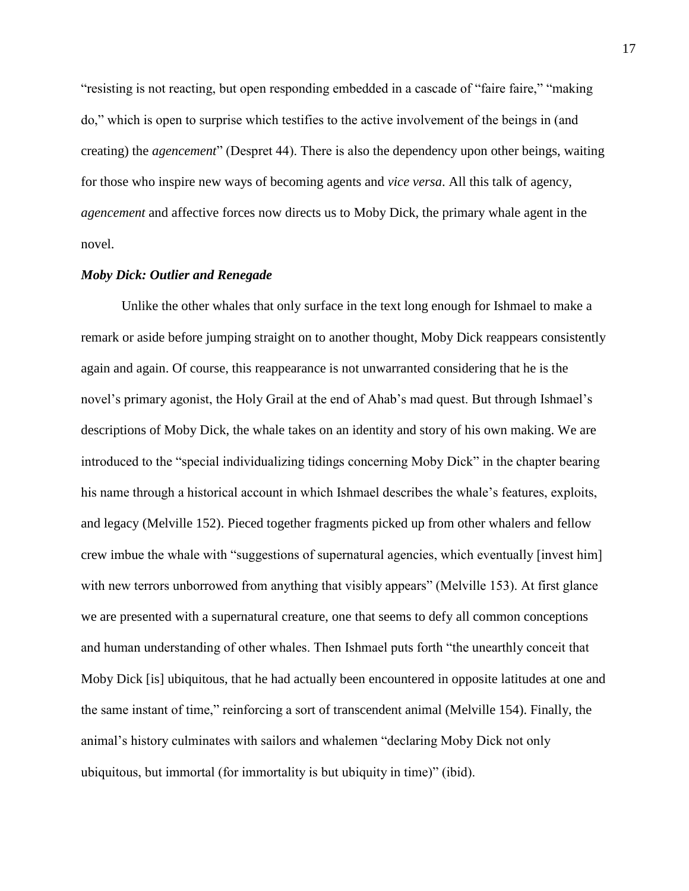"resisting is not reacting, but open responding embedded in a cascade of "faire faire," "making do," which is open to surprise which testifies to the active involvement of the beings in (and creating) the *agencement*" (Despret 44). There is also the dependency upon other beings, waiting for those who inspire new ways of becoming agents and *vice versa*. All this talk of agency, *agencement* and affective forces now directs us to Moby Dick, the primary whale agent in the novel.

## *Moby Dick: Outlier and Renegade*

Unlike the other whales that only surface in the text long enough for Ishmael to make a remark or aside before jumping straight on to another thought, Moby Dick reappears consistently again and again. Of course, this reappearance is not unwarranted considering that he is the novel's primary agonist, the Holy Grail at the end of Ahab's mad quest. But through Ishmael's descriptions of Moby Dick, the whale takes on an identity and story of his own making. We are introduced to the "special individualizing tidings concerning Moby Dick" in the chapter bearing his name through a historical account in which Ishmael describes the whale's features, exploits, and legacy (Melville 152). Pieced together fragments picked up from other whalers and fellow crew imbue the whale with "suggestions of supernatural agencies, which eventually [invest him] with new terrors unborrowed from anything that visibly appears" (Melville 153). At first glance we are presented with a supernatural creature, one that seems to defy all common conceptions and human understanding of other whales. Then Ishmael puts forth "the unearthly conceit that Moby Dick [is] ubiquitous, that he had actually been encountered in opposite latitudes at one and the same instant of time," reinforcing a sort of transcendent animal (Melville 154). Finally, the animal's history culminates with sailors and whalemen "declaring Moby Dick not only ubiquitous, but immortal (for immortality is but ubiquity in time)" (ibid).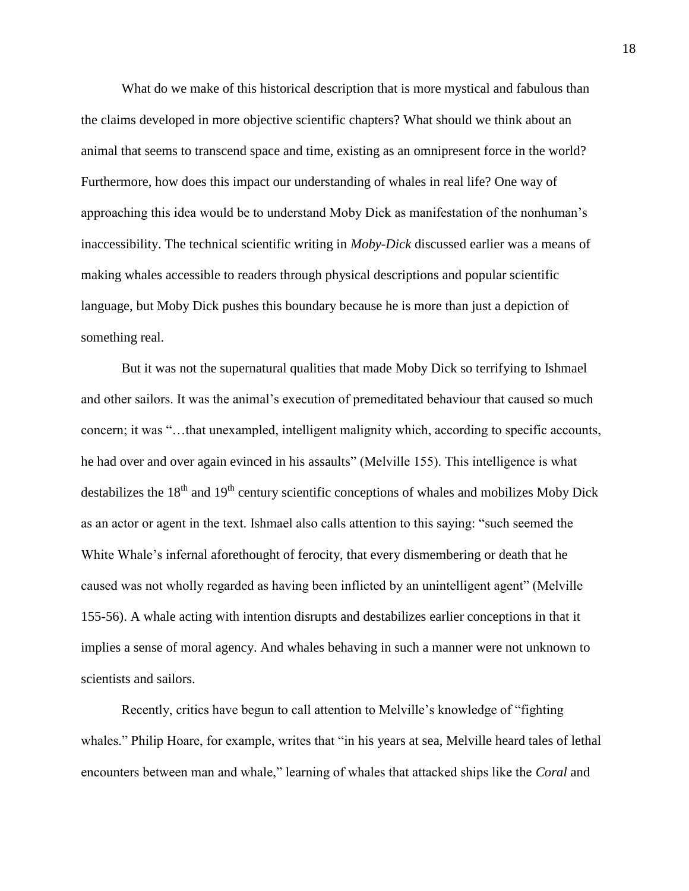What do we make of this historical description that is more mystical and fabulous than the claims developed in more objective scientific chapters? What should we think about an animal that seems to transcend space and time, existing as an omnipresent force in the world? Furthermore, how does this impact our understanding of whales in real life? One way of approaching this idea would be to understand Moby Dick as manifestation of the nonhuman's inaccessibility. The technical scientific writing in *Moby-Dick* discussed earlier was a means of making whales accessible to readers through physical descriptions and popular scientific language, but Moby Dick pushes this boundary because he is more than just a depiction of something real.

But it was not the supernatural qualities that made Moby Dick so terrifying to Ishmael and other sailors. It was the animal's execution of premeditated behaviour that caused so much concern; it was "…that unexampled, intelligent malignity which, according to specific accounts, he had over and over again evinced in his assaults" (Melville 155). This intelligence is what destabilizes the  $18<sup>th</sup>$  and  $19<sup>th</sup>$  century scientific conceptions of whales and mobilizes Moby Dick as an actor or agent in the text. Ishmael also calls attention to this saying: "such seemed the White Whale's infernal aforethought of ferocity, that every dismembering or death that he caused was not wholly regarded as having been inflicted by an unintelligent agent" (Melville 155-56). A whale acting with intention disrupts and destabilizes earlier conceptions in that it implies a sense of moral agency. And whales behaving in such a manner were not unknown to scientists and sailors.

Recently, critics have begun to call attention to Melville's knowledge of "fighting whales." Philip Hoare, for example, writes that "in his years at sea, Melville heard tales of lethal encounters between man and whale," learning of whales that attacked ships like the *Coral* and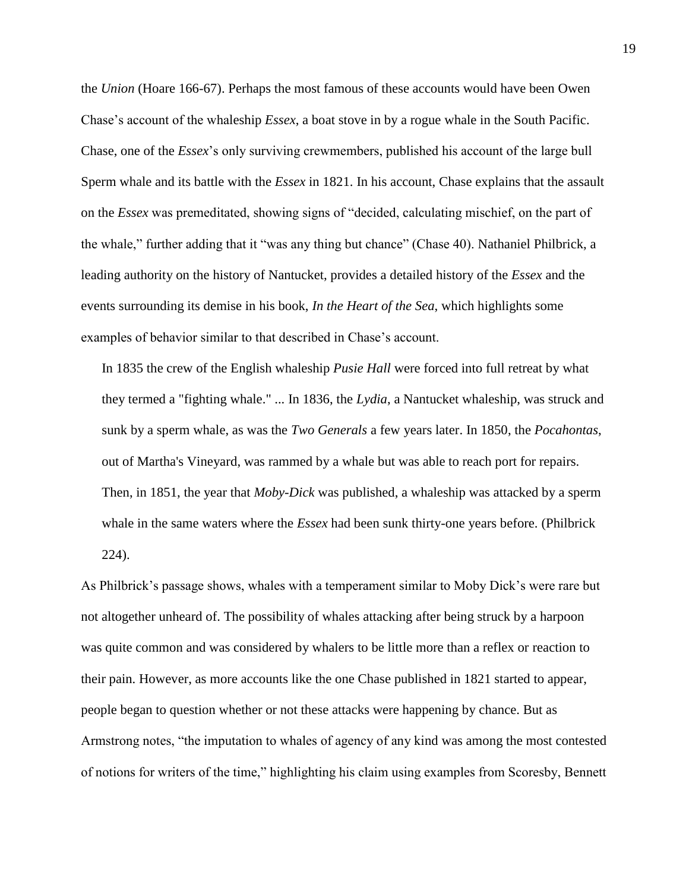the *Union* (Hoare 166-67). Perhaps the most famous of these accounts would have been Owen Chase's account of the whaleship *Essex*, a boat stove in by a rogue whale in the South Pacific. Chase, one of the *Essex*'s only surviving crewmembers, published his account of the large bull Sperm whale and its battle with the *Essex* in 1821. In his account, Chase explains that the assault on the *Essex* was premeditated, showing signs of "decided, calculating mischief, on the part of the whale," further adding that it "was any thing but chance" (Chase 40). Nathaniel Philbrick, a leading authority on the history of Nantucket, provides a detailed history of the *Essex* and the events surrounding its demise in his book, *In the Heart of the Sea*, which highlights some examples of behavior similar to that described in Chase's account.

In 1835 the crew of the English whaleship *Pusie Hall* were forced into full retreat by what they termed a "fighting whale." ... In 1836, the *Lydia*, a Nantucket whaleship, was struck and sunk by a sperm whale, as was the *Two Generals* a few years later. In 1850, the *Pocahontas*, out of Martha's Vineyard, was rammed by a whale but was able to reach port for repairs. Then, in 1851, the year that *Moby-Dick* was published, a whaleship was attacked by a sperm whale in the same waters where the *Essex* had been sunk thirty-one years before. (Philbrick 224).

As Philbrick's passage shows, whales with a temperament similar to Moby Dick's were rare but not altogether unheard of. The possibility of whales attacking after being struck by a harpoon was quite common and was considered by whalers to be little more than a reflex or reaction to their pain. However, as more accounts like the one Chase published in 1821 started to appear, people began to question whether or not these attacks were happening by chance. But as Armstrong notes, "the imputation to whales of agency of any kind was among the most contested of notions for writers of the time," highlighting his claim using examples from Scoresby, Bennett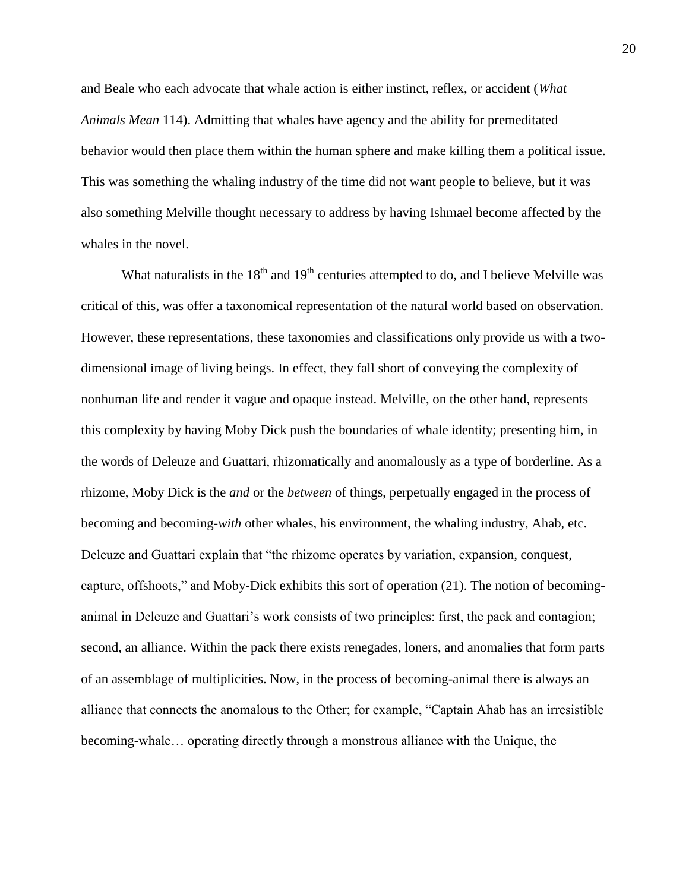and Beale who each advocate that whale action is either instinct, reflex, or accident (*What Animals Mean* 114). Admitting that whales have agency and the ability for premeditated behavior would then place them within the human sphere and make killing them a political issue. This was something the whaling industry of the time did not want people to believe, but it was also something Melville thought necessary to address by having Ishmael become affected by the whales in the novel.

What naturalists in the  $18<sup>th</sup>$  and  $19<sup>th</sup>$  centuries attempted to do, and I believe Melville was critical of this, was offer a taxonomical representation of the natural world based on observation. However, these representations, these taxonomies and classifications only provide us with a twodimensional image of living beings. In effect, they fall short of conveying the complexity of nonhuman life and render it vague and opaque instead. Melville, on the other hand, represents this complexity by having Moby Dick push the boundaries of whale identity; presenting him, in the words of Deleuze and Guattari, rhizomatically and anomalously as a type of borderline. As a rhizome, Moby Dick is the *and* or the *between* of things, perpetually engaged in the process of becoming and becoming-*with* other whales, his environment, the whaling industry, Ahab, etc. Deleuze and Guattari explain that "the rhizome operates by variation, expansion, conquest, capture, offshoots," and Moby-Dick exhibits this sort of operation (21). The notion of becominganimal in Deleuze and Guattari's work consists of two principles: first, the pack and contagion; second, an alliance. Within the pack there exists renegades, loners, and anomalies that form parts of an assemblage of multiplicities. Now, in the process of becoming-animal there is always an alliance that connects the anomalous to the Other; for example, "Captain Ahab has an irresistible becoming-whale… operating directly through a monstrous alliance with the Unique, the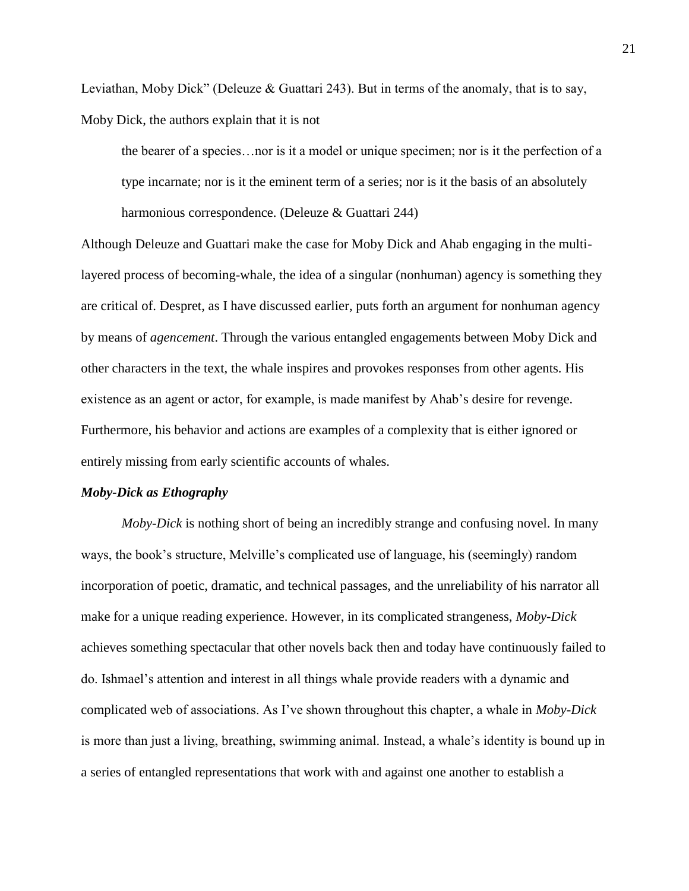Leviathan, Moby Dick" (Deleuze & Guattari 243). But in terms of the anomaly, that is to say, Moby Dick, the authors explain that it is not

the bearer of a species…nor is it a model or unique specimen; nor is it the perfection of a type incarnate; nor is it the eminent term of a series; nor is it the basis of an absolutely harmonious correspondence. (Deleuze & Guattari 244)

Although Deleuze and Guattari make the case for Moby Dick and Ahab engaging in the multilayered process of becoming-whale, the idea of a singular (nonhuman) agency is something they are critical of. Despret, as I have discussed earlier, puts forth an argument for nonhuman agency by means of *agencement*. Through the various entangled engagements between Moby Dick and other characters in the text, the whale inspires and provokes responses from other agents. His existence as an agent or actor, for example, is made manifest by Ahab's desire for revenge. Furthermore, his behavior and actions are examples of a complexity that is either ignored or entirely missing from early scientific accounts of whales.

# *Moby-Dick as Ethography*

*Moby-Dick* is nothing short of being an incredibly strange and confusing novel. In many ways, the book's structure, Melville's complicated use of language, his (seemingly) random incorporation of poetic, dramatic, and technical passages, and the unreliability of his narrator all make for a unique reading experience. However, in its complicated strangeness, *Moby-Dick* achieves something spectacular that other novels back then and today have continuously failed to do. Ishmael's attention and interest in all things whale provide readers with a dynamic and complicated web of associations. As I've shown throughout this chapter, a whale in *Moby-Dick* is more than just a living, breathing, swimming animal. Instead, a whale's identity is bound up in a series of entangled representations that work with and against one another to establish a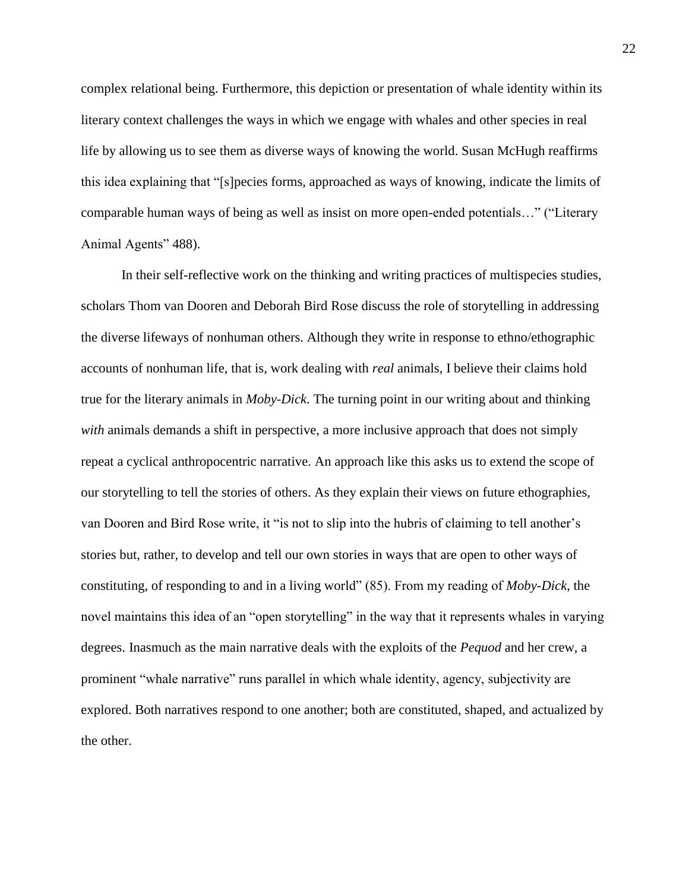complex relational being. Furthermore, this depiction or presentation of whale identity within its literary context challenges the ways in which we engage with whales and other species in real life by allowing us to see them as diverse ways of knowing the world. Susan McHugh reaffirms this idea explaining that "[s]pecies forms, approached as ways of knowing, indicate the limits of comparable human ways of being as well as insist on more open-ended potentials…" ("Literary Animal Agents" 488).

In their self-reflective work on the thinking and writing practices of multispecies studies, scholars Thom van Dooren and Deborah Bird Rose discuss the role of storytelling in addressing the diverse lifeways of nonhuman others. Although they write in response to ethno/ethographic accounts of nonhuman life, that is, work dealing with *real* animals, I believe their claims hold true for the literary animals in *Moby-Dick*. The turning point in our writing about and thinking *with* animals demands a shift in perspective, a more inclusive approach that does not simply repeat a cyclical anthropocentric narrative. An approach like this asks us to extend the scope of our storytelling to tell the stories of others. As they explain their views on future ethographies, van Dooren and Bird Rose write, it "is not to slip into the hubris of claiming to tell another's stories but, rather, to develop and tell our own stories in ways that are open to other ways of constituting, of responding to and in a living world" (85). From my reading of *Moby-Dick*, the novel maintains this idea of an "open storytelling" in the way that it represents whales in varying degrees. Inasmuch as the main narrative deals with the exploits of the *Pequod* and her crew, a prominent "whale narrative" runs parallel in which whale identity, agency, subjectivity are explored. Both narratives respond to one another; both are constituted, shaped, and actualized by the other.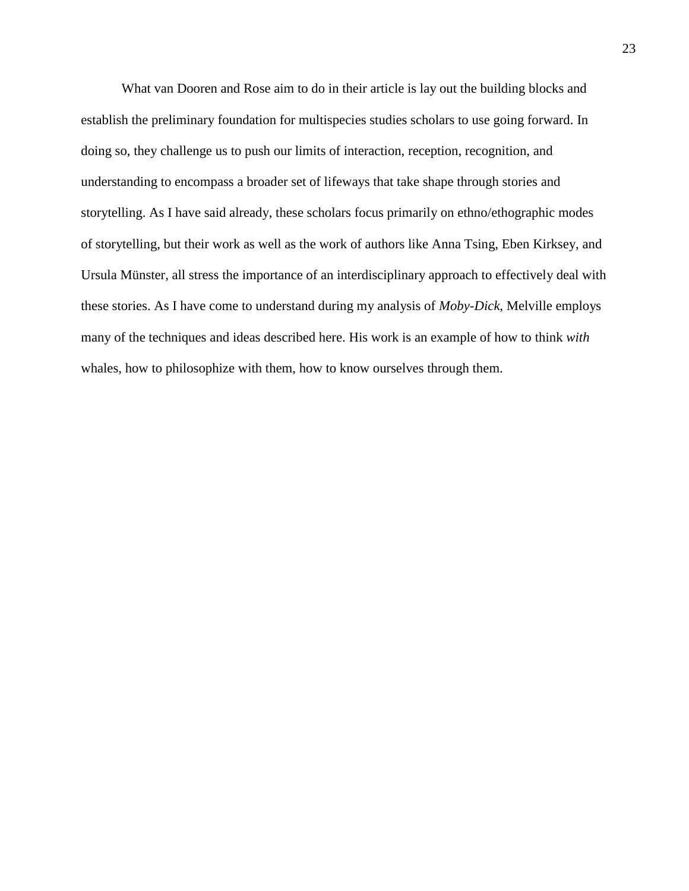What van Dooren and Rose aim to do in their article is lay out the building blocks and establish the preliminary foundation for multispecies studies scholars to use going forward. In doing so, they challenge us to push our limits of interaction, reception, recognition, and understanding to encompass a broader set of lifeways that take shape through stories and storytelling. As I have said already, these scholars focus primarily on ethno/ethographic modes of storytelling, but their work as well as the work of authors like Anna Tsing, Eben Kirksey, and Ursula Münster, all stress the importance of an interdisciplinary approach to effectively deal with these stories. As I have come to understand during my analysis of *Moby-Dick*, Melville employs many of the techniques and ideas described here. His work is an example of how to think *with*  whales, how to philosophize with them, how to know ourselves through them.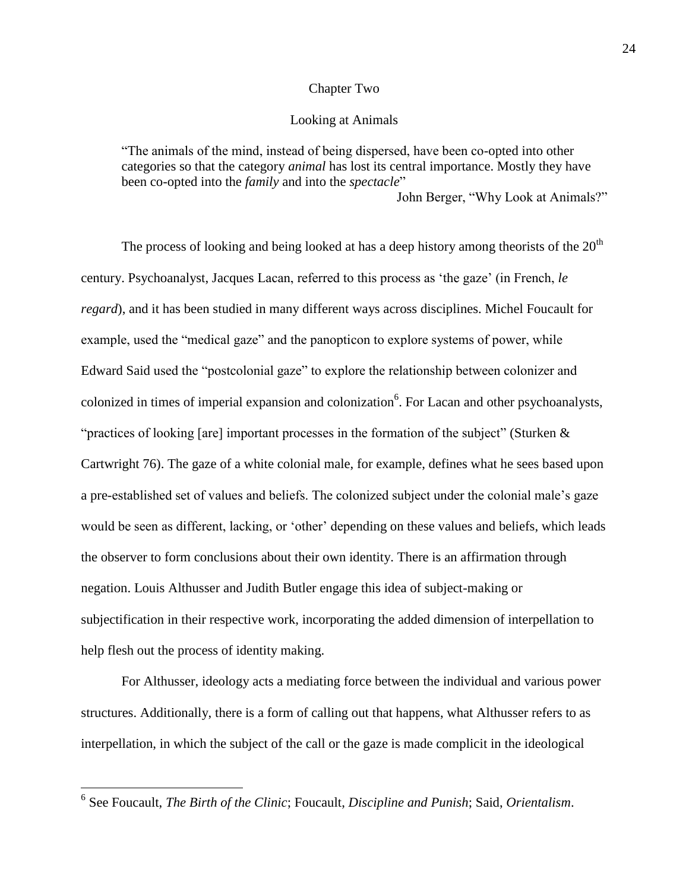## Chapter Two

#### Looking at Animals

"The animals of the mind, instead of being dispersed, have been co-opted into other categories so that the category *animal* has lost its central importance. Mostly they have been co-opted into the *family* and into the *spectacle*"

John Berger, "Why Look at Animals?"

The process of looking and being looked at has a deep history among theorists of the  $20<sup>th</sup>$ century. Psychoanalyst, Jacques Lacan, referred to this process as 'the gaze' (in French, *le regard*), and it has been studied in many different ways across disciplines. Michel Foucault for example, used the "medical gaze" and the panopticon to explore systems of power, while Edward Said used the "postcolonial gaze" to explore the relationship between colonizer and colonized in times of imperial expansion and colonization<sup>6</sup>. For Lacan and other psychoanalysts, "practices of looking [are] important processes in the formation of the subject" (Sturken & Cartwright 76). The gaze of a white colonial male, for example, defines what he sees based upon a pre-established set of values and beliefs. The colonized subject under the colonial male's gaze would be seen as different, lacking, or 'other' depending on these values and beliefs, which leads the observer to form conclusions about their own identity. There is an affirmation through negation. Louis Althusser and Judith Butler engage this idea of subject-making or subjectification in their respective work, incorporating the added dimension of interpellation to help flesh out the process of identity making.

For Althusser, ideology acts a mediating force between the individual and various power structures. Additionally, there is a form of calling out that happens, what Althusser refers to as interpellation, in which the subject of the call or the gaze is made complicit in the ideological

 6 See Foucault, *The Birth of the Clinic*; Foucault, *Discipline and Punish*; Said, *Orientalism*.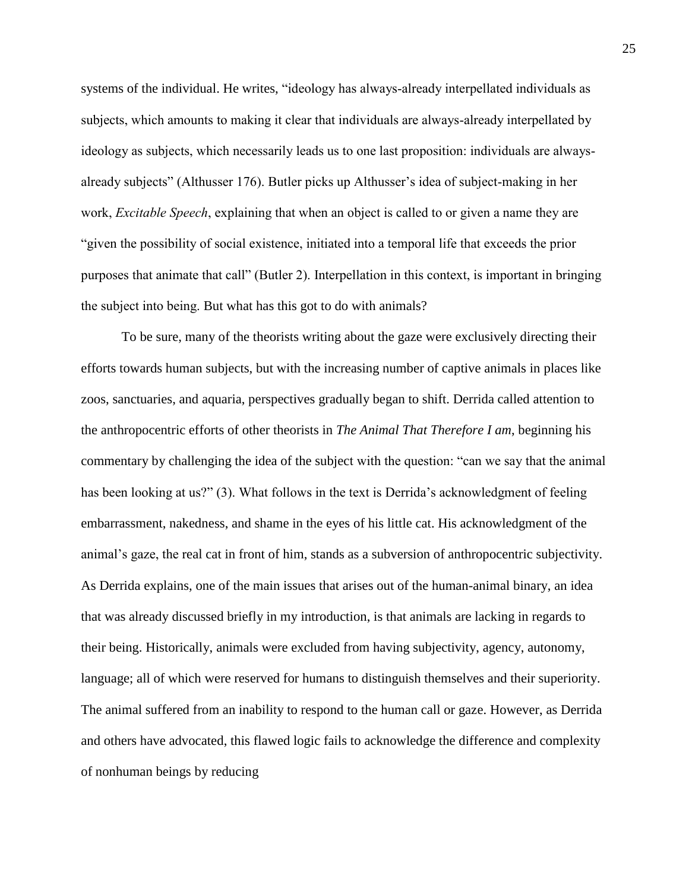systems of the individual. He writes, "ideology has always-already interpellated individuals as subjects, which amounts to making it clear that individuals are always-already interpellated by ideology as subjects, which necessarily leads us to one last proposition: individuals are alwaysalready subjects" (Althusser 176). Butler picks up Althusser's idea of subject-making in her work, *Excitable Speech*, explaining that when an object is called to or given a name they are "given the possibility of social existence, initiated into a temporal life that exceeds the prior purposes that animate that call" (Butler 2). Interpellation in this context, is important in bringing the subject into being. But what has this got to do with animals?

To be sure, many of the theorists writing about the gaze were exclusively directing their efforts towards human subjects, but with the increasing number of captive animals in places like zoos, sanctuaries, and aquaria, perspectives gradually began to shift. Derrida called attention to the anthropocentric efforts of other theorists in *The Animal That Therefore I am*, beginning his commentary by challenging the idea of the subject with the question: "can we say that the animal has been looking at us?" (3). What follows in the text is Derrida's acknowledgment of feeling embarrassment, nakedness, and shame in the eyes of his little cat. His acknowledgment of the animal's gaze, the real cat in front of him, stands as a subversion of anthropocentric subjectivity. As Derrida explains, one of the main issues that arises out of the human-animal binary, an idea that was already discussed briefly in my introduction, is that animals are lacking in regards to their being. Historically, animals were excluded from having subjectivity, agency, autonomy, language; all of which were reserved for humans to distinguish themselves and their superiority. The animal suffered from an inability to respond to the human call or gaze. However, as Derrida and others have advocated, this flawed logic fails to acknowledge the difference and complexity of nonhuman beings by reducing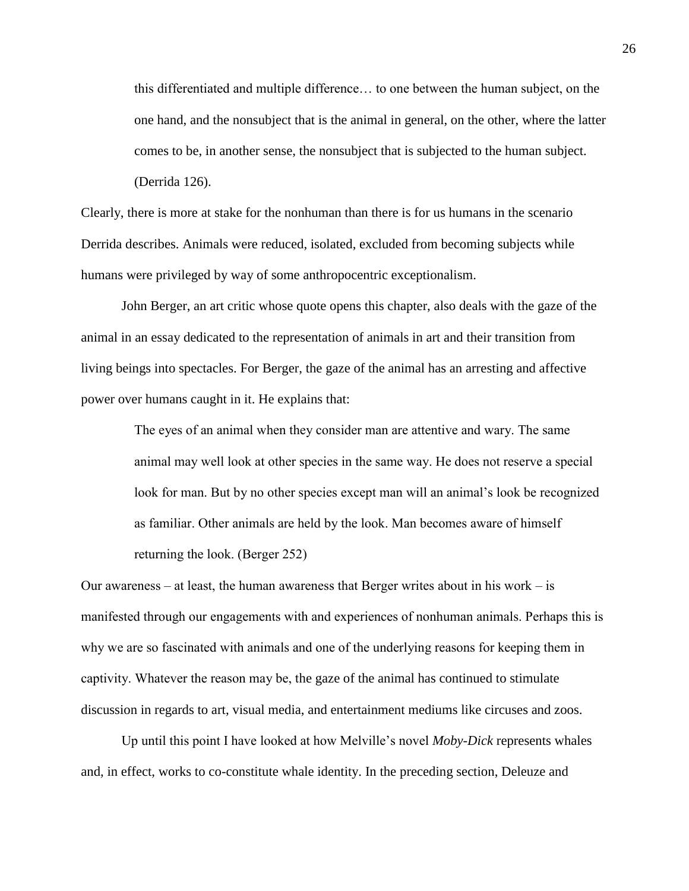this differentiated and multiple difference… to one between the human subject, on the one hand, and the nonsubject that is the animal in general, on the other, where the latter comes to be, in another sense, the nonsubject that is subjected to the human subject. (Derrida 126).

Clearly, there is more at stake for the nonhuman than there is for us humans in the scenario Derrida describes. Animals were reduced, isolated, excluded from becoming subjects while humans were privileged by way of some anthropocentric exceptionalism.

John Berger, an art critic whose quote opens this chapter, also deals with the gaze of the animal in an essay dedicated to the representation of animals in art and their transition from living beings into spectacles. For Berger, the gaze of the animal has an arresting and affective power over humans caught in it. He explains that:

The eyes of an animal when they consider man are attentive and wary. The same animal may well look at other species in the same way. He does not reserve a special look for man. But by no other species except man will an animal's look be recognized as familiar. Other animals are held by the look. Man becomes aware of himself returning the look. (Berger 252)

Our awareness – at least, the human awareness that Berger writes about in his work – is manifested through our engagements with and experiences of nonhuman animals. Perhaps this is why we are so fascinated with animals and one of the underlying reasons for keeping them in captivity. Whatever the reason may be, the gaze of the animal has continued to stimulate discussion in regards to art, visual media, and entertainment mediums like circuses and zoos.

Up until this point I have looked at how Melville's novel *Moby-Dick* represents whales and, in effect, works to co-constitute whale identity. In the preceding section, Deleuze and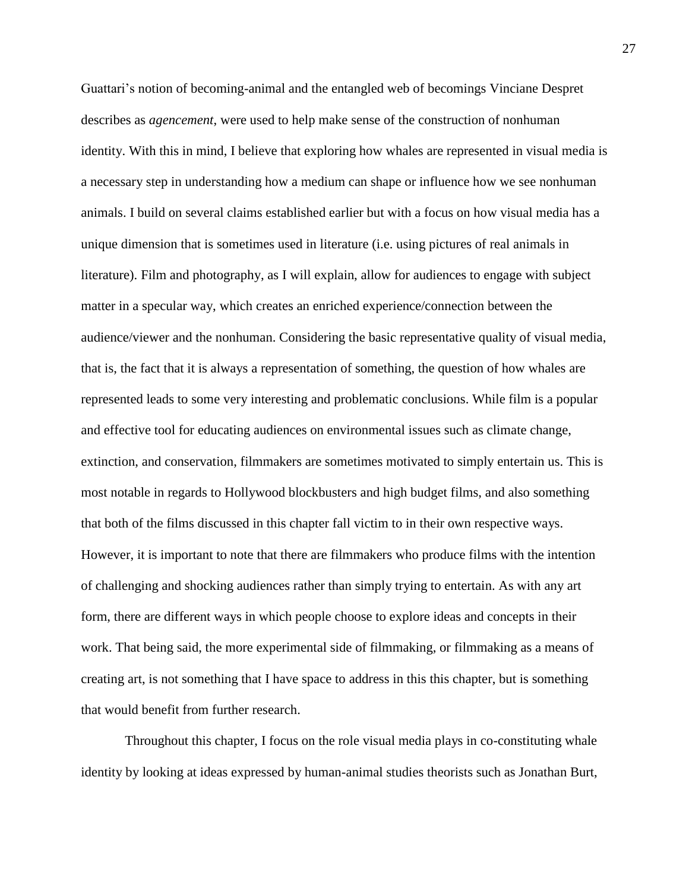Guattari's notion of becoming-animal and the entangled web of becomings Vinciane Despret describes as *agencement*, were used to help make sense of the construction of nonhuman identity. With this in mind, I believe that exploring how whales are represented in visual media is a necessary step in understanding how a medium can shape or influence how we see nonhuman animals. I build on several claims established earlier but with a focus on how visual media has a unique dimension that is sometimes used in literature (i.e. using pictures of real animals in literature). Film and photography, as I will explain, allow for audiences to engage with subject matter in a specular way, which creates an enriched experience/connection between the audience/viewer and the nonhuman. Considering the basic representative quality of visual media, that is, the fact that it is always a representation of something, the question of how whales are represented leads to some very interesting and problematic conclusions. While film is a popular and effective tool for educating audiences on environmental issues such as climate change, extinction, and conservation, filmmakers are sometimes motivated to simply entertain us. This is most notable in regards to Hollywood blockbusters and high budget films, and also something that both of the films discussed in this chapter fall victim to in their own respective ways. However, it is important to note that there are filmmakers who produce films with the intention of challenging and shocking audiences rather than simply trying to entertain. As with any art form, there are different ways in which people choose to explore ideas and concepts in their work. That being said, the more experimental side of filmmaking, or filmmaking as a means of creating art, is not something that I have space to address in this this chapter, but is something that would benefit from further research.

Throughout this chapter, I focus on the role visual media plays in co-constituting whale identity by looking at ideas expressed by human-animal studies theorists such as Jonathan Burt,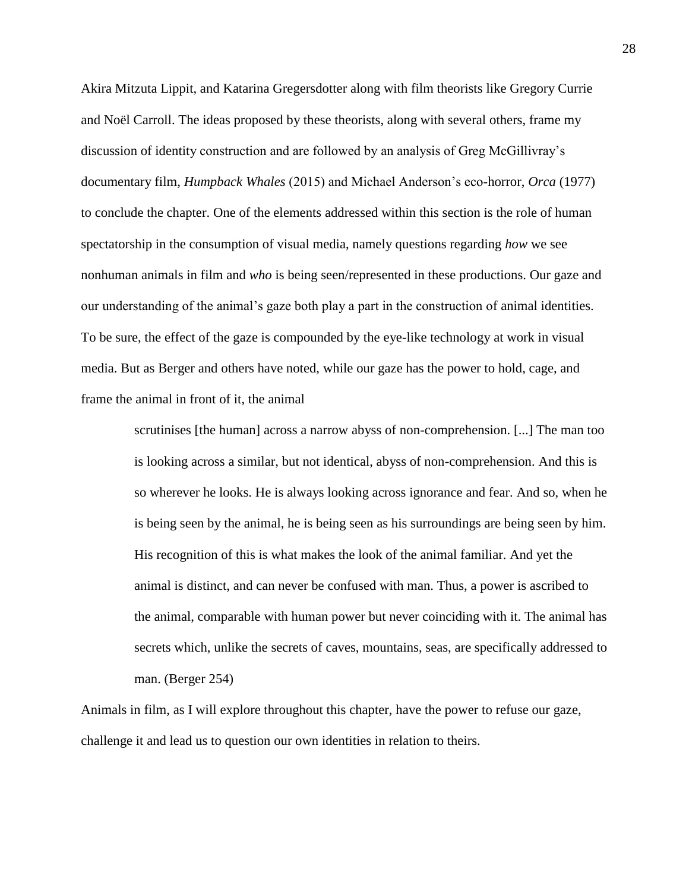Akira Mitzuta Lippit, and Katarina Gregersdotter along with film theorists like Gregory Currie and Noël Carroll. The ideas proposed by these theorists, along with several others, frame my discussion of identity construction and are followed by an analysis of Greg McGillivray's documentary film, *Humpback Whales* (2015) and Michael Anderson's eco-horror, *Orca* (1977) to conclude the chapter. One of the elements addressed within this section is the role of human spectatorship in the consumption of visual media, namely questions regarding *how* we see nonhuman animals in film and *who* is being seen/represented in these productions. Our gaze and our understanding of the animal's gaze both play a part in the construction of animal identities. To be sure, the effect of the gaze is compounded by the eye-like technology at work in visual media. But as Berger and others have noted, while our gaze has the power to hold, cage, and frame the animal in front of it, the animal

> scrutinises [the human] across a narrow abyss of non-comprehension. [...] The man too is looking across a similar, but not identical, abyss of non-comprehension. And this is so wherever he looks. He is always looking across ignorance and fear. And so, when he is being seen by the animal, he is being seen as his surroundings are being seen by him. His recognition of this is what makes the look of the animal familiar. And yet the animal is distinct, and can never be confused with man. Thus, a power is ascribed to the animal, comparable with human power but never coinciding with it. The animal has secrets which, unlike the secrets of caves, mountains, seas, are specifically addressed to man. (Berger 254)

Animals in film, as I will explore throughout this chapter, have the power to refuse our gaze, challenge it and lead us to question our own identities in relation to theirs.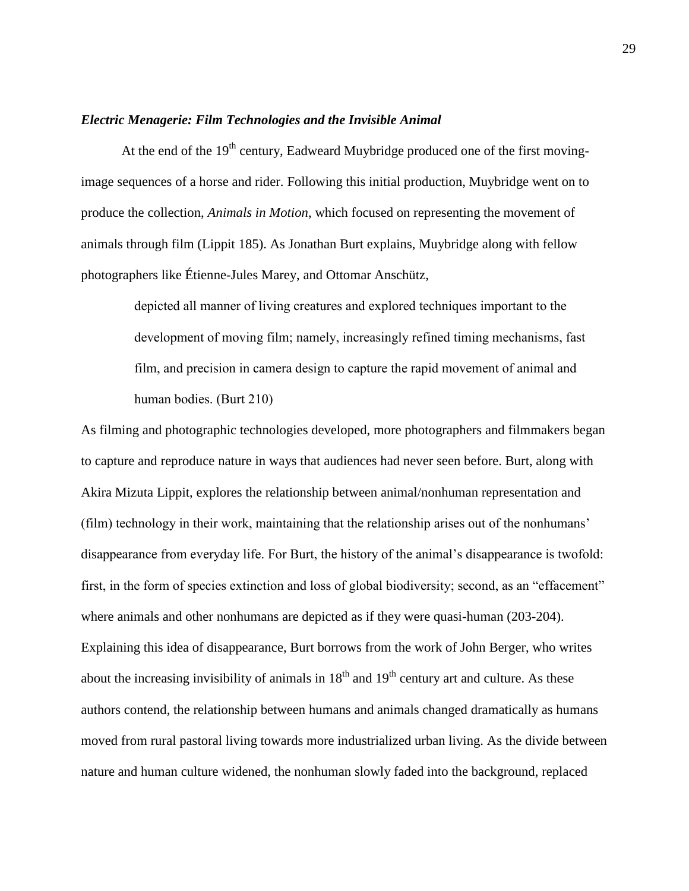#### *Electric Menagerie: Film Technologies and the Invisible Animal*

At the end of the  $19<sup>th</sup>$  century, Eadweard Muybridge produced one of the first movingimage sequences of a horse and rider. Following this initial production, Muybridge went on to produce the collection, *Animals in Motion*, which focused on representing the movement of animals through film (Lippit 185). As Jonathan Burt explains, Muybridge along with fellow photographers like Étienne-Jules Marey, and Ottomar Anschütz,

> depicted all manner of living creatures and explored techniques important to the development of moving film; namely, increasingly refined timing mechanisms, fast film, and precision in camera design to capture the rapid movement of animal and human bodies. (Burt 210)

As filming and photographic technologies developed, more photographers and filmmakers began to capture and reproduce nature in ways that audiences had never seen before. Burt, along with Akira Mizuta Lippit, explores the relationship between animal/nonhuman representation and (film) technology in their work, maintaining that the relationship arises out of the nonhumans' disappearance from everyday life. For Burt, the history of the animal's disappearance is twofold: first, in the form of species extinction and loss of global biodiversity; second, as an "effacement" where animals and other nonhumans are depicted as if they were quasi-human (203-204). Explaining this idea of disappearance, Burt borrows from the work of John Berger, who writes about the increasing invisibility of animals in  $18<sup>th</sup>$  and  $19<sup>th</sup>$  century art and culture. As these authors contend, the relationship between humans and animals changed dramatically as humans moved from rural pastoral living towards more industrialized urban living. As the divide between nature and human culture widened, the nonhuman slowly faded into the background, replaced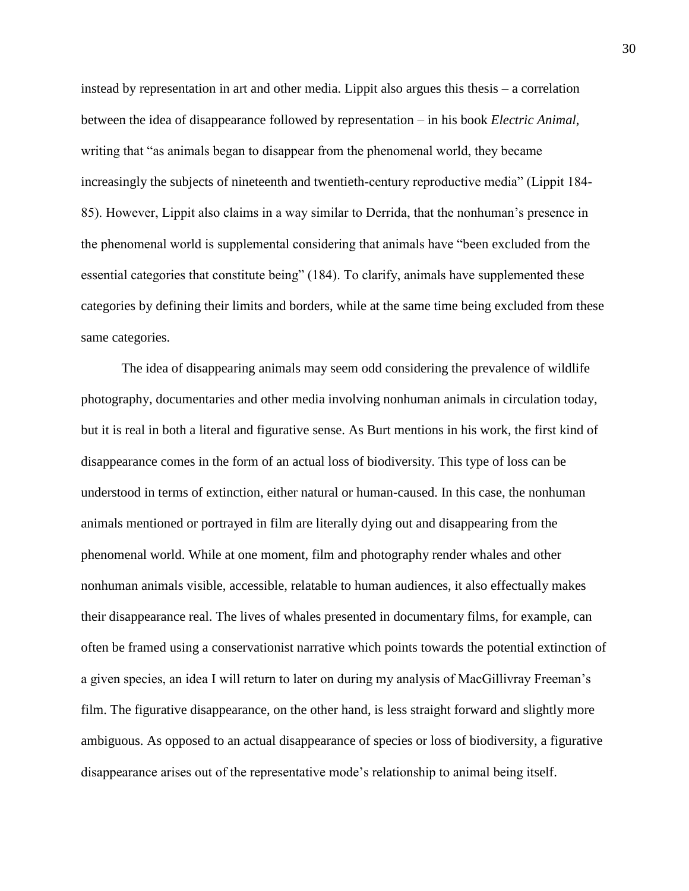instead by representation in art and other media. Lippit also argues this thesis – a correlation between the idea of disappearance followed by representation – in his book *Electric Animal*, writing that "as animals began to disappear from the phenomenal world, they became increasingly the subjects of nineteenth and twentieth-century reproductive media" (Lippit 184- 85). However, Lippit also claims in a way similar to Derrida, that the nonhuman's presence in the phenomenal world is supplemental considering that animals have "been excluded from the essential categories that constitute being" (184). To clarify, animals have supplemented these categories by defining their limits and borders, while at the same time being excluded from these same categories.

The idea of disappearing animals may seem odd considering the prevalence of wildlife photography, documentaries and other media involving nonhuman animals in circulation today, but it is real in both a literal and figurative sense. As Burt mentions in his work, the first kind of disappearance comes in the form of an actual loss of biodiversity. This type of loss can be understood in terms of extinction, either natural or human-caused. In this case, the nonhuman animals mentioned or portrayed in film are literally dying out and disappearing from the phenomenal world. While at one moment, film and photography render whales and other nonhuman animals visible, accessible, relatable to human audiences, it also effectually makes their disappearance real. The lives of whales presented in documentary films, for example, can often be framed using a conservationist narrative which points towards the potential extinction of a given species, an idea I will return to later on during my analysis of MacGillivray Freeman's film. The figurative disappearance, on the other hand, is less straight forward and slightly more ambiguous. As opposed to an actual disappearance of species or loss of biodiversity, a figurative disappearance arises out of the representative mode's relationship to animal being itself.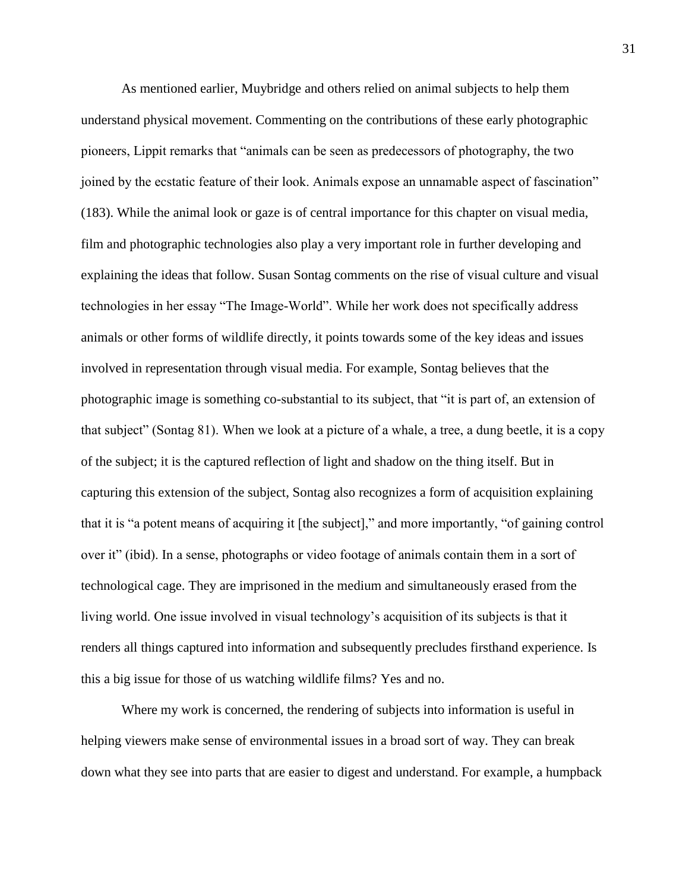As mentioned earlier, Muybridge and others relied on animal subjects to help them understand physical movement. Commenting on the contributions of these early photographic pioneers, Lippit remarks that "animals can be seen as predecessors of photography, the two joined by the ecstatic feature of their look. Animals expose an unnamable aspect of fascination" (183). While the animal look or gaze is of central importance for this chapter on visual media, film and photographic technologies also play a very important role in further developing and explaining the ideas that follow. Susan Sontag comments on the rise of visual culture and visual technologies in her essay "The Image-World". While her work does not specifically address animals or other forms of wildlife directly, it points towards some of the key ideas and issues involved in representation through visual media. For example, Sontag believes that the photographic image is something co-substantial to its subject, that "it is part of, an extension of that subject" (Sontag 81). When we look at a picture of a whale, a tree, a dung beetle, it is a copy of the subject; it is the captured reflection of light and shadow on the thing itself. But in capturing this extension of the subject, Sontag also recognizes a form of acquisition explaining that it is "a potent means of acquiring it [the subject]," and more importantly, "of gaining control over it" (ibid). In a sense, photographs or video footage of animals contain them in a sort of technological cage. They are imprisoned in the medium and simultaneously erased from the living world. One issue involved in visual technology's acquisition of its subjects is that it renders all things captured into information and subsequently precludes firsthand experience. Is this a big issue for those of us watching wildlife films? Yes and no.

Where my work is concerned, the rendering of subjects into information is useful in helping viewers make sense of environmental issues in a broad sort of way. They can break down what they see into parts that are easier to digest and understand. For example, a humpback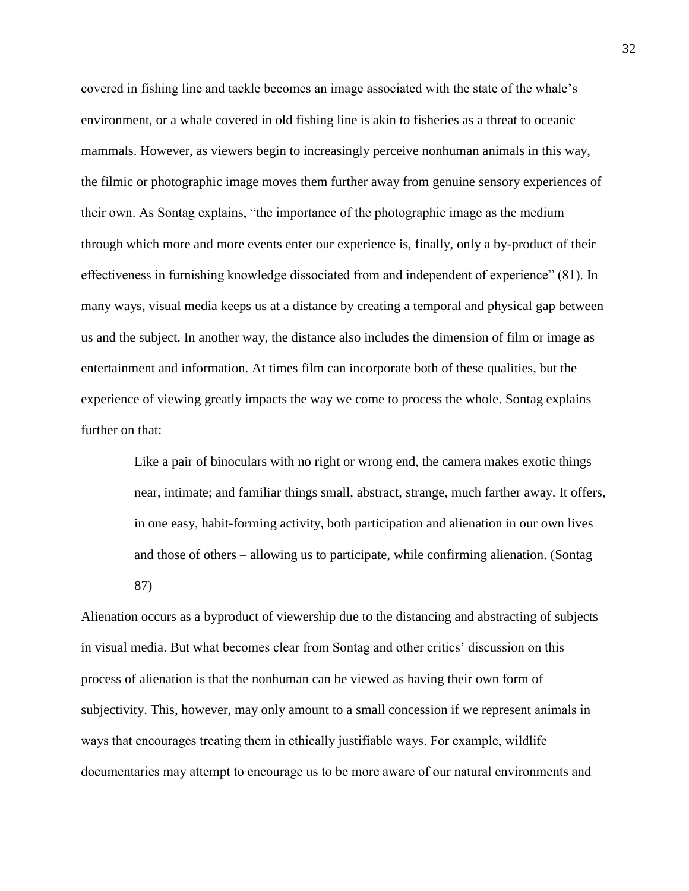covered in fishing line and tackle becomes an image associated with the state of the whale's environment, or a whale covered in old fishing line is akin to fisheries as a threat to oceanic mammals. However, as viewers begin to increasingly perceive nonhuman animals in this way, the filmic or photographic image moves them further away from genuine sensory experiences of their own. As Sontag explains, "the importance of the photographic image as the medium through which more and more events enter our experience is, finally, only a by-product of their effectiveness in furnishing knowledge dissociated from and independent of experience" (81). In many ways, visual media keeps us at a distance by creating a temporal and physical gap between us and the subject. In another way, the distance also includes the dimension of film or image as entertainment and information. At times film can incorporate both of these qualities, but the experience of viewing greatly impacts the way we come to process the whole. Sontag explains further on that:

> Like a pair of binoculars with no right or wrong end, the camera makes exotic things near, intimate; and familiar things small, abstract, strange, much farther away. It offers, in one easy, habit-forming activity, both participation and alienation in our own lives and those of others – allowing us to participate, while confirming alienation. (Sontag 87)

Alienation occurs as a byproduct of viewership due to the distancing and abstracting of subjects in visual media. But what becomes clear from Sontag and other critics' discussion on this process of alienation is that the nonhuman can be viewed as having their own form of subjectivity. This, however, may only amount to a small concession if we represent animals in ways that encourages treating them in ethically justifiable ways. For example, wildlife documentaries may attempt to encourage us to be more aware of our natural environments and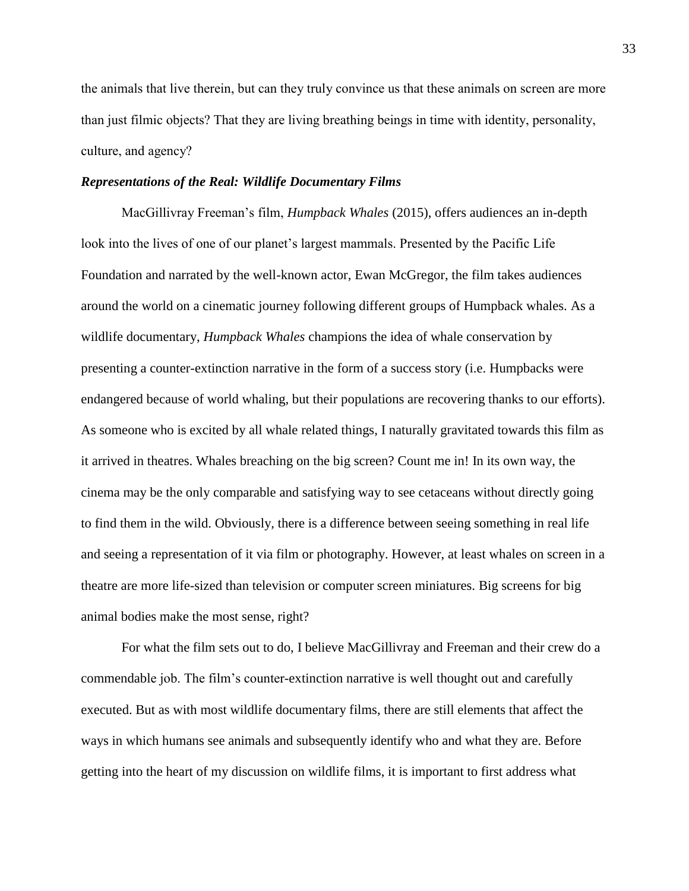the animals that live therein, but can they truly convince us that these animals on screen are more than just filmic objects? That they are living breathing beings in time with identity, personality, culture, and agency?

## *Representations of the Real: Wildlife Documentary Films*

MacGillivray Freeman's film, *Humpback Whales* (2015), offers audiences an in-depth look into the lives of one of our planet's largest mammals. Presented by the Pacific Life Foundation and narrated by the well-known actor, Ewan McGregor, the film takes audiences around the world on a cinematic journey following different groups of Humpback whales. As a wildlife documentary, *Humpback Whales* champions the idea of whale conservation by presenting a counter-extinction narrative in the form of a success story (i.e. Humpbacks were endangered because of world whaling, but their populations are recovering thanks to our efforts). As someone who is excited by all whale related things, I naturally gravitated towards this film as it arrived in theatres. Whales breaching on the big screen? Count me in! In its own way, the cinema may be the only comparable and satisfying way to see cetaceans without directly going to find them in the wild. Obviously, there is a difference between seeing something in real life and seeing a representation of it via film or photography. However, at least whales on screen in a theatre are more life-sized than television or computer screen miniatures. Big screens for big animal bodies make the most sense, right?

For what the film sets out to do, I believe MacGillivray and Freeman and their crew do a commendable job. The film's counter-extinction narrative is well thought out and carefully executed. But as with most wildlife documentary films, there are still elements that affect the ways in which humans see animals and subsequently identify who and what they are. Before getting into the heart of my discussion on wildlife films, it is important to first address what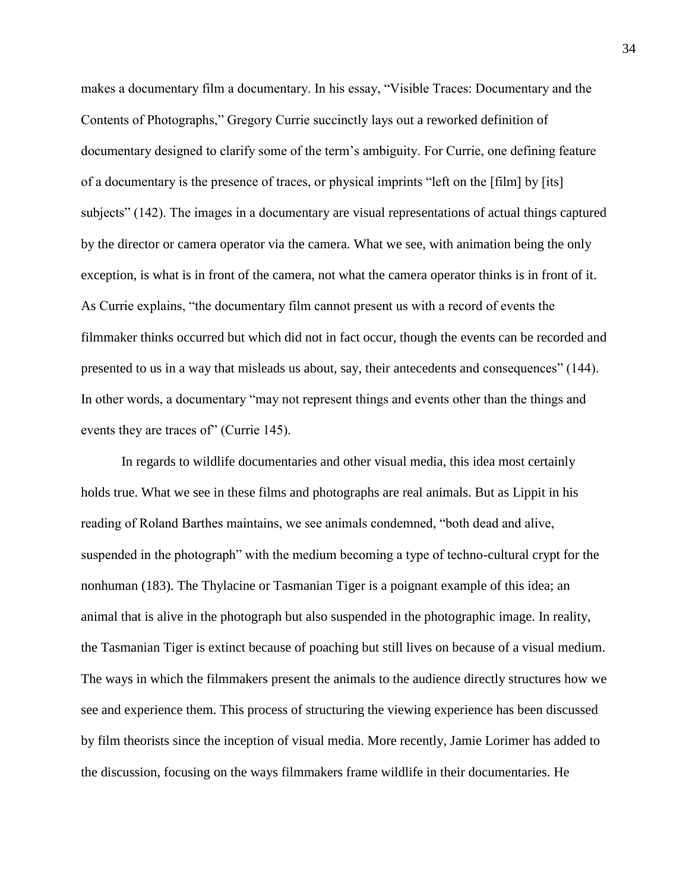makes a documentary film a documentary. In his essay, "Visible Traces: Documentary and the Contents of Photographs," Gregory Currie succinctly lays out a reworked definition of documentary designed to clarify some of the term's ambiguity. For Currie, one defining feature of a documentary is the presence of traces, or physical imprints "left on the [film] by [its] subjects" (142). The images in a documentary are visual representations of actual things captured by the director or camera operator via the camera. What we see, with animation being the only exception, is what is in front of the camera, not what the camera operator thinks is in front of it. As Currie explains, "the documentary film cannot present us with a record of events the filmmaker thinks occurred but which did not in fact occur, though the events can be recorded and presented to us in a way that misleads us about, say, their antecedents and consequences" (144). In other words, a documentary "may not represent things and events other than the things and events they are traces of" (Currie 145).

In regards to wildlife documentaries and other visual media, this idea most certainly holds true. What we see in these films and photographs are real animals. But as Lippit in his reading of Roland Barthes maintains, we see animals condemned, "both dead and alive, suspended in the photograph" with the medium becoming a type of techno-cultural crypt for the nonhuman (183). The Thylacine or Tasmanian Tiger is a poignant example of this idea; an animal that is alive in the photograph but also suspended in the photographic image. In reality, the Tasmanian Tiger is extinct because of poaching but still lives on because of a visual medium. The ways in which the filmmakers present the animals to the audience directly structures how we see and experience them. This process of structuring the viewing experience has been discussed by film theorists since the inception of visual media. More recently, Jamie Lorimer has added to the discussion, focusing on the ways filmmakers frame wildlife in their documentaries. He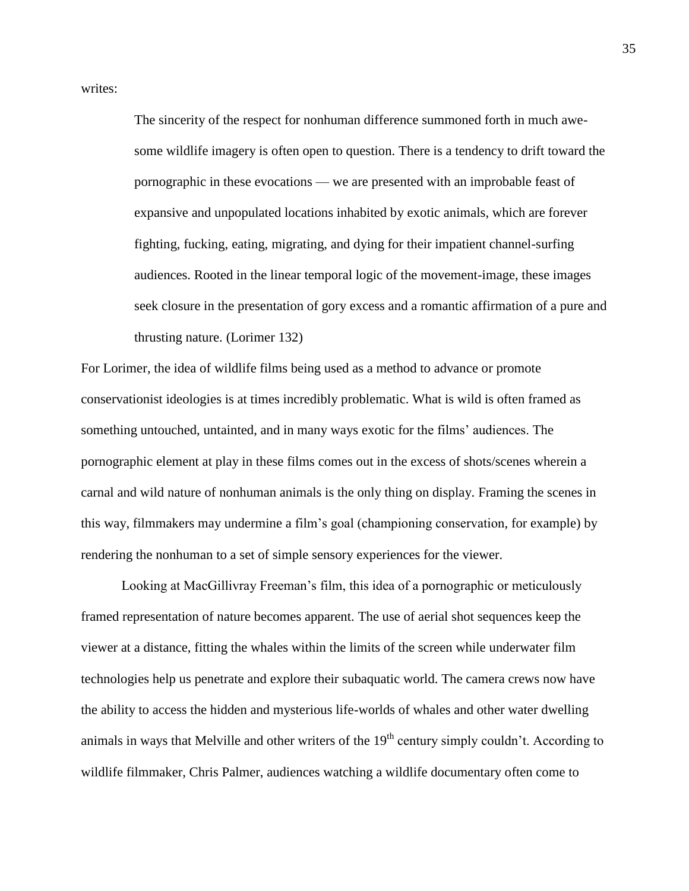writes:

The sincerity of the respect for nonhuman difference summoned forth in much awesome wildlife imagery is often open to question. There is a tendency to drift toward the pornographic in these evocations — we are presented with an improbable feast of expansive and unpopulated locations inhabited by exotic animals, which are forever fighting, fucking, eating, migrating, and dying for their impatient channel-surfing audiences. Rooted in the linear temporal logic of the movement-image, these images seek closure in the presentation of gory excess and a romantic affirmation of a pure and thrusting nature. (Lorimer 132)

For Lorimer, the idea of wildlife films being used as a method to advance or promote conservationist ideologies is at times incredibly problematic. What is wild is often framed as something untouched, untainted, and in many ways exotic for the films' audiences. The pornographic element at play in these films comes out in the excess of shots/scenes wherein a carnal and wild nature of nonhuman animals is the only thing on display. Framing the scenes in this way, filmmakers may undermine a film's goal (championing conservation, for example) by rendering the nonhuman to a set of simple sensory experiences for the viewer.

Looking at MacGillivray Freeman's film, this idea of a pornographic or meticulously framed representation of nature becomes apparent. The use of aerial shot sequences keep the viewer at a distance, fitting the whales within the limits of the screen while underwater film technologies help us penetrate and explore their subaquatic world. The camera crews now have the ability to access the hidden and mysterious life-worlds of whales and other water dwelling animals in ways that Melville and other writers of the  $19<sup>th</sup>$  century simply couldn't. According to wildlife filmmaker, Chris Palmer, audiences watching a wildlife documentary often come to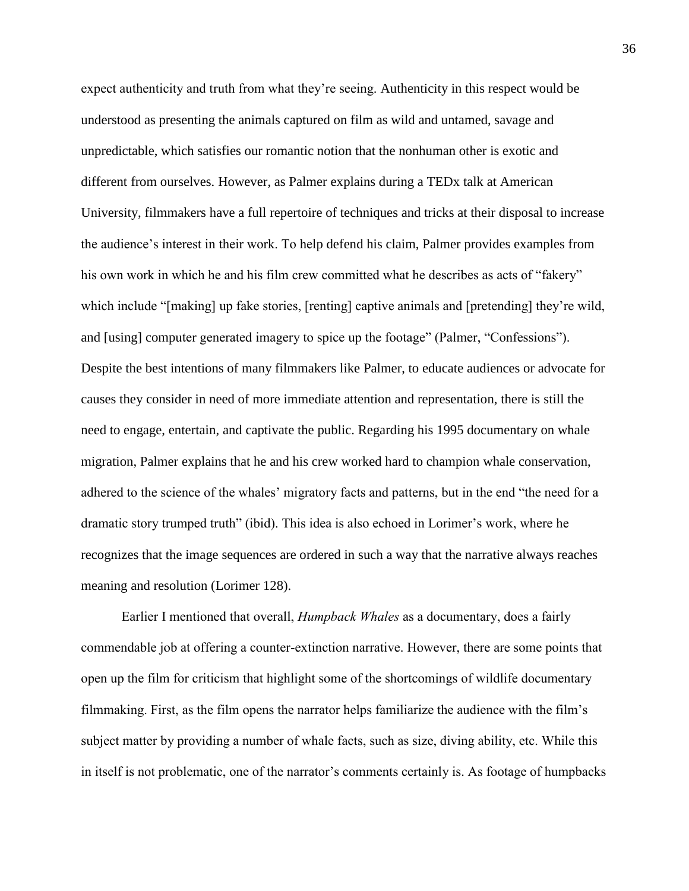expect authenticity and truth from what they're seeing. Authenticity in this respect would be understood as presenting the animals captured on film as wild and untamed, savage and unpredictable, which satisfies our romantic notion that the nonhuman other is exotic and different from ourselves. However, as Palmer explains during a TEDx talk at American University, filmmakers have a full repertoire of techniques and tricks at their disposal to increase the audience's interest in their work. To help defend his claim, Palmer provides examples from his own work in which he and his film crew committed what he describes as acts of "fakery" which include "[making] up fake stories, [renting] captive animals and [pretending] they're wild, and [using] computer generated imagery to spice up the footage" (Palmer, "Confessions"). Despite the best intentions of many filmmakers like Palmer, to educate audiences or advocate for causes they consider in need of more immediate attention and representation, there is still the need to engage, entertain, and captivate the public. Regarding his 1995 documentary on whale migration, Palmer explains that he and his crew worked hard to champion whale conservation, adhered to the science of the whales' migratory facts and patterns, but in the end "the need for a dramatic story trumped truth" (ibid). This idea is also echoed in Lorimer's work, where he recognizes that the image sequences are ordered in such a way that the narrative always reaches meaning and resolution (Lorimer 128).

Earlier I mentioned that overall, *Humpback Whales* as a documentary, does a fairly commendable job at offering a counter-extinction narrative. However, there are some points that open up the film for criticism that highlight some of the shortcomings of wildlife documentary filmmaking. First, as the film opens the narrator helps familiarize the audience with the film's subject matter by providing a number of whale facts, such as size, diving ability, etc. While this in itself is not problematic, one of the narrator's comments certainly is. As footage of humpbacks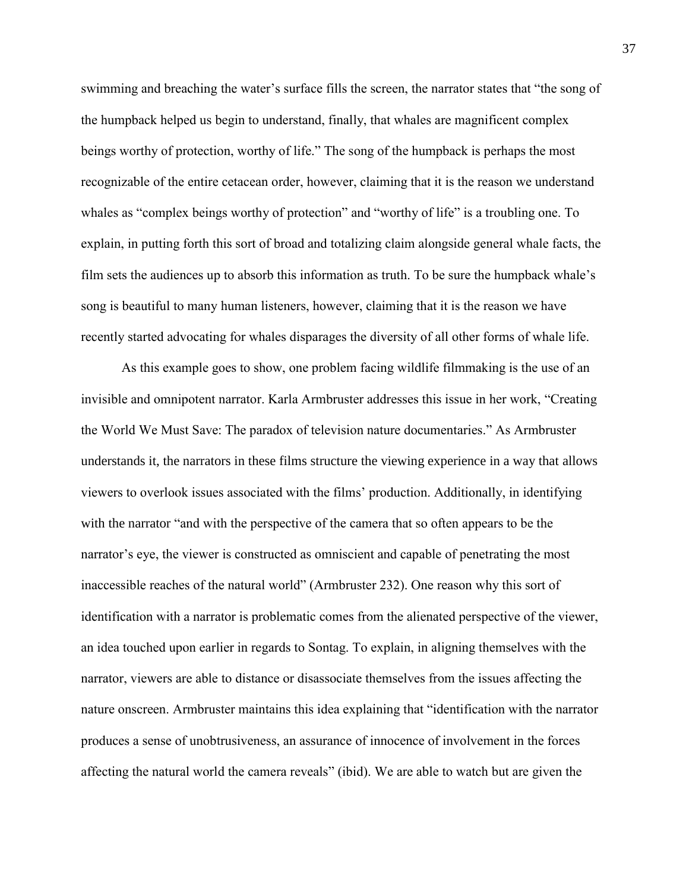swimming and breaching the water's surface fills the screen, the narrator states that "the song of the humpback helped us begin to understand, finally, that whales are magnificent complex beings worthy of protection, worthy of life." The song of the humpback is perhaps the most recognizable of the entire cetacean order, however, claiming that it is the reason we understand whales as "complex beings worthy of protection" and "worthy of life" is a troubling one. To explain, in putting forth this sort of broad and totalizing claim alongside general whale facts, the film sets the audiences up to absorb this information as truth. To be sure the humpback whale's song is beautiful to many human listeners, however, claiming that it is the reason we have recently started advocating for whales disparages the diversity of all other forms of whale life.

As this example goes to show, one problem facing wildlife filmmaking is the use of an invisible and omnipotent narrator. Karla Armbruster addresses this issue in her work, "Creating the World We Must Save: The paradox of television nature documentaries." As Armbruster understands it, the narrators in these films structure the viewing experience in a way that allows viewers to overlook issues associated with the films' production. Additionally, in identifying with the narrator "and with the perspective of the camera that so often appears to be the narrator's eye, the viewer is constructed as omniscient and capable of penetrating the most inaccessible reaches of the natural world" (Armbruster 232). One reason why this sort of identification with a narrator is problematic comes from the alienated perspective of the viewer, an idea touched upon earlier in regards to Sontag. To explain, in aligning themselves with the narrator, viewers are able to distance or disassociate themselves from the issues affecting the nature onscreen. Armbruster maintains this idea explaining that "identification with the narrator produces a sense of unobtrusiveness, an assurance of innocence of involvement in the forces affecting the natural world the camera reveals" (ibid). We are able to watch but are given the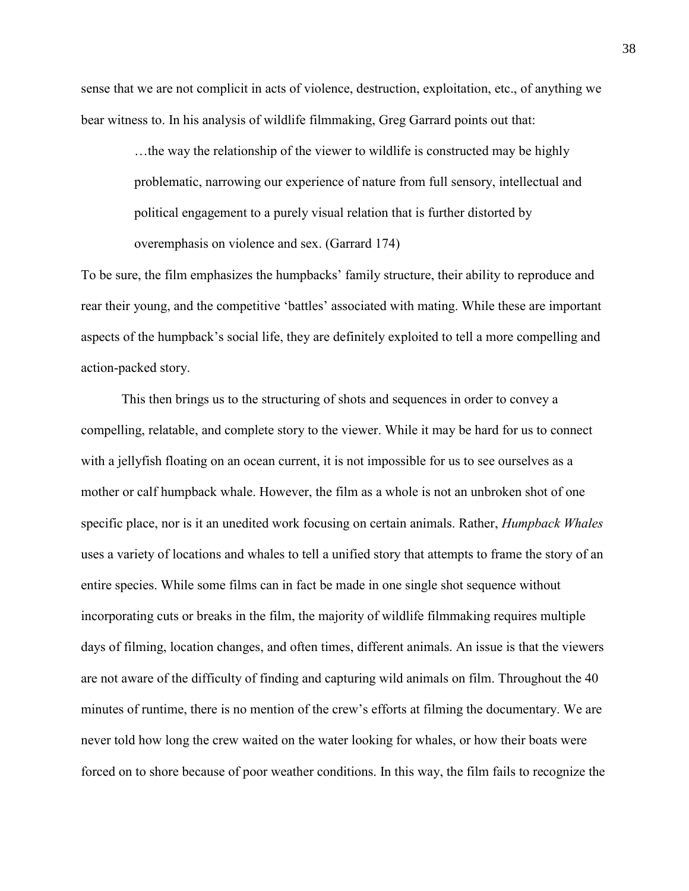sense that we are not complicit in acts of violence, destruction, exploitation, etc., of anything we bear witness to. In his analysis of wildlife filmmaking, Greg Garrard points out that:

> …the way the relationship of the viewer to wildlife is constructed may be highly problematic, narrowing our experience of nature from full sensory, intellectual and political engagement to a purely visual relation that is further distorted by overemphasis on violence and sex. (Garrard 174)

To be sure, the film emphasizes the humpbacks' family structure, their ability to reproduce and rear their young, and the competitive 'battles' associated with mating. While these are important aspects of the humpback's social life, they are definitely exploited to tell a more compelling and action-packed story.

This then brings us to the structuring of shots and sequences in order to convey a compelling, relatable, and complete story to the viewer. While it may be hard for us to connect with a jellyfish floating on an ocean current, it is not impossible for us to see ourselves as a mother or calf humpback whale. However, the film as a whole is not an unbroken shot of one specific place, nor is it an unedited work focusing on certain animals. Rather, *Humpback Whales* uses a variety of locations and whales to tell a unified story that attempts to frame the story of an entire species. While some films can in fact be made in one single shot sequence without incorporating cuts or breaks in the film, the majority of wildlife filmmaking requires multiple days of filming, location changes, and often times, different animals. An issue is that the viewers are not aware of the difficulty of finding and capturing wild animals on film. Throughout the 40 minutes of runtime, there is no mention of the crew's efforts at filming the documentary. We are never told how long the crew waited on the water looking for whales, or how their boats were forced on to shore because of poor weather conditions. In this way, the film fails to recognize the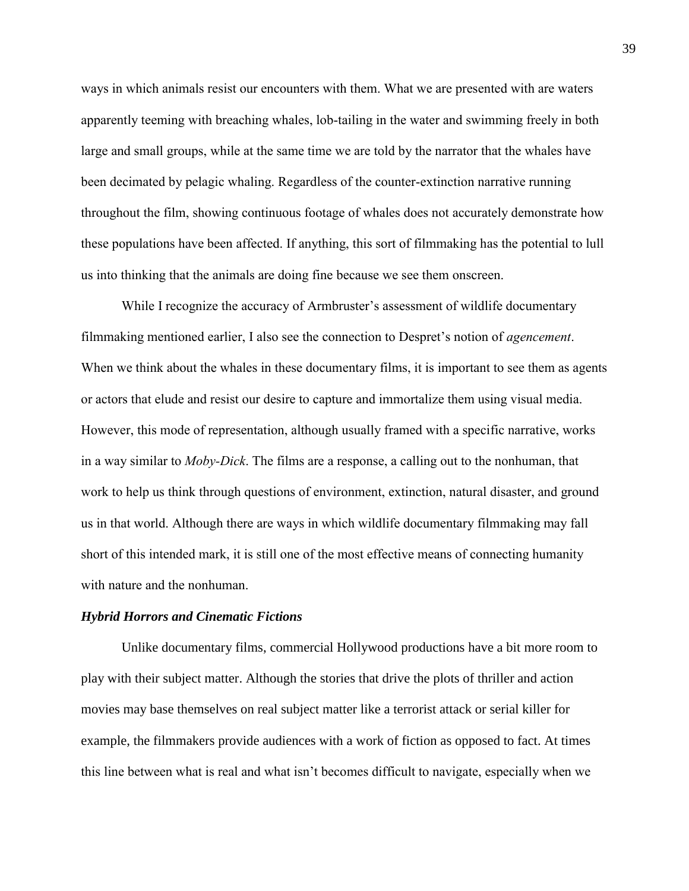ways in which animals resist our encounters with them. What we are presented with are waters apparently teeming with breaching whales, lob-tailing in the water and swimming freely in both large and small groups, while at the same time we are told by the narrator that the whales have been decimated by pelagic whaling. Regardless of the counter-extinction narrative running throughout the film, showing continuous footage of whales does not accurately demonstrate how these populations have been affected. If anything, this sort of filmmaking has the potential to lull us into thinking that the animals are doing fine because we see them onscreen.

While I recognize the accuracy of Armbruster's assessment of wildlife documentary filmmaking mentioned earlier, I also see the connection to Despret's notion of *agencement*. When we think about the whales in these documentary films, it is important to see them as agents or actors that elude and resist our desire to capture and immortalize them using visual media. However, this mode of representation, although usually framed with a specific narrative, works in a way similar to *Moby-Dick*. The films are a response, a calling out to the nonhuman, that work to help us think through questions of environment, extinction, natural disaster, and ground us in that world. Although there are ways in which wildlife documentary filmmaking may fall short of this intended mark, it is still one of the most effective means of connecting humanity with nature and the nonhuman.

#### *Hybrid Horrors and Cinematic Fictions*

Unlike documentary films, commercial Hollywood productions have a bit more room to play with their subject matter. Although the stories that drive the plots of thriller and action movies may base themselves on real subject matter like a terrorist attack or serial killer for example, the filmmakers provide audiences with a work of fiction as opposed to fact. At times this line between what is real and what isn't becomes difficult to navigate, especially when we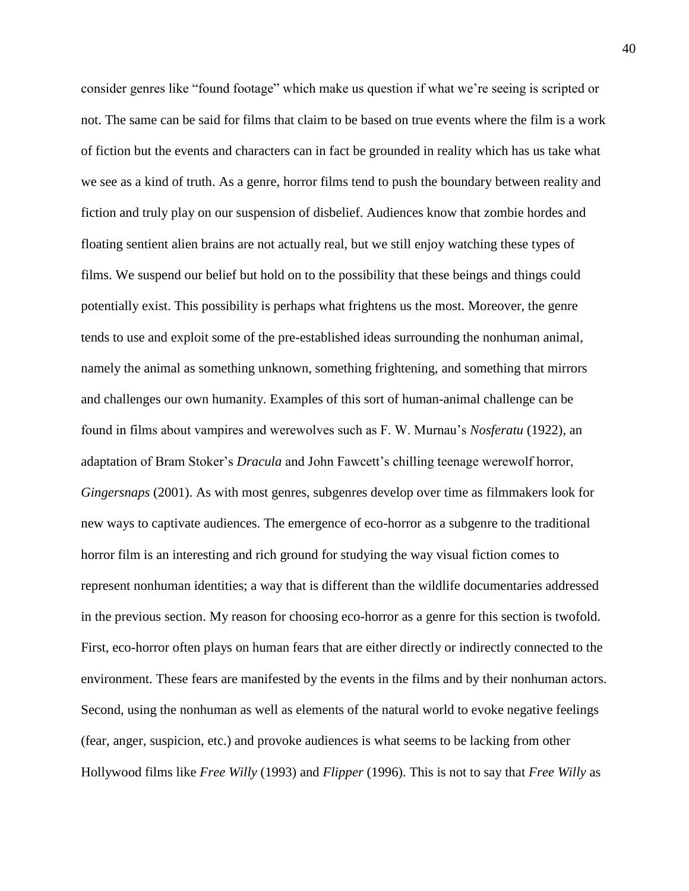consider genres like "found footage" which make us question if what we're seeing is scripted or not. The same can be said for films that claim to be based on true events where the film is a work of fiction but the events and characters can in fact be grounded in reality which has us take what we see as a kind of truth. As a genre, horror films tend to push the boundary between reality and fiction and truly play on our suspension of disbelief. Audiences know that zombie hordes and floating sentient alien brains are not actually real, but we still enjoy watching these types of films. We suspend our belief but hold on to the possibility that these beings and things could potentially exist. This possibility is perhaps what frightens us the most. Moreover, the genre tends to use and exploit some of the pre-established ideas surrounding the nonhuman animal, namely the animal as something unknown, something frightening, and something that mirrors and challenges our own humanity. Examples of this sort of human-animal challenge can be found in films about vampires and werewolves such as F. W. Murnau's *Nosferatu* (1922), an adaptation of Bram Stoker's *Dracula* and John Fawcett's chilling teenage werewolf horror, *Gingersnaps* (2001). As with most genres, subgenres develop over time as filmmakers look for new ways to captivate audiences. The emergence of eco-horror as a subgenre to the traditional horror film is an interesting and rich ground for studying the way visual fiction comes to represent nonhuman identities; a way that is different than the wildlife documentaries addressed in the previous section. My reason for choosing eco-horror as a genre for this section is twofold. First, eco-horror often plays on human fears that are either directly or indirectly connected to the environment. These fears are manifested by the events in the films and by their nonhuman actors. Second, using the nonhuman as well as elements of the natural world to evoke negative feelings (fear, anger, suspicion, etc.) and provoke audiences is what seems to be lacking from other Hollywood films like *Free Willy* (1993) and *Flipper* (1996). This is not to say that *Free Willy* as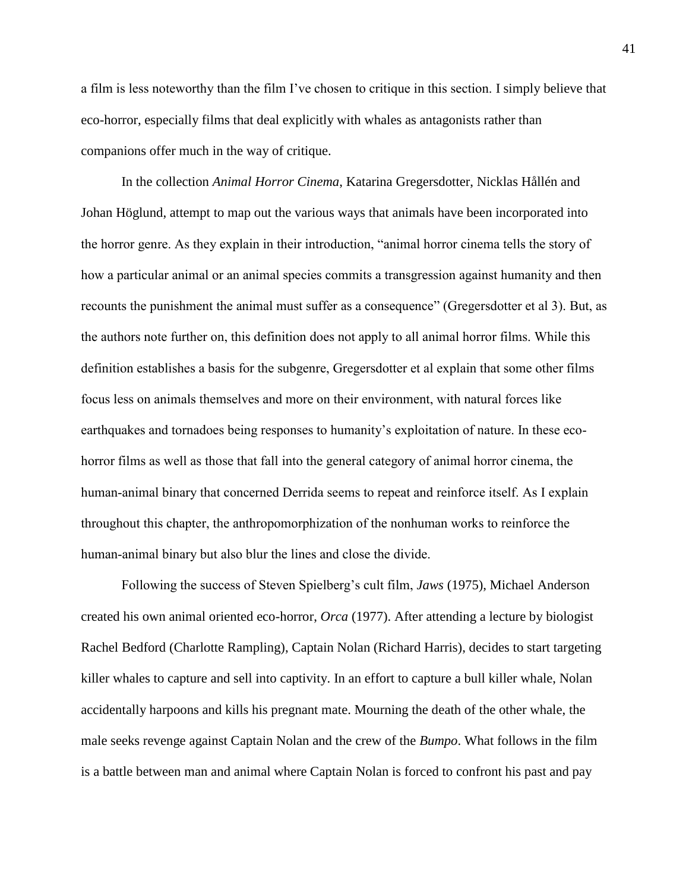a film is less noteworthy than the film I've chosen to critique in this section. I simply believe that eco-horror, especially films that deal explicitly with whales as antagonists rather than companions offer much in the way of critique.

In the collection *Animal Horror Cinema*, Katarina Gregersdotter, Nicklas Hållén and Johan Höglund, attempt to map out the various ways that animals have been incorporated into the horror genre. As they explain in their introduction, "animal horror cinema tells the story of how a particular animal or an animal species commits a transgression against humanity and then recounts the punishment the animal must suffer as a consequence" (Gregersdotter et al 3). But, as the authors note further on, this definition does not apply to all animal horror films. While this definition establishes a basis for the subgenre, Gregersdotter et al explain that some other films focus less on animals themselves and more on their environment, with natural forces like earthquakes and tornadoes being responses to humanity's exploitation of nature. In these ecohorror films as well as those that fall into the general category of animal horror cinema, the human-animal binary that concerned Derrida seems to repeat and reinforce itself. As I explain throughout this chapter, the anthropomorphization of the nonhuman works to reinforce the human-animal binary but also blur the lines and close the divide.

Following the success of Steven Spielberg's cult film, *Jaws* (1975), Michael Anderson created his own animal oriented eco-horror, *Orca* (1977). After attending a lecture by biologist Rachel Bedford (Charlotte Rampling), Captain Nolan (Richard Harris), decides to start targeting killer whales to capture and sell into captivity. In an effort to capture a bull killer whale, Nolan accidentally harpoons and kills his pregnant mate. Mourning the death of the other whale, the male seeks revenge against Captain Nolan and the crew of the *Bumpo*. What follows in the film is a battle between man and animal where Captain Nolan is forced to confront his past and pay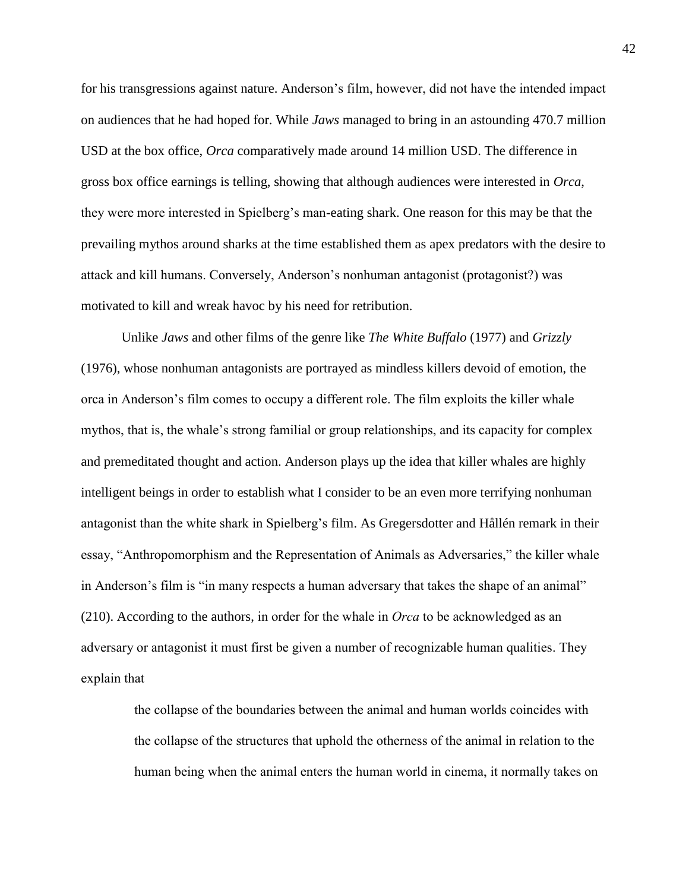for his transgressions against nature. Anderson's film, however, did not have the intended impact on audiences that he had hoped for. While *Jaws* managed to bring in an astounding 470.7 million USD at the box office, *Orca* comparatively made around 14 million USD. The difference in gross box office earnings is telling, showing that although audiences were interested in *Orca*, they were more interested in Spielberg's man-eating shark. One reason for this may be that the prevailing mythos around sharks at the time established them as apex predators with the desire to attack and kill humans. Conversely, Anderson's nonhuman antagonist (protagonist?) was motivated to kill and wreak havoc by his need for retribution.

Unlike *Jaws* and other films of the genre like *The White Buffalo* (1977) and *Grizzly*  (1976), whose nonhuman antagonists are portrayed as mindless killers devoid of emotion, the orca in Anderson's film comes to occupy a different role. The film exploits the killer whale mythos, that is, the whale's strong familial or group relationships, and its capacity for complex and premeditated thought and action. Anderson plays up the idea that killer whales are highly intelligent beings in order to establish what I consider to be an even more terrifying nonhuman antagonist than the white shark in Spielberg's film. As Gregersdotter and Hållén remark in their essay, "Anthropomorphism and the Representation of Animals as Adversaries," the killer whale in Anderson's film is "in many respects a human adversary that takes the shape of an animal" (210). According to the authors, in order for the whale in *Orca* to be acknowledged as an adversary or antagonist it must first be given a number of recognizable human qualities. They explain that

the collapse of the boundaries between the animal and human worlds coincides with the collapse of the structures that uphold the otherness of the animal in relation to the human being when the animal enters the human world in cinema, it normally takes on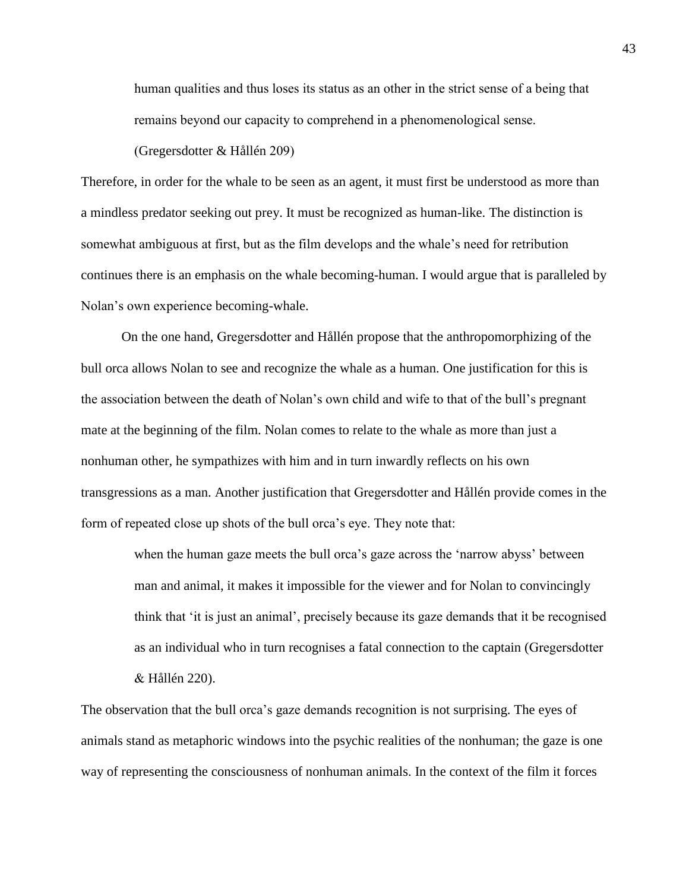human qualities and thus loses its status as an other in the strict sense of a being that remains beyond our capacity to comprehend in a phenomenological sense.

(Gregersdotter & Hållén 209)

Therefore, in order for the whale to be seen as an agent, it must first be understood as more than a mindless predator seeking out prey. It must be recognized as human-like. The distinction is somewhat ambiguous at first, but as the film develops and the whale's need for retribution continues there is an emphasis on the whale becoming-human. I would argue that is paralleled by Nolan's own experience becoming-whale.

On the one hand, Gregersdotter and Hållén propose that the anthropomorphizing of the bull orca allows Nolan to see and recognize the whale as a human. One justification for this is the association between the death of Nolan's own child and wife to that of the bull's pregnant mate at the beginning of the film. Nolan comes to relate to the whale as more than just a nonhuman other, he sympathizes with him and in turn inwardly reflects on his own transgressions as a man. Another justification that Gregersdotter and Hållén provide comes in the form of repeated close up shots of the bull orca's eye. They note that:

> when the human gaze meets the bull orca's gaze across the 'narrow abyss' between man and animal, it makes it impossible for the viewer and for Nolan to convincingly think that 'it is just an animal', precisely because its gaze demands that it be recognised as an individual who in turn recognises a fatal connection to the captain (Gregersdotter & Hållén 220).

The observation that the bull orca's gaze demands recognition is not surprising. The eyes of animals stand as metaphoric windows into the psychic realities of the nonhuman; the gaze is one way of representing the consciousness of nonhuman animals. In the context of the film it forces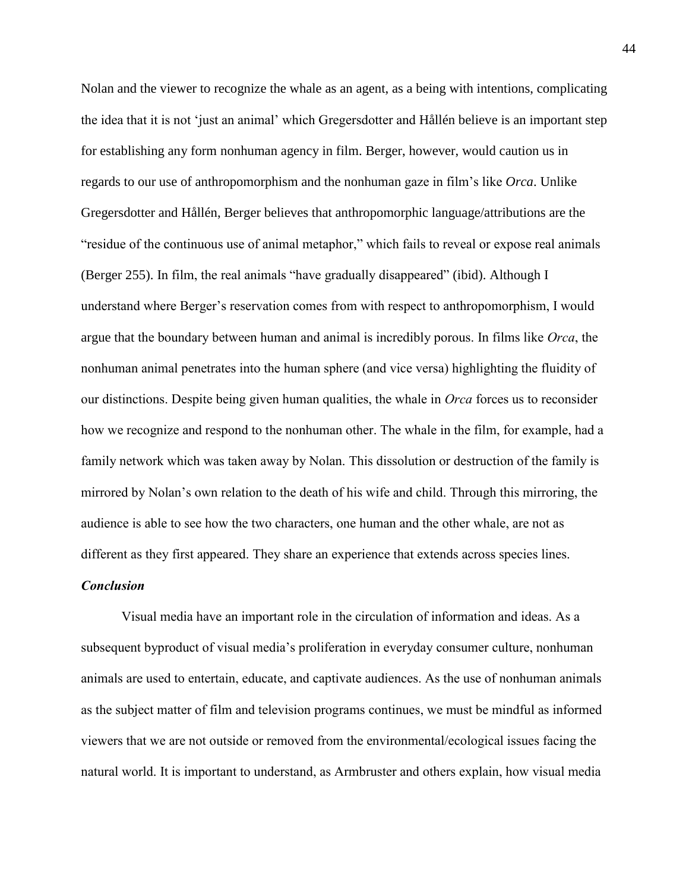Nolan and the viewer to recognize the whale as an agent, as a being with intentions, complicating the idea that it is not 'just an animal' which Gregersdotter and Hållén believe is an important step for establishing any form nonhuman agency in film. Berger, however, would caution us in regards to our use of anthropomorphism and the nonhuman gaze in film's like *Orca*. Unlike Gregersdotter and Hållén, Berger believes that anthropomorphic language/attributions are the "residue of the continuous use of animal metaphor," which fails to reveal or expose real animals (Berger 255). In film, the real animals "have gradually disappeared" (ibid). Although I understand where Berger's reservation comes from with respect to anthropomorphism, I would argue that the boundary between human and animal is incredibly porous. In films like *Orca*, the nonhuman animal penetrates into the human sphere (and vice versa) highlighting the fluidity of our distinctions. Despite being given human qualities, the whale in *Orca* forces us to reconsider how we recognize and respond to the nonhuman other. The whale in the film, for example, had a family network which was taken away by Nolan. This dissolution or destruction of the family is mirrored by Nolan's own relation to the death of his wife and child. Through this mirroring, the audience is able to see how the two characters, one human and the other whale, are not as different as they first appeared. They share an experience that extends across species lines.

## *Conclusion*

Visual media have an important role in the circulation of information and ideas. As a subsequent byproduct of visual media's proliferation in everyday consumer culture, nonhuman animals are used to entertain, educate, and captivate audiences. As the use of nonhuman animals as the subject matter of film and television programs continues, we must be mindful as informed viewers that we are not outside or removed from the environmental/ecological issues facing the natural world. It is important to understand, as Armbruster and others explain, how visual media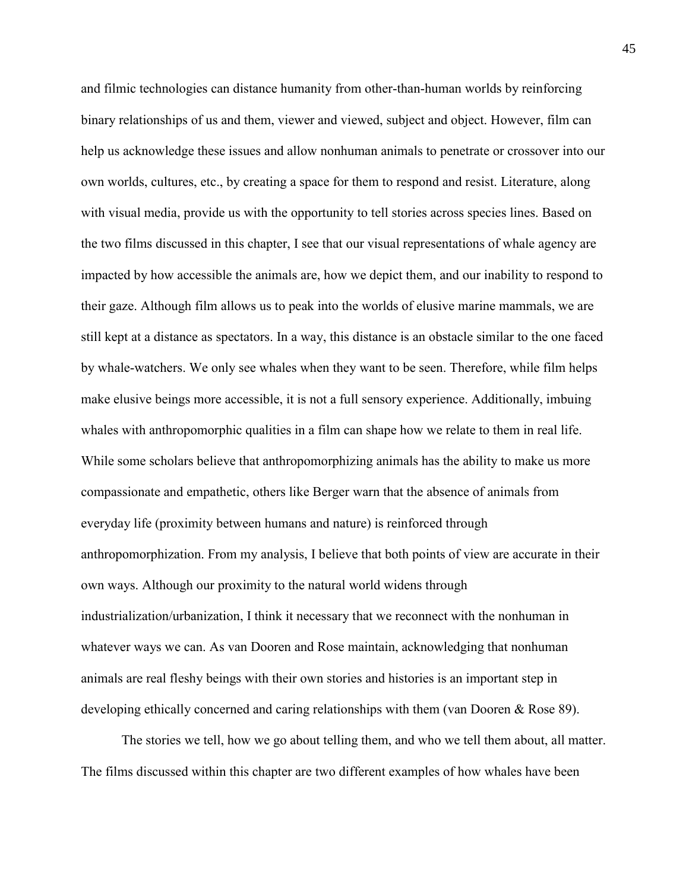and filmic technologies can distance humanity from other-than-human worlds by reinforcing binary relationships of us and them, viewer and viewed, subject and object. However, film can help us acknowledge these issues and allow nonhuman animals to penetrate or crossover into our own worlds, cultures, etc., by creating a space for them to respond and resist. Literature, along with visual media, provide us with the opportunity to tell stories across species lines. Based on the two films discussed in this chapter, I see that our visual representations of whale agency are impacted by how accessible the animals are, how we depict them, and our inability to respond to their gaze. Although film allows us to peak into the worlds of elusive marine mammals, we are still kept at a distance as spectators. In a way, this distance is an obstacle similar to the one faced by whale-watchers. We only see whales when they want to be seen. Therefore, while film helps make elusive beings more accessible, it is not a full sensory experience. Additionally, imbuing whales with anthropomorphic qualities in a film can shape how we relate to them in real life. While some scholars believe that anthropomorphizing animals has the ability to make us more compassionate and empathetic, others like Berger warn that the absence of animals from everyday life (proximity between humans and nature) is reinforced through anthropomorphization. From my analysis, I believe that both points of view are accurate in their own ways. Although our proximity to the natural world widens through industrialization/urbanization, I think it necessary that we reconnect with the nonhuman in whatever ways we can. As van Dooren and Rose maintain, acknowledging that nonhuman animals are real fleshy beings with their own stories and histories is an important step in developing ethically concerned and caring relationships with them (van Dooren & Rose 89).

The stories we tell, how we go about telling them, and who we tell them about, all matter. The films discussed within this chapter are two different examples of how whales have been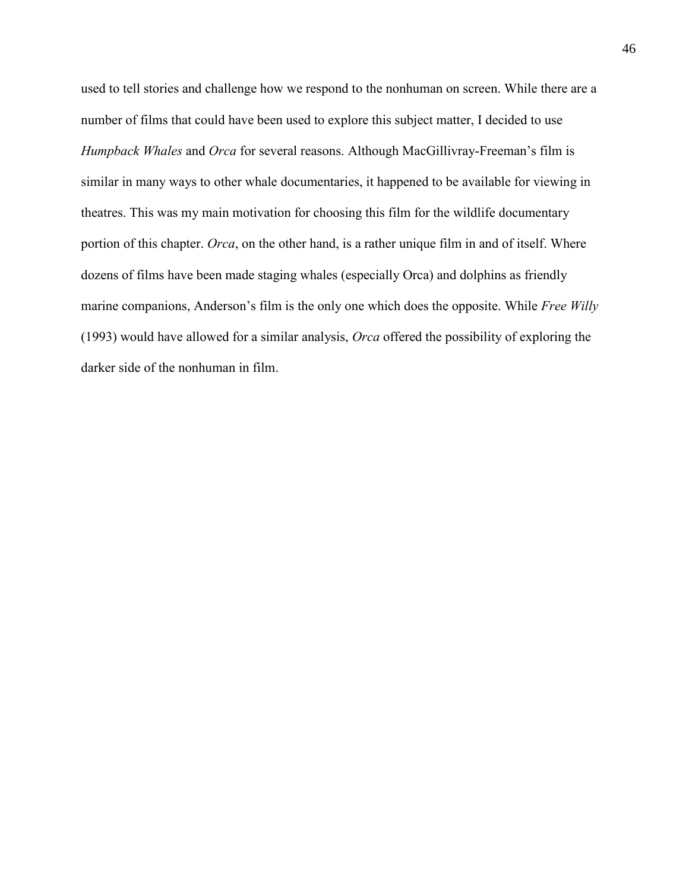used to tell stories and challenge how we respond to the nonhuman on screen. While there are a number of films that could have been used to explore this subject matter, I decided to use *Humpback Whales* and *Orca* for several reasons. Although MacGillivray-Freeman's film is similar in many ways to other whale documentaries, it happened to be available for viewing in theatres. This was my main motivation for choosing this film for the wildlife documentary portion of this chapter. *Orca*, on the other hand, is a rather unique film in and of itself. Where dozens of films have been made staging whales (especially Orca) and dolphins as friendly marine companions, Anderson's film is the only one which does the opposite. While *Free Willy*  (1993) would have allowed for a similar analysis, *Orca* offered the possibility of exploring the darker side of the nonhuman in film.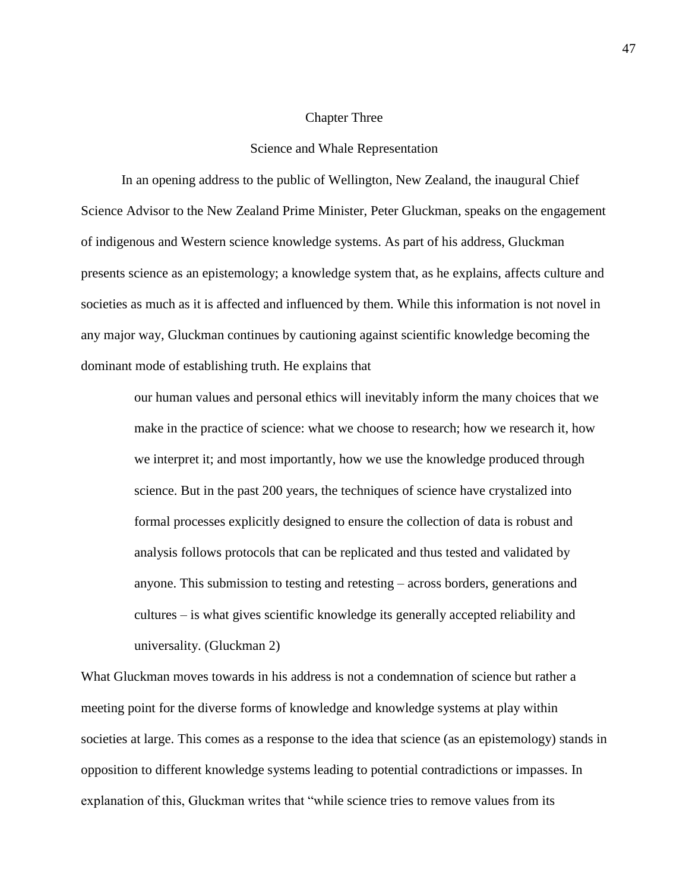# Chapter Three

#### Science and Whale Representation

In an opening address to the public of Wellington, New Zealand, the inaugural Chief Science Advisor to the New Zealand Prime Minister, Peter Gluckman, speaks on the engagement of indigenous and Western science knowledge systems. As part of his address, Gluckman presents science as an epistemology; a knowledge system that, as he explains, affects culture and societies as much as it is affected and influenced by them. While this information is not novel in any major way, Gluckman continues by cautioning against scientific knowledge becoming the dominant mode of establishing truth. He explains that

our human values and personal ethics will inevitably inform the many choices that we make in the practice of science: what we choose to research; how we research it, how we interpret it; and most importantly, how we use the knowledge produced through science. But in the past 200 years, the techniques of science have crystalized into formal processes explicitly designed to ensure the collection of data is robust and analysis follows protocols that can be replicated and thus tested and validated by anyone. This submission to testing and retesting – across borders, generations and cultures – is what gives scientific knowledge its generally accepted reliability and universality. (Gluckman 2)

What Gluckman moves towards in his address is not a condemnation of science but rather a meeting point for the diverse forms of knowledge and knowledge systems at play within societies at large. This comes as a response to the idea that science (as an epistemology) stands in opposition to different knowledge systems leading to potential contradictions or impasses. In explanation of this, Gluckman writes that "while science tries to remove values from its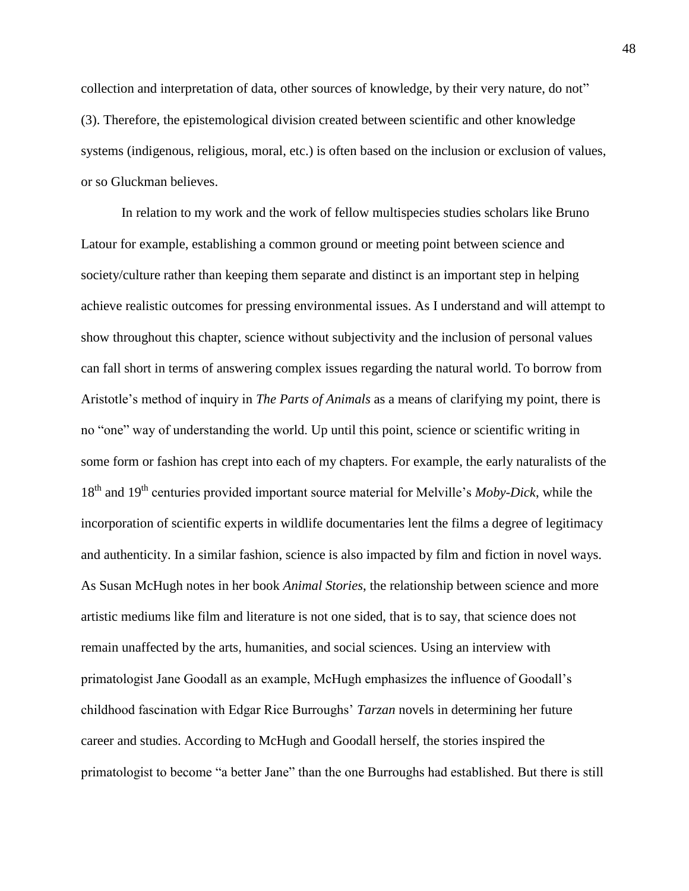collection and interpretation of data, other sources of knowledge, by their very nature, do not" (3). Therefore, the epistemological division created between scientific and other knowledge systems (indigenous, religious, moral, etc.) is often based on the inclusion or exclusion of values, or so Gluckman believes.

In relation to my work and the work of fellow multispecies studies scholars like Bruno Latour for example, establishing a common ground or meeting point between science and society/culture rather than keeping them separate and distinct is an important step in helping achieve realistic outcomes for pressing environmental issues. As I understand and will attempt to show throughout this chapter, science without subjectivity and the inclusion of personal values can fall short in terms of answering complex issues regarding the natural world. To borrow from Aristotle's method of inquiry in *The Parts of Animals* as a means of clarifying my point, there is no "one" way of understanding the world. Up until this point, science or scientific writing in some form or fashion has crept into each of my chapters. For example, the early naturalists of the 18th and 19th centuries provided important source material for Melville's *Moby-Dick*, while the incorporation of scientific experts in wildlife documentaries lent the films a degree of legitimacy and authenticity. In a similar fashion, science is also impacted by film and fiction in novel ways. As Susan McHugh notes in her book *Animal Stories*, the relationship between science and more artistic mediums like film and literature is not one sided, that is to say, that science does not remain unaffected by the arts, humanities, and social sciences. Using an interview with primatologist Jane Goodall as an example, McHugh emphasizes the influence of Goodall's childhood fascination with Edgar Rice Burroughs' *Tarzan* novels in determining her future career and studies. According to McHugh and Goodall herself, the stories inspired the primatologist to become "a better Jane" than the one Burroughs had established. But there is still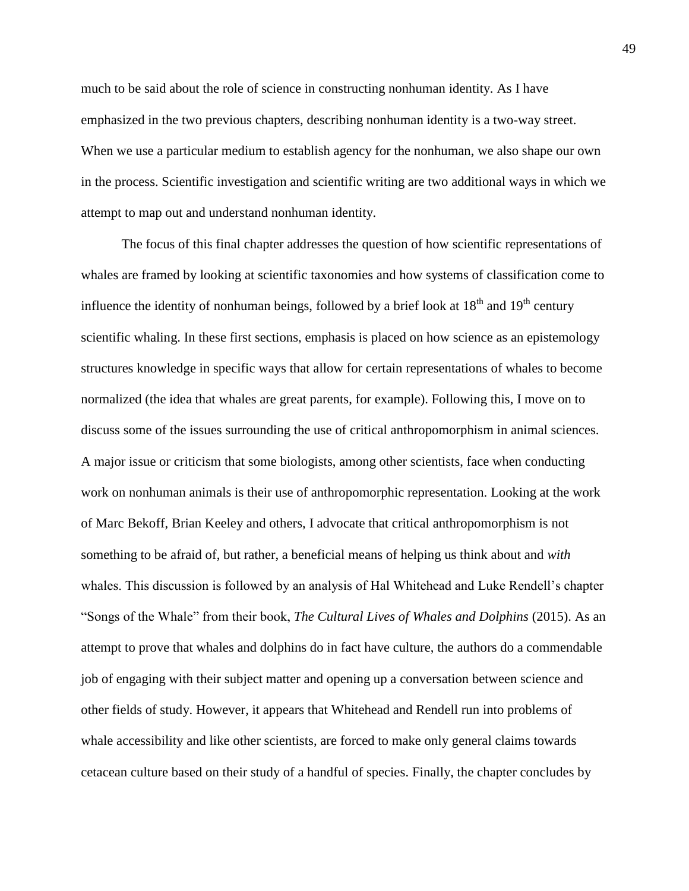much to be said about the role of science in constructing nonhuman identity. As I have emphasized in the two previous chapters, describing nonhuman identity is a two-way street. When we use a particular medium to establish agency for the nonhuman, we also shape our own in the process. Scientific investigation and scientific writing are two additional ways in which we attempt to map out and understand nonhuman identity.

The focus of this final chapter addresses the question of how scientific representations of whales are framed by looking at scientific taxonomies and how systems of classification come to influence the identity of nonhuman beings, followed by a brief look at  $18<sup>th</sup>$  and  $19<sup>th</sup>$  century scientific whaling. In these first sections, emphasis is placed on how science as an epistemology structures knowledge in specific ways that allow for certain representations of whales to become normalized (the idea that whales are great parents, for example). Following this, I move on to discuss some of the issues surrounding the use of critical anthropomorphism in animal sciences. A major issue or criticism that some biologists, among other scientists, face when conducting work on nonhuman animals is their use of anthropomorphic representation. Looking at the work of Marc Bekoff, Brian Keeley and others, I advocate that critical anthropomorphism is not something to be afraid of, but rather, a beneficial means of helping us think about and *with* whales. This discussion is followed by an analysis of Hal Whitehead and Luke Rendell's chapter "Songs of the Whale" from their book, *The Cultural Lives of Whales and Dolphins* (2015). As an attempt to prove that whales and dolphins do in fact have culture, the authors do a commendable job of engaging with their subject matter and opening up a conversation between science and other fields of study. However, it appears that Whitehead and Rendell run into problems of whale accessibility and like other scientists, are forced to make only general claims towards cetacean culture based on their study of a handful of species. Finally, the chapter concludes by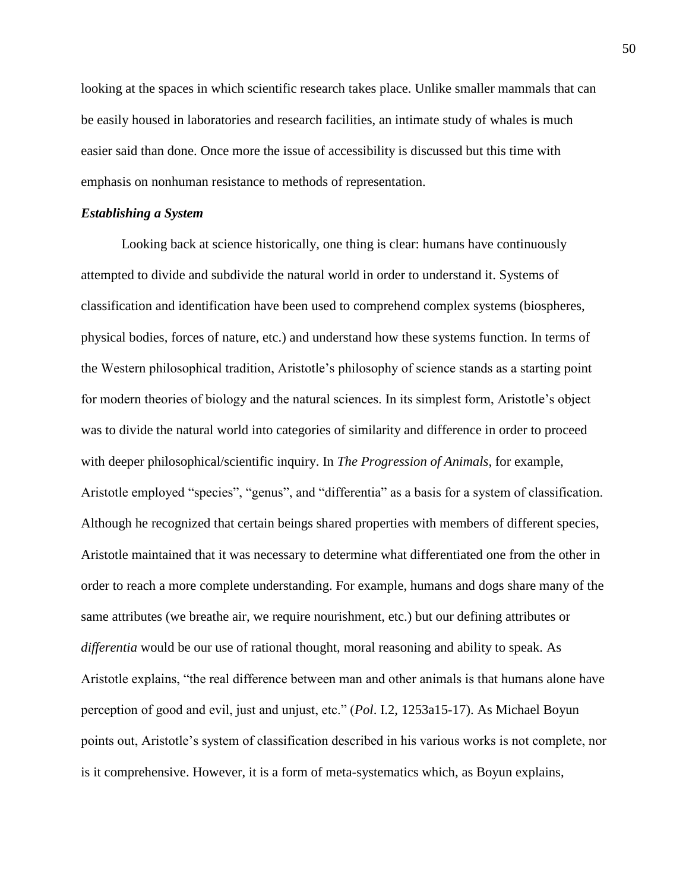looking at the spaces in which scientific research takes place. Unlike smaller mammals that can be easily housed in laboratories and research facilities, an intimate study of whales is much easier said than done. Once more the issue of accessibility is discussed but this time with emphasis on nonhuman resistance to methods of representation.

# *Establishing a System*

Looking back at science historically, one thing is clear: humans have continuously attempted to divide and subdivide the natural world in order to understand it. Systems of classification and identification have been used to comprehend complex systems (biospheres, physical bodies, forces of nature, etc.) and understand how these systems function. In terms of the Western philosophical tradition, Aristotle's philosophy of science stands as a starting point for modern theories of biology and the natural sciences. In its simplest form, Aristotle's object was to divide the natural world into categories of similarity and difference in order to proceed with deeper philosophical/scientific inquiry. In *The Progression of Animals*, for example, Aristotle employed "species", "genus", and "differentia" as a basis for a system of classification. Although he recognized that certain beings shared properties with members of different species, Aristotle maintained that it was necessary to determine what differentiated one from the other in order to reach a more complete understanding. For example, humans and dogs share many of the same attributes (we breathe air, we require nourishment, etc.) but our defining attributes or *differentia* would be our use of rational thought, moral reasoning and ability to speak. As Aristotle explains, "the real difference between man and other animals is that humans alone have perception of good and evil, just and unjust, etc." (*Pol*. I.2, 1253a15-17). As Michael Boyun points out, Aristotle's system of classification described in his various works is not complete, nor is it comprehensive. However, it is a form of meta-systematics which, as Boyun explains,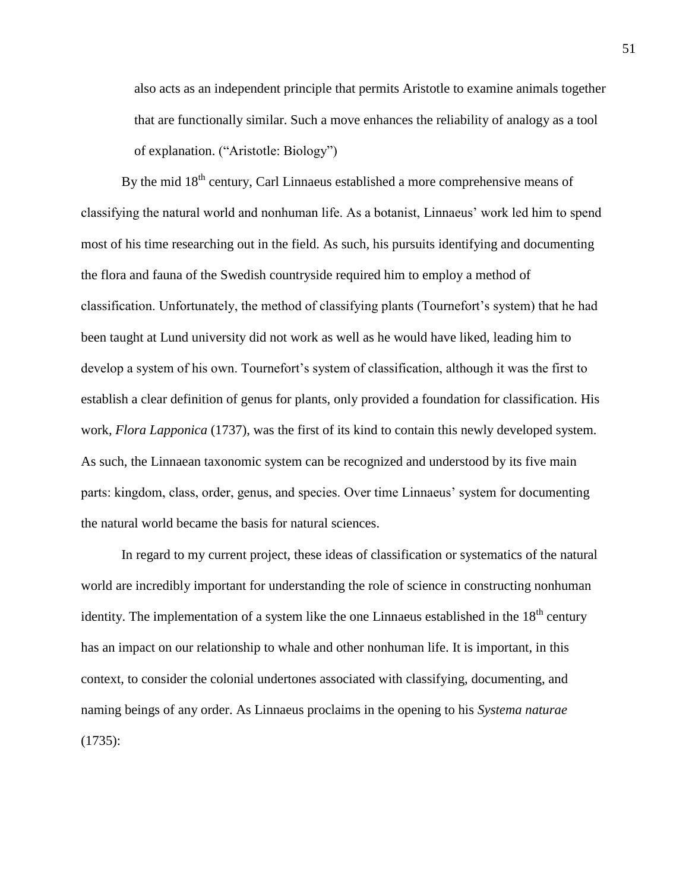also acts as an independent principle that permits Aristotle to examine animals together that are functionally similar. Such a move enhances the reliability of analogy as a tool of explanation. ("Aristotle: Biology")

By the mid  $18<sup>th</sup>$  century, Carl Linnaeus established a more comprehensive means of classifying the natural world and nonhuman life. As a botanist, Linnaeus' work led him to spend most of his time researching out in the field. As such, his pursuits identifying and documenting the flora and fauna of the Swedish countryside required him to employ a method of classification. Unfortunately, the method of classifying plants (Tournefort's system) that he had been taught at Lund university did not work as well as he would have liked, leading him to develop a system of his own. Tournefort's system of classification, although it was the first to establish a clear definition of genus for plants, only provided a foundation for classification. His work, *Flora Lapponica* (1737), was the first of its kind to contain this newly developed system. As such, the Linnaean taxonomic system can be recognized and understood by its five main parts: kingdom, class, order, genus, and species. Over time Linnaeus' system for documenting the natural world became the basis for natural sciences.

In regard to my current project, these ideas of classification or systematics of the natural world are incredibly important for understanding the role of science in constructing nonhuman identity. The implementation of a system like the one Linnaeus established in the  $18<sup>th</sup>$  century has an impact on our relationship to whale and other nonhuman life. It is important, in this context, to consider the colonial undertones associated with classifying, documenting, and naming beings of any order. As Linnaeus proclaims in the opening to his *Systema naturae*  (1735):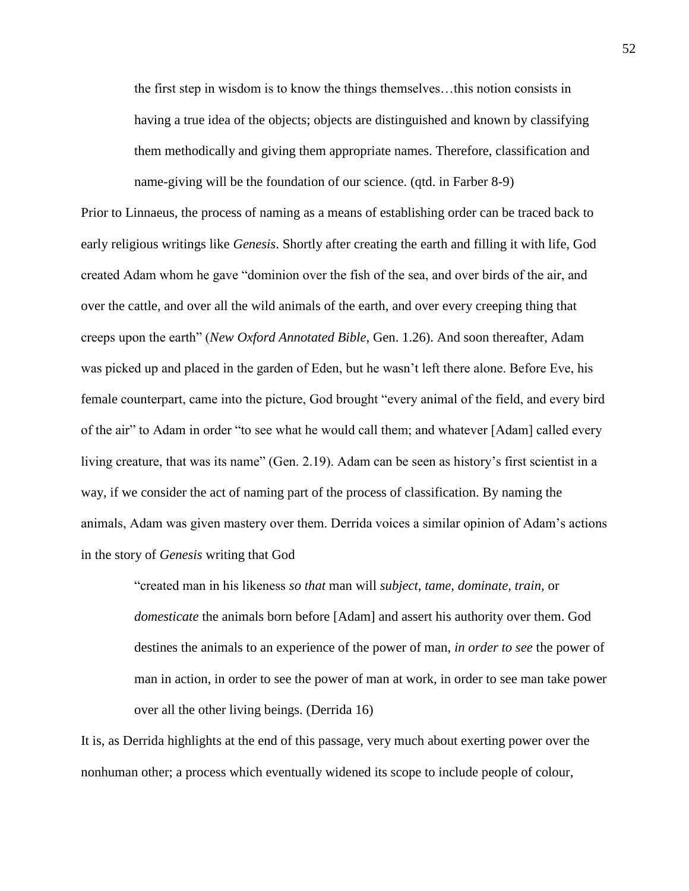the first step in wisdom is to know the things themselves…this notion consists in having a true idea of the objects; objects are distinguished and known by classifying them methodically and giving them appropriate names. Therefore, classification and name-giving will be the foundation of our science. (qtd. in Farber 8-9)

Prior to Linnaeus, the process of naming as a means of establishing order can be traced back to early religious writings like *Genesis*. Shortly after creating the earth and filling it with life, God created Adam whom he gave "dominion over the fish of the sea, and over birds of the air, and over the cattle, and over all the wild animals of the earth, and over every creeping thing that creeps upon the earth" (*New Oxford Annotated Bible*, Gen. 1.26). And soon thereafter, Adam was picked up and placed in the garden of Eden, but he wasn't left there alone. Before Eve, his female counterpart, came into the picture, God brought "every animal of the field, and every bird of the air" to Adam in order "to see what he would call them; and whatever [Adam] called every living creature, that was its name" (Gen. 2.19). Adam can be seen as history's first scientist in a way, if we consider the act of naming part of the process of classification. By naming the animals, Adam was given mastery over them. Derrida voices a similar opinion of Adam's actions in the story of *Genesis* writing that God

> "created man in his likeness *so that* man will *subject, tame, dominate, train,* or *domesticate* the animals born before [Adam] and assert his authority over them. God destines the animals to an experience of the power of man, *in order to see* the power of man in action, in order to see the power of man at work, in order to see man take power over all the other living beings. (Derrida 16)

It is, as Derrida highlights at the end of this passage, very much about exerting power over the nonhuman other; a process which eventually widened its scope to include people of colour,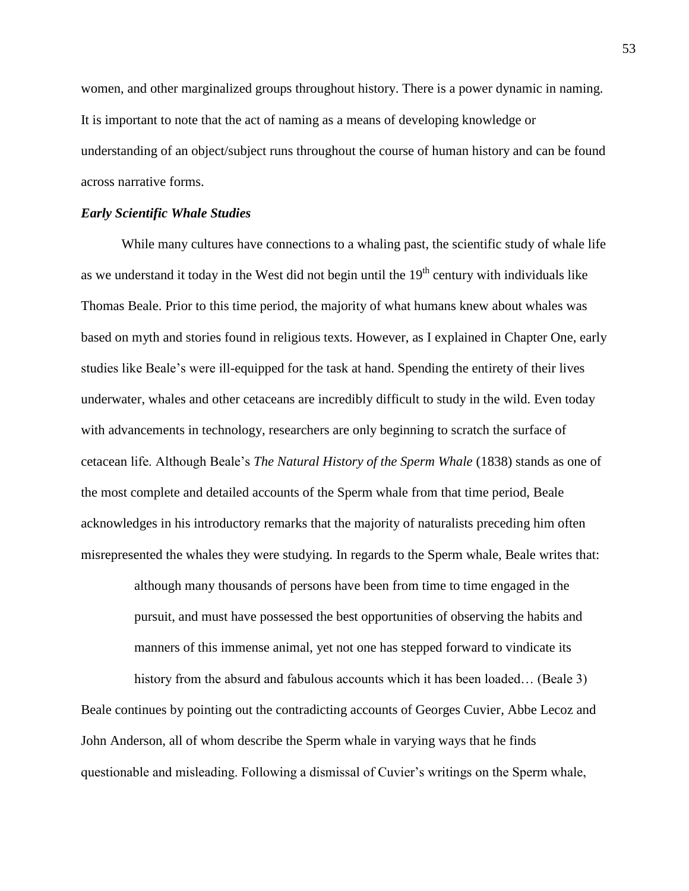women, and other marginalized groups throughout history. There is a power dynamic in naming. It is important to note that the act of naming as a means of developing knowledge or understanding of an object/subject runs throughout the course of human history and can be found across narrative forms.

## *Early Scientific Whale Studies*

While many cultures have connections to a whaling past, the scientific study of whale life as we understand it today in the West did not begin until the  $19<sup>th</sup>$  century with individuals like Thomas Beale. Prior to this time period, the majority of what humans knew about whales was based on myth and stories found in religious texts. However, as I explained in Chapter One, early studies like Beale's were ill-equipped for the task at hand. Spending the entirety of their lives underwater, whales and other cetaceans are incredibly difficult to study in the wild. Even today with advancements in technology, researchers are only beginning to scratch the surface of cetacean life. Although Beale's *The Natural History of the Sperm Whale* (1838) stands as one of the most complete and detailed accounts of the Sperm whale from that time period, Beale acknowledges in his introductory remarks that the majority of naturalists preceding him often misrepresented the whales they were studying. In regards to the Sperm whale, Beale writes that:

> although many thousands of persons have been from time to time engaged in the pursuit, and must have possessed the best opportunities of observing the habits and manners of this immense animal, yet not one has stepped forward to vindicate its

history from the absurd and fabulous accounts which it has been loaded... (Beale 3) Beale continues by pointing out the contradicting accounts of Georges Cuvier, Abbe Lecoz and John Anderson, all of whom describe the Sperm whale in varying ways that he finds questionable and misleading. Following a dismissal of Cuvier's writings on the Sperm whale,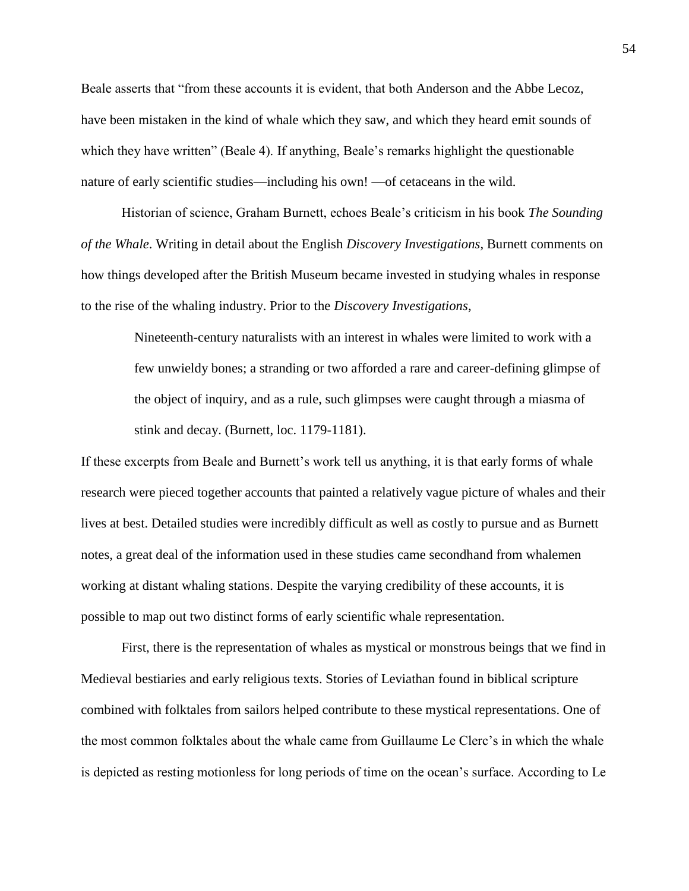Beale asserts that "from these accounts it is evident, that both Anderson and the Abbe Lecoz, have been mistaken in the kind of whale which they saw, and which they heard emit sounds of which they have written" (Beale 4). If anything, Beale's remarks highlight the questionable nature of early scientific studies—including his own! —of cetaceans in the wild.

Historian of science, Graham Burnett, echoes Beale's criticism in his book *The Sounding of the Whale*. Writing in detail about the English *Discovery Investigations*, Burnett comments on how things developed after the British Museum became invested in studying whales in response to the rise of the whaling industry. Prior to the *Discovery Investigations*,

> Nineteenth-century naturalists with an interest in whales were limited to work with a few unwieldy bones; a stranding or two afforded a rare and career-defining glimpse of the object of inquiry, and as a rule, such glimpses were caught through a miasma of stink and decay. (Burnett, loc. 1179-1181).

If these excerpts from Beale and Burnett's work tell us anything, it is that early forms of whale research were pieced together accounts that painted a relatively vague picture of whales and their lives at best. Detailed studies were incredibly difficult as well as costly to pursue and as Burnett notes, a great deal of the information used in these studies came secondhand from whalemen working at distant whaling stations. Despite the varying credibility of these accounts, it is possible to map out two distinct forms of early scientific whale representation.

First, there is the representation of whales as mystical or monstrous beings that we find in Medieval bestiaries and early religious texts. Stories of Leviathan found in biblical scripture combined with folktales from sailors helped contribute to these mystical representations. One of the most common folktales about the whale came from Guillaume Le Clerc's in which the whale is depicted as resting motionless for long periods of time on the ocean's surface. According to Le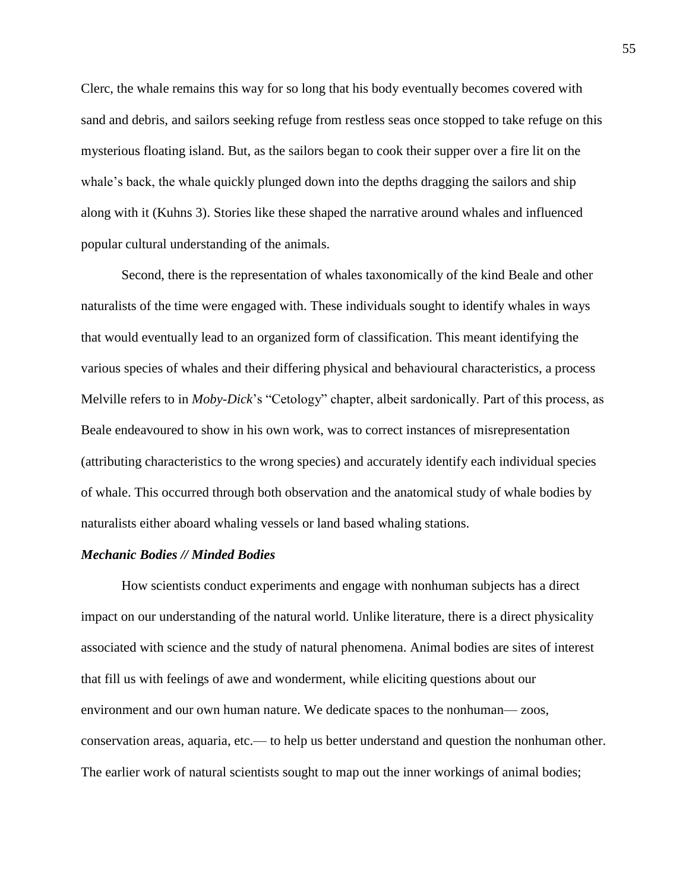Clerc, the whale remains this way for so long that his body eventually becomes covered with sand and debris, and sailors seeking refuge from restless seas once stopped to take refuge on this mysterious floating island. But, as the sailors began to cook their supper over a fire lit on the whale's back, the whale quickly plunged down into the depths dragging the sailors and ship along with it (Kuhns 3). Stories like these shaped the narrative around whales and influenced popular cultural understanding of the animals.

Second, there is the representation of whales taxonomically of the kind Beale and other naturalists of the time were engaged with. These individuals sought to identify whales in ways that would eventually lead to an organized form of classification. This meant identifying the various species of whales and their differing physical and behavioural characteristics, a process Melville refers to in *Moby-Dick*'s "Cetology" chapter, albeit sardonically. Part of this process, as Beale endeavoured to show in his own work, was to correct instances of misrepresentation (attributing characteristics to the wrong species) and accurately identify each individual species of whale. This occurred through both observation and the anatomical study of whale bodies by naturalists either aboard whaling vessels or land based whaling stations.

# *Mechanic Bodies // Minded Bodies*

How scientists conduct experiments and engage with nonhuman subjects has a direct impact on our understanding of the natural world. Unlike literature, there is a direct physicality associated with science and the study of natural phenomena. Animal bodies are sites of interest that fill us with feelings of awe and wonderment, while eliciting questions about our environment and our own human nature. We dedicate spaces to the nonhuman— zoos, conservation areas, aquaria, etc.— to help us better understand and question the nonhuman other. The earlier work of natural scientists sought to map out the inner workings of animal bodies;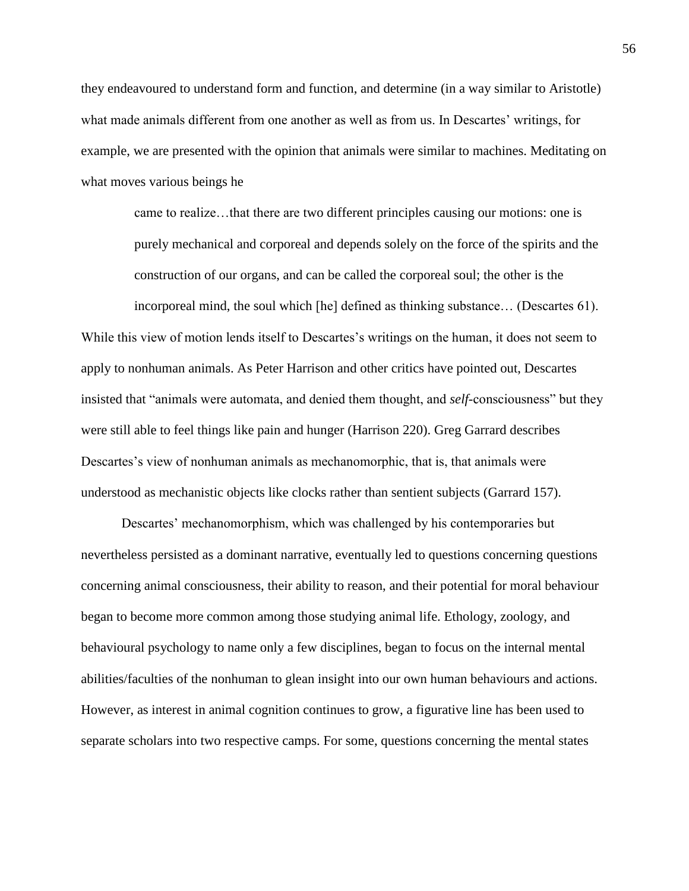they endeavoured to understand form and function, and determine (in a way similar to Aristotle) what made animals different from one another as well as from us. In Descartes' writings, for example, we are presented with the opinion that animals were similar to machines. Meditating on what moves various beings he

> came to realize…that there are two different principles causing our motions: one is purely mechanical and corporeal and depends solely on the force of the spirits and the construction of our organs, and can be called the corporeal soul; the other is the

incorporeal mind, the soul which [he] defined as thinking substance… (Descartes 61). While this view of motion lends itself to Descartes's writings on the human, it does not seem to apply to nonhuman animals. As Peter Harrison and other critics have pointed out, Descartes insisted that "animals were automata, and denied them thought, and *self*-consciousness" but they were still able to feel things like pain and hunger (Harrison 220). Greg Garrard describes Descartes's view of nonhuman animals as mechanomorphic, that is, that animals were understood as mechanistic objects like clocks rather than sentient subjects (Garrard 157).

Descartes' mechanomorphism, which was challenged by his contemporaries but nevertheless persisted as a dominant narrative, eventually led to questions concerning questions concerning animal consciousness, their ability to reason, and their potential for moral behaviour began to become more common among those studying animal life. Ethology, zoology, and behavioural psychology to name only a few disciplines, began to focus on the internal mental abilities/faculties of the nonhuman to glean insight into our own human behaviours and actions. However, as interest in animal cognition continues to grow, a figurative line has been used to separate scholars into two respective camps. For some, questions concerning the mental states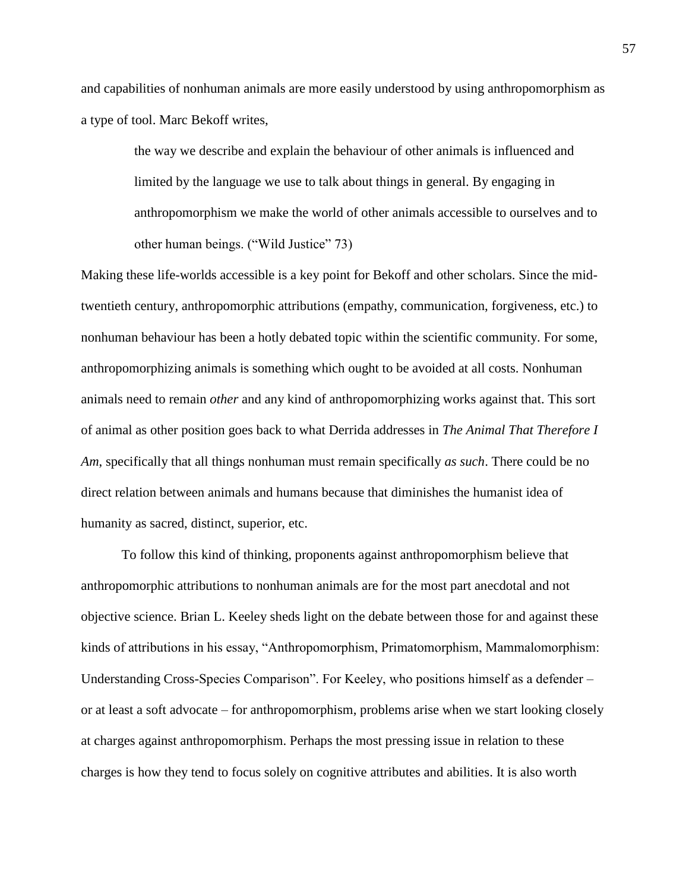and capabilities of nonhuman animals are more easily understood by using anthropomorphism as a type of tool. Marc Bekoff writes,

> the way we describe and explain the behaviour of other animals is influenced and limited by the language we use to talk about things in general. By engaging in anthropomorphism we make the world of other animals accessible to ourselves and to other human beings. ("Wild Justice" 73)

Making these life-worlds accessible is a key point for Bekoff and other scholars. Since the midtwentieth century, anthropomorphic attributions (empathy, communication, forgiveness, etc.) to nonhuman behaviour has been a hotly debated topic within the scientific community. For some, anthropomorphizing animals is something which ought to be avoided at all costs. Nonhuman animals need to remain *other* and any kind of anthropomorphizing works against that. This sort of animal as other position goes back to what Derrida addresses in *The Animal That Therefore I Am*, specifically that all things nonhuman must remain specifically *as such*. There could be no direct relation between animals and humans because that diminishes the humanist idea of humanity as sacred, distinct, superior, etc.

To follow this kind of thinking, proponents against anthropomorphism believe that anthropomorphic attributions to nonhuman animals are for the most part anecdotal and not objective science. Brian L. Keeley sheds light on the debate between those for and against these kinds of attributions in his essay, "Anthropomorphism, Primatomorphism, Mammalomorphism: Understanding Cross-Species Comparison". For Keeley, who positions himself as a defender – or at least a soft advocate – for anthropomorphism, problems arise when we start looking closely at charges against anthropomorphism. Perhaps the most pressing issue in relation to these charges is how they tend to focus solely on cognitive attributes and abilities. It is also worth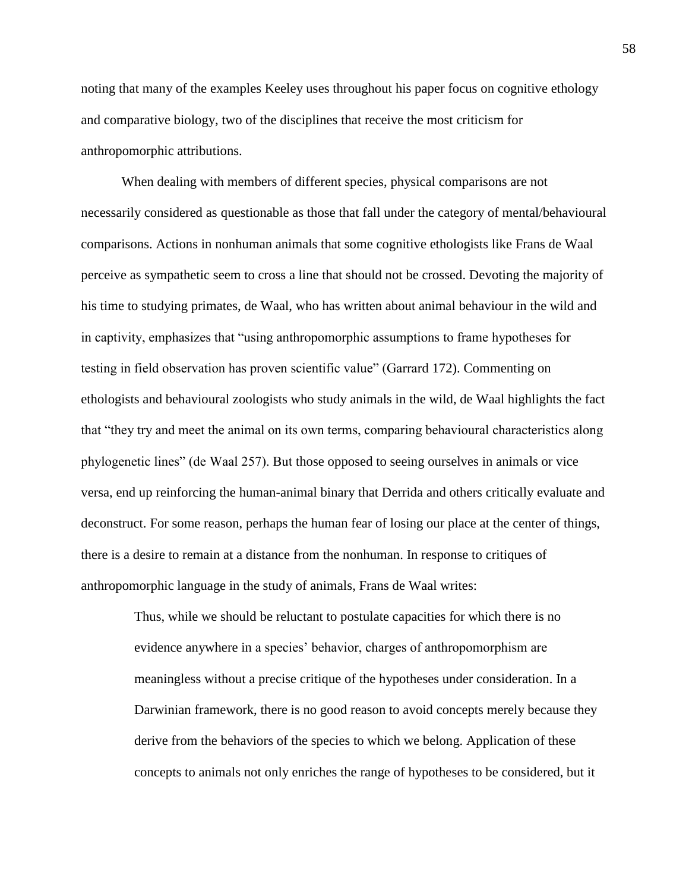noting that many of the examples Keeley uses throughout his paper focus on cognitive ethology and comparative biology, two of the disciplines that receive the most criticism for anthropomorphic attributions.

When dealing with members of different species, physical comparisons are not necessarily considered as questionable as those that fall under the category of mental/behavioural comparisons. Actions in nonhuman animals that some cognitive ethologists like Frans de Waal perceive as sympathetic seem to cross a line that should not be crossed. Devoting the majority of his time to studying primates, de Waal, who has written about animal behaviour in the wild and in captivity, emphasizes that "using anthropomorphic assumptions to frame hypotheses for testing in field observation has proven scientific value" (Garrard 172). Commenting on ethologists and behavioural zoologists who study animals in the wild, de Waal highlights the fact that "they try and meet the animal on its own terms, comparing behavioural characteristics along phylogenetic lines" (de Waal 257). But those opposed to seeing ourselves in animals or vice versa, end up reinforcing the human-animal binary that Derrida and others critically evaluate and deconstruct. For some reason, perhaps the human fear of losing our place at the center of things, there is a desire to remain at a distance from the nonhuman. In response to critiques of anthropomorphic language in the study of animals, Frans de Waal writes:

Thus, while we should be reluctant to postulate capacities for which there is no evidence anywhere in a species' behavior, charges of anthropomorphism are meaningless without a precise critique of the hypotheses under consideration. In a Darwinian framework, there is no good reason to avoid concepts merely because they derive from the behaviors of the species to which we belong. Application of these concepts to animals not only enriches the range of hypotheses to be considered, but it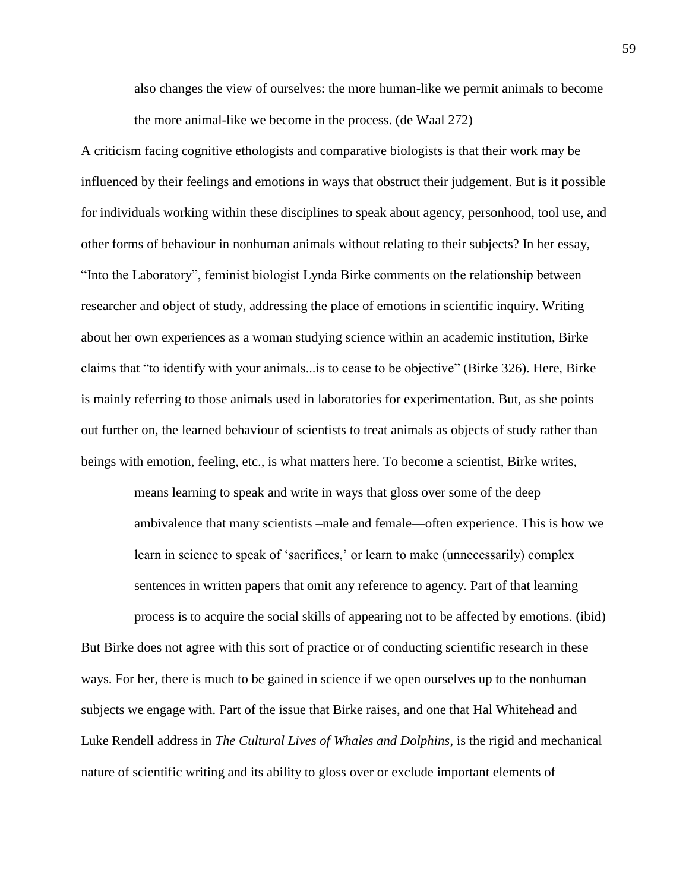also changes the view of ourselves: the more human-like we permit animals to become the more animal-like we become in the process. (de Waal 272)

A criticism facing cognitive ethologists and comparative biologists is that their work may be influenced by their feelings and emotions in ways that obstruct their judgement. But is it possible for individuals working within these disciplines to speak about agency, personhood, tool use, and other forms of behaviour in nonhuman animals without relating to their subjects? In her essay, "Into the Laboratory", feminist biologist Lynda Birke comments on the relationship between researcher and object of study, addressing the place of emotions in scientific inquiry. Writing about her own experiences as a woman studying science within an academic institution, Birke claims that "to identify with your animals...is to cease to be objective" (Birke 326). Here, Birke is mainly referring to those animals used in laboratories for experimentation. But, as she points out further on, the learned behaviour of scientists to treat animals as objects of study rather than beings with emotion, feeling, etc., is what matters here. To become a scientist, Birke writes,

> means learning to speak and write in ways that gloss over some of the deep ambivalence that many scientists –male and female—often experience. This is how we learn in science to speak of 'sacrifices,' or learn to make (unnecessarily) complex sentences in written papers that omit any reference to agency. Part of that learning

process is to acquire the social skills of appearing not to be affected by emotions. (ibid) But Birke does not agree with this sort of practice or of conducting scientific research in these ways. For her, there is much to be gained in science if we open ourselves up to the nonhuman subjects we engage with. Part of the issue that Birke raises, and one that Hal Whitehead and Luke Rendell address in *The Cultural Lives of Whales and Dolphins*, is the rigid and mechanical nature of scientific writing and its ability to gloss over or exclude important elements of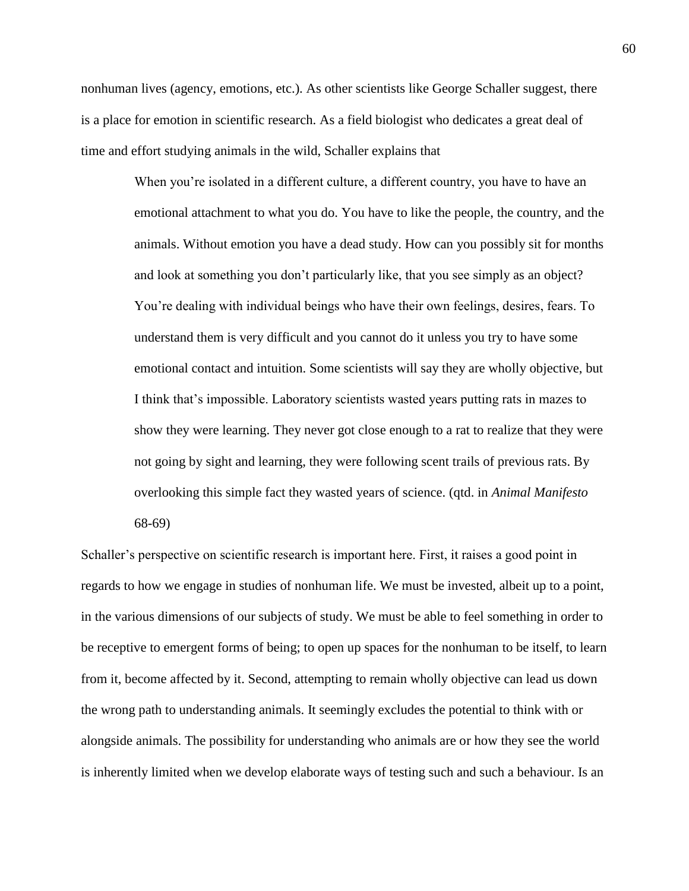nonhuman lives (agency, emotions, etc.). As other scientists like George Schaller suggest, there is a place for emotion in scientific research. As a field biologist who dedicates a great deal of time and effort studying animals in the wild, Schaller explains that

> When you're isolated in a different culture, a different country, you have to have an emotional attachment to what you do. You have to like the people, the country, and the animals. Without emotion you have a dead study. How can you possibly sit for months and look at something you don't particularly like, that you see simply as an object? You're dealing with individual beings who have their own feelings, desires, fears. To understand them is very difficult and you cannot do it unless you try to have some emotional contact and intuition. Some scientists will say they are wholly objective, but I think that's impossible. Laboratory scientists wasted years putting rats in mazes to show they were learning. They never got close enough to a rat to realize that they were not going by sight and learning, they were following scent trails of previous rats. By overlooking this simple fact they wasted years of science. (qtd. in *Animal Manifesto* 68-69)

Schaller's perspective on scientific research is important here. First, it raises a good point in regards to how we engage in studies of nonhuman life. We must be invested, albeit up to a point, in the various dimensions of our subjects of study. We must be able to feel something in order to be receptive to emergent forms of being; to open up spaces for the nonhuman to be itself, to learn from it, become affected by it. Second, attempting to remain wholly objective can lead us down the wrong path to understanding animals. It seemingly excludes the potential to think with or alongside animals. The possibility for understanding who animals are or how they see the world is inherently limited when we develop elaborate ways of testing such and such a behaviour. Is an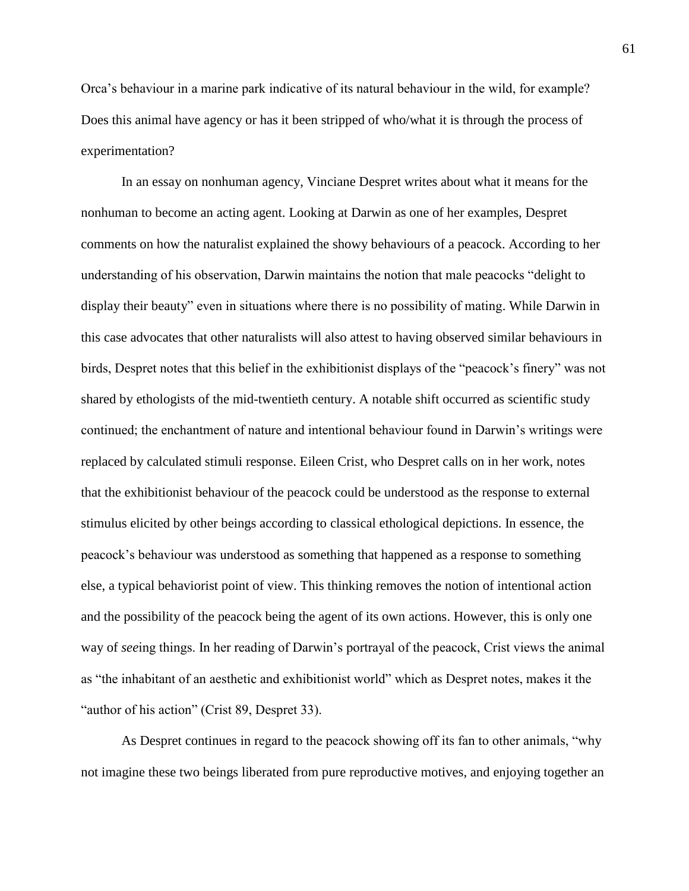Orca's behaviour in a marine park indicative of its natural behaviour in the wild, for example? Does this animal have agency or has it been stripped of who/what it is through the process of experimentation?

In an essay on nonhuman agency, Vinciane Despret writes about what it means for the nonhuman to become an acting agent. Looking at Darwin as one of her examples, Despret comments on how the naturalist explained the showy behaviours of a peacock. According to her understanding of his observation, Darwin maintains the notion that male peacocks "delight to display their beauty" even in situations where there is no possibility of mating. While Darwin in this case advocates that other naturalists will also attest to having observed similar behaviours in birds, Despret notes that this belief in the exhibitionist displays of the "peacock's finery" was not shared by ethologists of the mid-twentieth century. A notable shift occurred as scientific study continued; the enchantment of nature and intentional behaviour found in Darwin's writings were replaced by calculated stimuli response. Eileen Crist, who Despret calls on in her work, notes that the exhibitionist behaviour of the peacock could be understood as the response to external stimulus elicited by other beings according to classical ethological depictions. In essence, the peacock's behaviour was understood as something that happened as a response to something else, a typical behaviorist point of view. This thinking removes the notion of intentional action and the possibility of the peacock being the agent of its own actions. However, this is only one way of *see*ing things. In her reading of Darwin's portrayal of the peacock, Crist views the animal as "the inhabitant of an aesthetic and exhibitionist world" which as Despret notes, makes it the "author of his action" (Crist 89, Despret 33).

As Despret continues in regard to the peacock showing off its fan to other animals, "why not imagine these two beings liberated from pure reproductive motives, and enjoying together an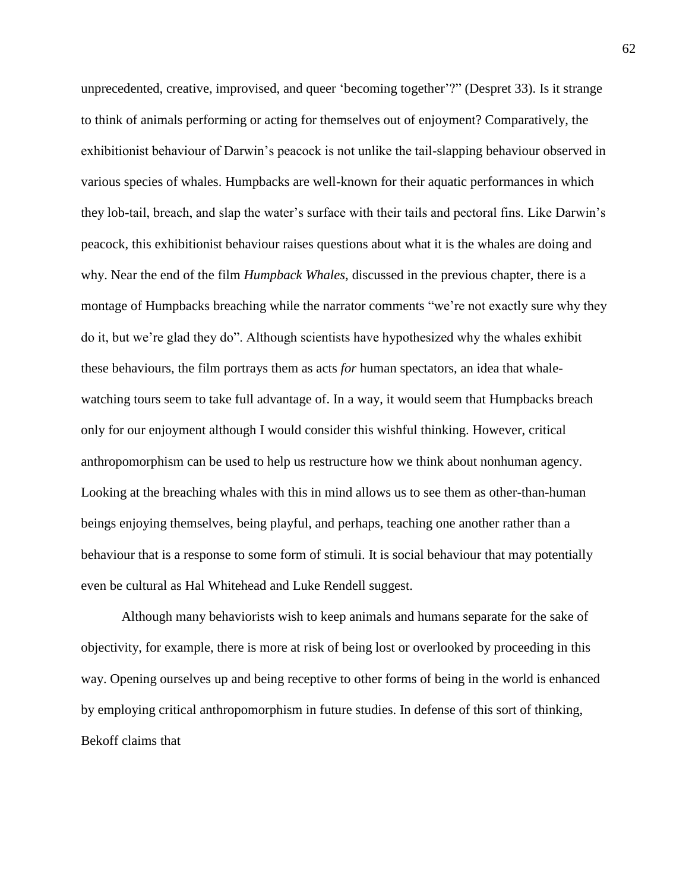unprecedented, creative, improvised, and queer 'becoming together'?" (Despret 33). Is it strange to think of animals performing or acting for themselves out of enjoyment? Comparatively, the exhibitionist behaviour of Darwin's peacock is not unlike the tail-slapping behaviour observed in various species of whales. Humpbacks are well-known for their aquatic performances in which they lob-tail, breach, and slap the water's surface with their tails and pectoral fins. Like Darwin's peacock, this exhibitionist behaviour raises questions about what it is the whales are doing and why. Near the end of the film *Humpback Whales*, discussed in the previous chapter, there is a montage of Humpbacks breaching while the narrator comments "we're not exactly sure why they do it, but we're glad they do". Although scientists have hypothesized why the whales exhibit these behaviours, the film portrays them as acts *for* human spectators, an idea that whalewatching tours seem to take full advantage of. In a way, it would seem that Humpbacks breach only for our enjoyment although I would consider this wishful thinking. However, critical anthropomorphism can be used to help us restructure how we think about nonhuman agency. Looking at the breaching whales with this in mind allows us to see them as other-than-human beings enjoying themselves, being playful, and perhaps, teaching one another rather than a behaviour that is a response to some form of stimuli. It is social behaviour that may potentially even be cultural as Hal Whitehead and Luke Rendell suggest.

Although many behaviorists wish to keep animals and humans separate for the sake of objectivity, for example, there is more at risk of being lost or overlooked by proceeding in this way. Opening ourselves up and being receptive to other forms of being in the world is enhanced by employing critical anthropomorphism in future studies. In defense of this sort of thinking, Bekoff claims that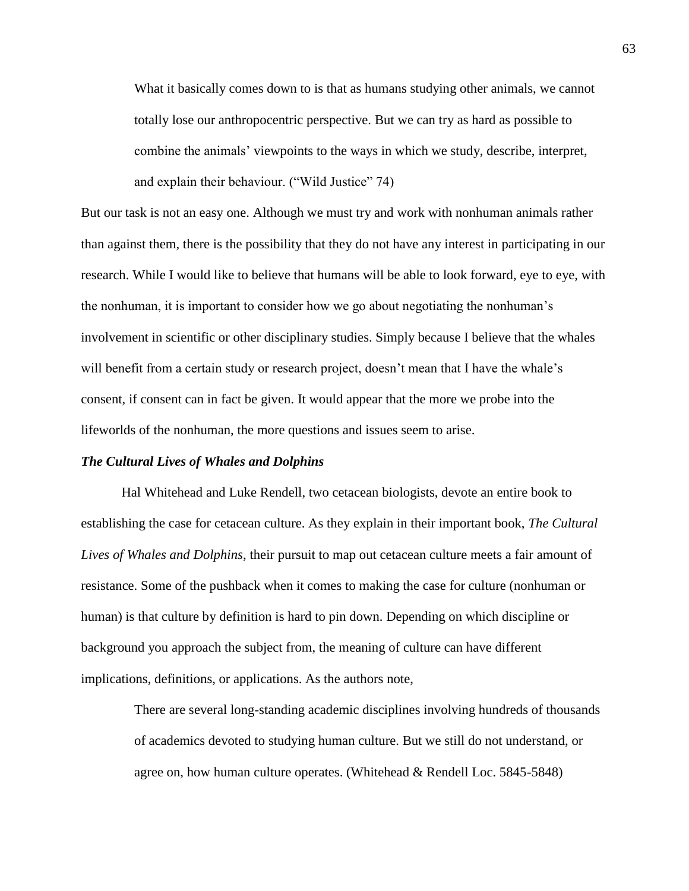What it basically comes down to is that as humans studying other animals, we cannot totally lose our anthropocentric perspective. But we can try as hard as possible to combine the animals' viewpoints to the ways in which we study, describe, interpret, and explain their behaviour. ("Wild Justice" 74)

But our task is not an easy one. Although we must try and work with nonhuman animals rather than against them, there is the possibility that they do not have any interest in participating in our research. While I would like to believe that humans will be able to look forward, eye to eye, with the nonhuman, it is important to consider how we go about negotiating the nonhuman's involvement in scientific or other disciplinary studies. Simply because I believe that the whales will benefit from a certain study or research project, doesn't mean that I have the whale's consent, if consent can in fact be given. It would appear that the more we probe into the lifeworlds of the nonhuman, the more questions and issues seem to arise.

### *The Cultural Lives of Whales and Dolphins*

Hal Whitehead and Luke Rendell, two cetacean biologists, devote an entire book to establishing the case for cetacean culture. As they explain in their important book, *The Cultural Lives of Whales and Dolphins*, their pursuit to map out cetacean culture meets a fair amount of resistance. Some of the pushback when it comes to making the case for culture (nonhuman or human) is that culture by definition is hard to pin down. Depending on which discipline or background you approach the subject from, the meaning of culture can have different implications, definitions, or applications. As the authors note,

There are several long-standing academic disciplines involving hundreds of thousands of academics devoted to studying human culture. But we still do not understand, or agree on, how human culture operates. (Whitehead & Rendell Loc. 5845-5848)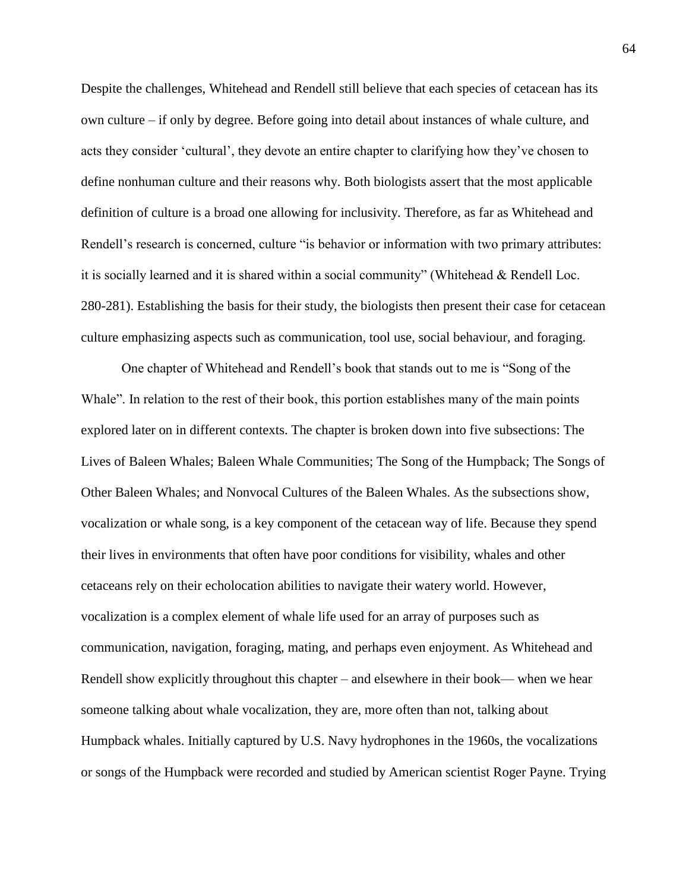Despite the challenges, Whitehead and Rendell still believe that each species of cetacean has its own culture – if only by degree. Before going into detail about instances of whale culture, and acts they consider 'cultural', they devote an entire chapter to clarifying how they've chosen to define nonhuman culture and their reasons why. Both biologists assert that the most applicable definition of culture is a broad one allowing for inclusivity. Therefore, as far as Whitehead and Rendell's research is concerned, culture "is behavior or information with two primary attributes: it is socially learned and it is shared within a social community" (Whitehead & Rendell Loc. 280-281). Establishing the basis for their study, the biologists then present their case for cetacean culture emphasizing aspects such as communication, tool use, social behaviour, and foraging.

One chapter of Whitehead and Rendell's book that stands out to me is "Song of the Whale". In relation to the rest of their book, this portion establishes many of the main points explored later on in different contexts. The chapter is broken down into five subsections: The Lives of Baleen Whales; Baleen Whale Communities; The Song of the Humpback; The Songs of Other Baleen Whales; and Nonvocal Cultures of the Baleen Whales. As the subsections show, vocalization or whale song, is a key component of the cetacean way of life. Because they spend their lives in environments that often have poor conditions for visibility, whales and other cetaceans rely on their echolocation abilities to navigate their watery world. However, vocalization is a complex element of whale life used for an array of purposes such as communication, navigation, foraging, mating, and perhaps even enjoyment. As Whitehead and Rendell show explicitly throughout this chapter – and elsewhere in their book— when we hear someone talking about whale vocalization, they are, more often than not, talking about Humpback whales. Initially captured by U.S. Navy hydrophones in the 1960s, the vocalizations or songs of the Humpback were recorded and studied by American scientist Roger Payne. Trying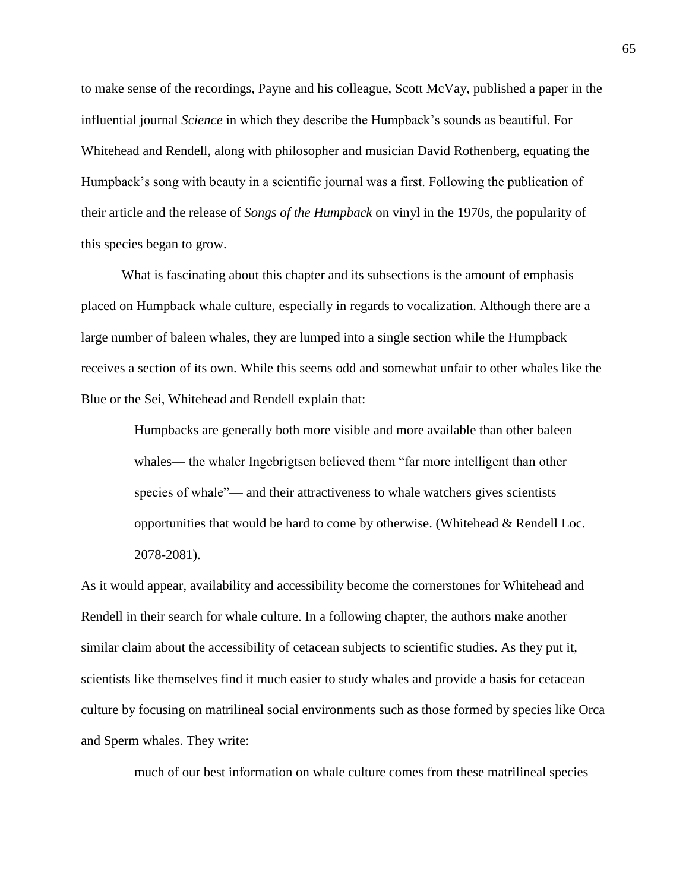to make sense of the recordings, Payne and his colleague, Scott McVay, published a paper in the influential journal *Science* in which they describe the Humpback's sounds as beautiful. For Whitehead and Rendell, along with philosopher and musician David Rothenberg, equating the Humpback's song with beauty in a scientific journal was a first. Following the publication of their article and the release of *Songs of the Humpback* on vinyl in the 1970s, the popularity of this species began to grow.

What is fascinating about this chapter and its subsections is the amount of emphasis placed on Humpback whale culture, especially in regards to vocalization. Although there are a large number of baleen whales, they are lumped into a single section while the Humpback receives a section of its own. While this seems odd and somewhat unfair to other whales like the Blue or the Sei, Whitehead and Rendell explain that:

> Humpbacks are generally both more visible and more available than other baleen whales— the whaler Ingebrigtsen believed them "far more intelligent than other species of whale"— and their attractiveness to whale watchers gives scientists opportunities that would be hard to come by otherwise. (Whitehead & Rendell Loc. 2078-2081).

As it would appear, availability and accessibility become the cornerstones for Whitehead and Rendell in their search for whale culture. In a following chapter, the authors make another similar claim about the accessibility of cetacean subjects to scientific studies. As they put it, scientists like themselves find it much easier to study whales and provide a basis for cetacean culture by focusing on matrilineal social environments such as those formed by species like Orca and Sperm whales. They write:

much of our best information on whale culture comes from these matrilineal species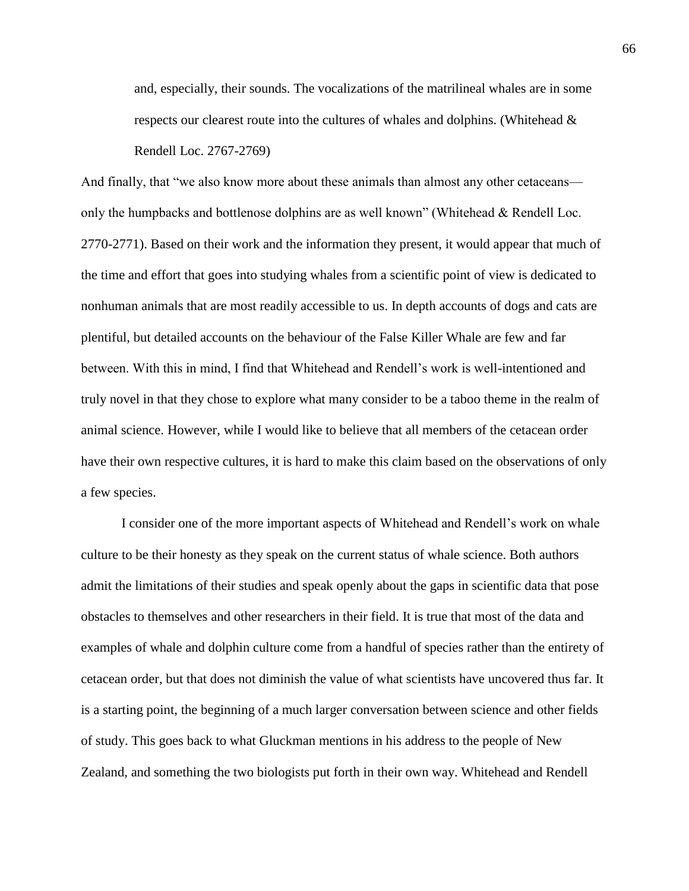and, especially, their sounds. The vocalizations of the matrilineal whales are in some respects our clearest route into the cultures of whales and dolphins. (Whitehead & Rendell Loc. 2767-2769)

And finally, that "we also know more about these animals than almost any other cetaceans only the humpbacks and bottlenose dolphins are as well known" (Whitehead & Rendell Loc. 2770-2771). Based on their work and the information they present, it would appear that much of the time and effort that goes into studying whales from a scientific point of view is dedicated to nonhuman animals that are most readily accessible to us. In depth accounts of dogs and cats are plentiful, but detailed accounts on the behaviour of the False Killer Whale are few and far between. With this in mind, I find that Whitehead and Rendell's work is well-intentioned and truly novel in that they chose to explore what many consider to be a taboo theme in the realm of animal science. However, while I would like to believe that all members of the cetacean order have their own respective cultures, it is hard to make this claim based on the observations of only a few species.

I consider one of the more important aspects of Whitehead and Rendell's work on whale culture to be their honesty as they speak on the current status of whale science. Both authors admit the limitations of their studies and speak openly about the gaps in scientific data that pose obstacles to themselves and other researchers in their field. It is true that most of the data and examples of whale and dolphin culture come from a handful of species rather than the entirety of cetacean order, but that does not diminish the value of what scientists have uncovered thus far. It is a starting point, the beginning of a much larger conversation between science and other fields of study. This goes back to what Gluckman mentions in his address to the people of New Zealand, and something the two biologists put forth in their own way. Whitehead and Rendell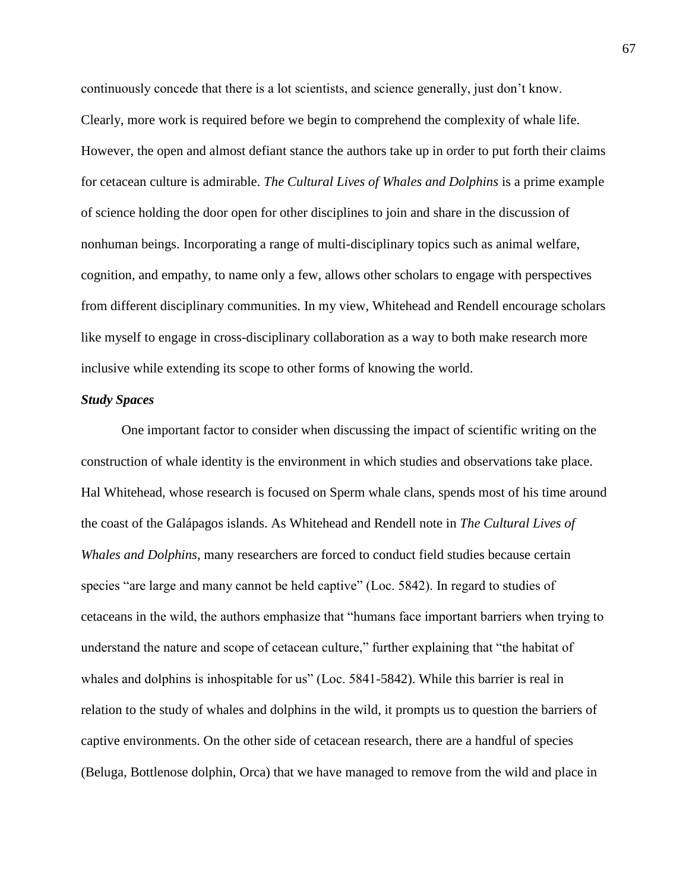continuously concede that there is a lot scientists, and science generally, just don't know. Clearly, more work is required before we begin to comprehend the complexity of whale life. However, the open and almost defiant stance the authors take up in order to put forth their claims for cetacean culture is admirable. *The Cultural Lives of Whales and Dolphins* is a prime example of science holding the door open for other disciplines to join and share in the discussion of nonhuman beings. Incorporating a range of multi-disciplinary topics such as animal welfare, cognition, and empathy, to name only a few, allows other scholars to engage with perspectives from different disciplinary communities. In my view, Whitehead and Rendell encourage scholars like myself to engage in cross-disciplinary collaboration as a way to both make research more inclusive while extending its scope to other forms of knowing the world.

## *Study Spaces*

One important factor to consider when discussing the impact of scientific writing on the construction of whale identity is the environment in which studies and observations take place. Hal Whitehead, whose research is focused on Sperm whale clans, spends most of his time around the coast of the Galápagos islands. As Whitehead and Rendell note in *The Cultural Lives of Whales and Dolphins*, many researchers are forced to conduct field studies because certain species "are large and many cannot be held captive" (Loc. 5842). In regard to studies of cetaceans in the wild, the authors emphasize that "humans face important barriers when trying to understand the nature and scope of cetacean culture," further explaining that "the habitat of whales and dolphins is inhospitable for us" (Loc. 5841-5842). While this barrier is real in relation to the study of whales and dolphins in the wild, it prompts us to question the barriers of captive environments. On the other side of cetacean research, there are a handful of species (Beluga, Bottlenose dolphin, Orca) that we have managed to remove from the wild and place in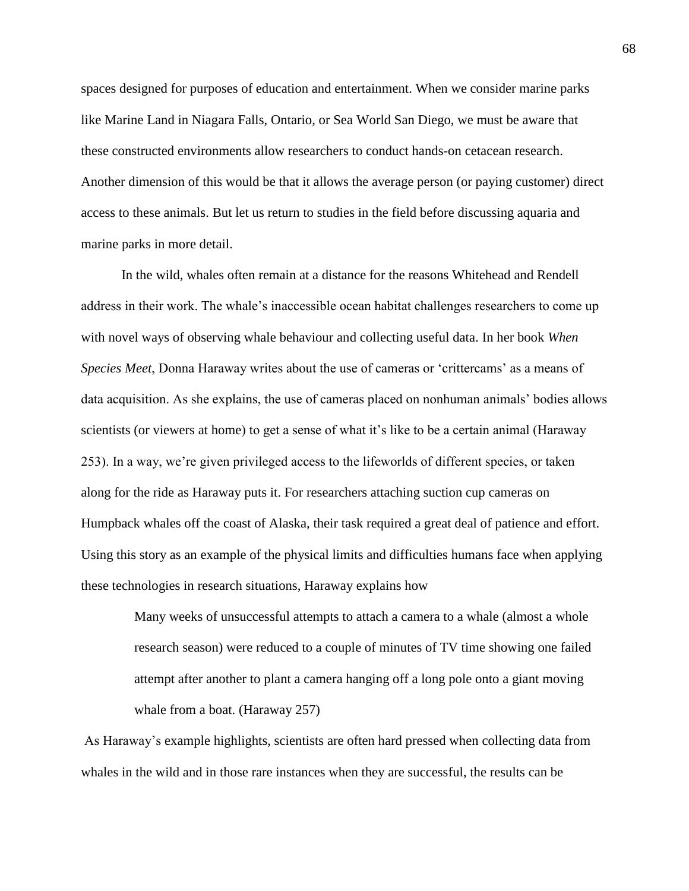spaces designed for purposes of education and entertainment. When we consider marine parks like Marine Land in Niagara Falls, Ontario, or Sea World San Diego, we must be aware that these constructed environments allow researchers to conduct hands-on cetacean research. Another dimension of this would be that it allows the average person (or paying customer) direct access to these animals. But let us return to studies in the field before discussing aquaria and marine parks in more detail.

In the wild, whales often remain at a distance for the reasons Whitehead and Rendell address in their work. The whale's inaccessible ocean habitat challenges researchers to come up with novel ways of observing whale behaviour and collecting useful data. In her book *When Species Meet*, Donna Haraway writes about the use of cameras or 'crittercams' as a means of data acquisition. As she explains, the use of cameras placed on nonhuman animals' bodies allows scientists (or viewers at home) to get a sense of what it's like to be a certain animal (Haraway 253). In a way, we're given privileged access to the lifeworlds of different species, or taken along for the ride as Haraway puts it. For researchers attaching suction cup cameras on Humpback whales off the coast of Alaska, their task required a great deal of patience and effort. Using this story as an example of the physical limits and difficulties humans face when applying these technologies in research situations, Haraway explains how

> Many weeks of unsuccessful attempts to attach a camera to a whale (almost a whole research season) were reduced to a couple of minutes of TV time showing one failed attempt after another to plant a camera hanging off a long pole onto a giant moving whale from a boat. (Haraway 257)

As Haraway's example highlights, scientists are often hard pressed when collecting data from whales in the wild and in those rare instances when they are successful, the results can be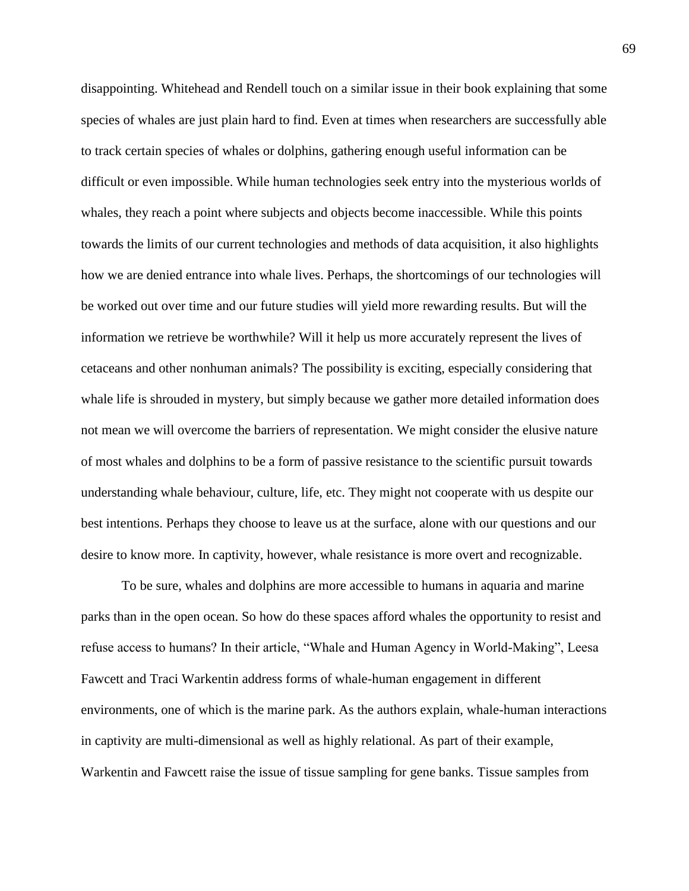disappointing. Whitehead and Rendell touch on a similar issue in their book explaining that some species of whales are just plain hard to find. Even at times when researchers are successfully able to track certain species of whales or dolphins, gathering enough useful information can be difficult or even impossible. While human technologies seek entry into the mysterious worlds of whales, they reach a point where subjects and objects become inaccessible. While this points towards the limits of our current technologies and methods of data acquisition, it also highlights how we are denied entrance into whale lives. Perhaps, the shortcomings of our technologies will be worked out over time and our future studies will yield more rewarding results. But will the information we retrieve be worthwhile? Will it help us more accurately represent the lives of cetaceans and other nonhuman animals? The possibility is exciting, especially considering that whale life is shrouded in mystery, but simply because we gather more detailed information does not mean we will overcome the barriers of representation. We might consider the elusive nature of most whales and dolphins to be a form of passive resistance to the scientific pursuit towards understanding whale behaviour, culture, life, etc. They might not cooperate with us despite our best intentions. Perhaps they choose to leave us at the surface, alone with our questions and our desire to know more. In captivity, however, whale resistance is more overt and recognizable.

To be sure, whales and dolphins are more accessible to humans in aquaria and marine parks than in the open ocean. So how do these spaces afford whales the opportunity to resist and refuse access to humans? In their article, "Whale and Human Agency in World-Making", Leesa Fawcett and Traci Warkentin address forms of whale-human engagement in different environments, one of which is the marine park. As the authors explain, whale-human interactions in captivity are multi-dimensional as well as highly relational. As part of their example, Warkentin and Fawcett raise the issue of tissue sampling for gene banks. Tissue samples from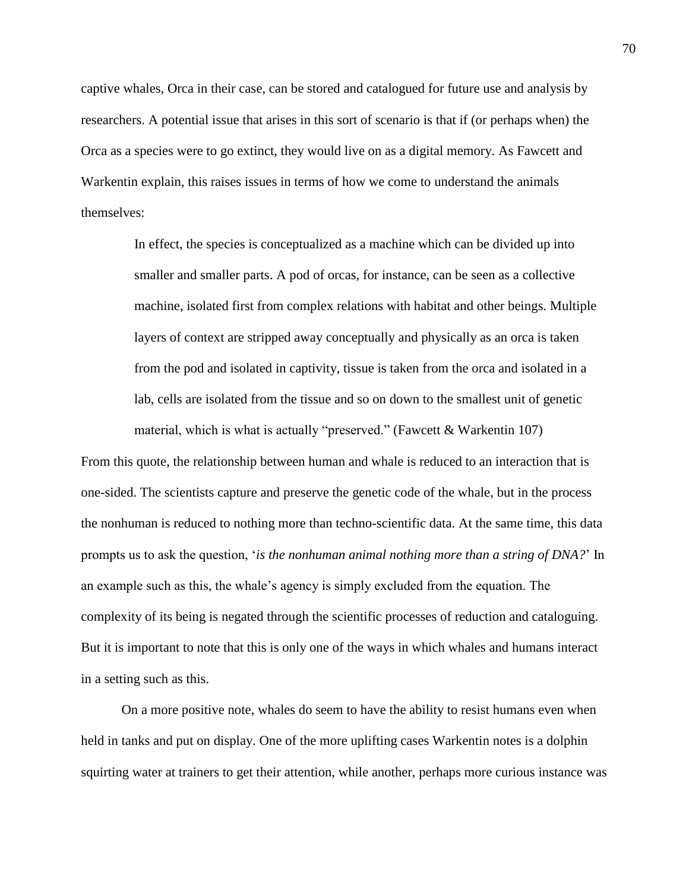captive whales, Orca in their case, can be stored and catalogued for future use and analysis by researchers. A potential issue that arises in this sort of scenario is that if (or perhaps when) the Orca as a species were to go extinct, they would live on as a digital memory. As Fawcett and Warkentin explain, this raises issues in terms of how we come to understand the animals themselves:

> In effect, the species is conceptualized as a machine which can be divided up into smaller and smaller parts. A pod of orcas, for instance, can be seen as a collective machine, isolated first from complex relations with habitat and other beings. Multiple layers of context are stripped away conceptually and physically as an orca is taken from the pod and isolated in captivity, tissue is taken from the orca and isolated in a lab, cells are isolated from the tissue and so on down to the smallest unit of genetic material, which is what is actually "preserved." (Fawcett & Warkentin 107)

From this quote, the relationship between human and whale is reduced to an interaction that is one-sided. The scientists capture and preserve the genetic code of the whale, but in the process the nonhuman is reduced to nothing more than techno-scientific data. At the same time, this data prompts us to ask the question, '*is the nonhuman animal nothing more than a string of DNA?*' In an example such as this, the whale's agency is simply excluded from the equation. The complexity of its being is negated through the scientific processes of reduction and cataloguing. But it is important to note that this is only one of the ways in which whales and humans interact in a setting such as this.

On a more positive note, whales do seem to have the ability to resist humans even when held in tanks and put on display. One of the more uplifting cases Warkentin notes is a dolphin squirting water at trainers to get their attention, while another, perhaps more curious instance was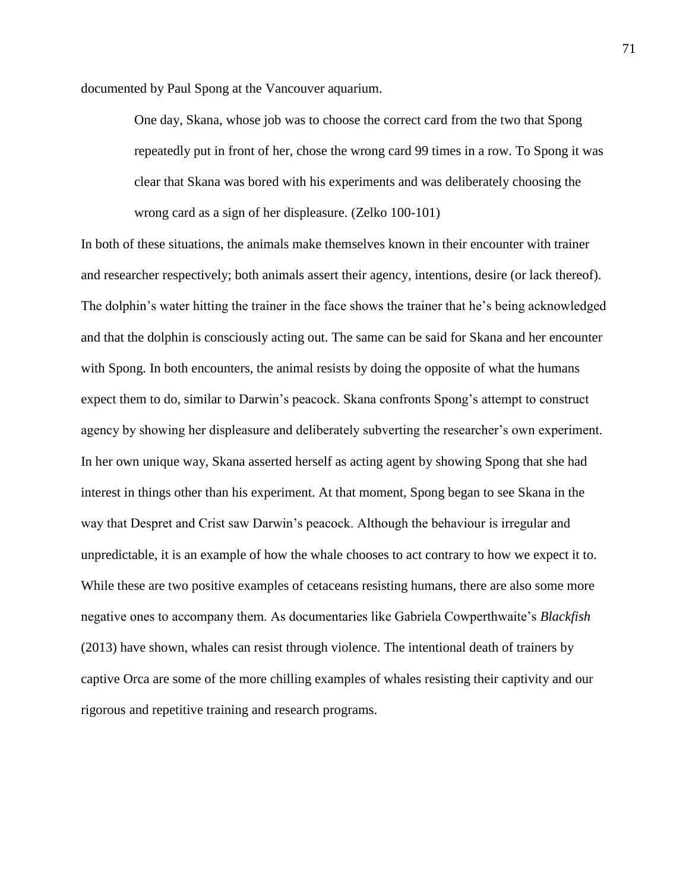documented by Paul Spong at the Vancouver aquarium.

One day, Skana, whose job was to choose the correct card from the two that Spong repeatedly put in front of her, chose the wrong card 99 times in a row. To Spong it was clear that Skana was bored with his experiments and was deliberately choosing the wrong card as a sign of her displeasure. (Zelko 100-101)

In both of these situations, the animals make themselves known in their encounter with trainer and researcher respectively; both animals assert their agency, intentions, desire (or lack thereof). The dolphin's water hitting the trainer in the face shows the trainer that he's being acknowledged and that the dolphin is consciously acting out. The same can be said for Skana and her encounter with Spong. In both encounters, the animal resists by doing the opposite of what the humans expect them to do, similar to Darwin's peacock. Skana confronts Spong's attempt to construct agency by showing her displeasure and deliberately subverting the researcher's own experiment. In her own unique way, Skana asserted herself as acting agent by showing Spong that she had interest in things other than his experiment. At that moment, Spong began to see Skana in the way that Despret and Crist saw Darwin's peacock. Although the behaviour is irregular and unpredictable, it is an example of how the whale chooses to act contrary to how we expect it to. While these are two positive examples of cetaceans resisting humans, there are also some more negative ones to accompany them. As documentaries like Gabriela Cowperthwaite's *Blackfish* (2013) have shown, whales can resist through violence. The intentional death of trainers by captive Orca are some of the more chilling examples of whales resisting their captivity and our rigorous and repetitive training and research programs.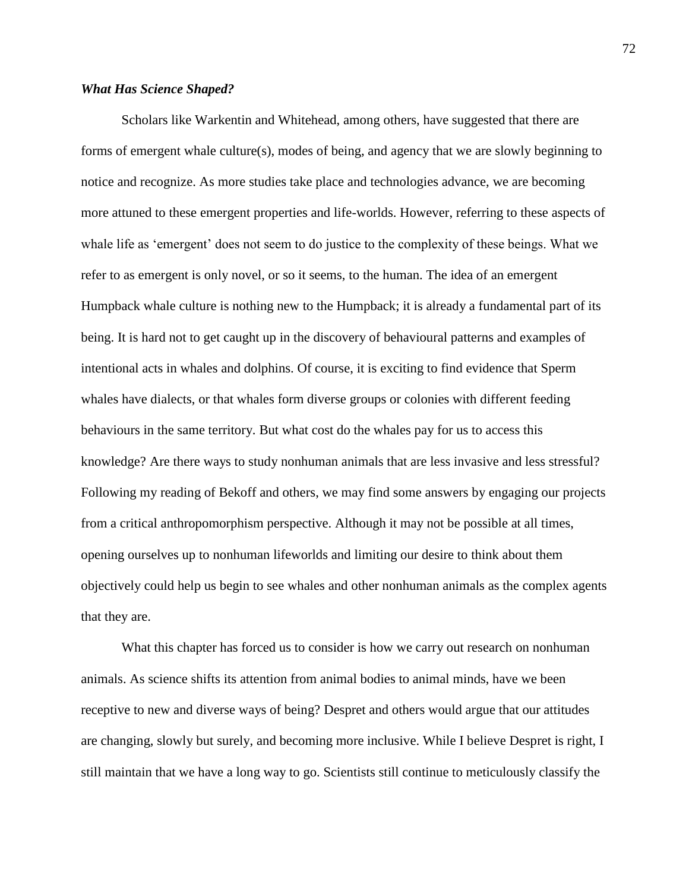# *What Has Science Shaped?*

Scholars like Warkentin and Whitehead, among others, have suggested that there are forms of emergent whale culture(s), modes of being, and agency that we are slowly beginning to notice and recognize. As more studies take place and technologies advance, we are becoming more attuned to these emergent properties and life-worlds. However, referring to these aspects of whale life as 'emergent' does not seem to do justice to the complexity of these beings. What we refer to as emergent is only novel, or so it seems, to the human. The idea of an emergent Humpback whale culture is nothing new to the Humpback; it is already a fundamental part of its being. It is hard not to get caught up in the discovery of behavioural patterns and examples of intentional acts in whales and dolphins. Of course, it is exciting to find evidence that Sperm whales have dialects, or that whales form diverse groups or colonies with different feeding behaviours in the same territory. But what cost do the whales pay for us to access this knowledge? Are there ways to study nonhuman animals that are less invasive and less stressful? Following my reading of Bekoff and others, we may find some answers by engaging our projects from a critical anthropomorphism perspective. Although it may not be possible at all times, opening ourselves up to nonhuman lifeworlds and limiting our desire to think about them objectively could help us begin to see whales and other nonhuman animals as the complex agents that they are.

What this chapter has forced us to consider is how we carry out research on nonhuman animals. As science shifts its attention from animal bodies to animal minds, have we been receptive to new and diverse ways of being? Despret and others would argue that our attitudes are changing, slowly but surely, and becoming more inclusive. While I believe Despret is right, I still maintain that we have a long way to go. Scientists still continue to meticulously classify the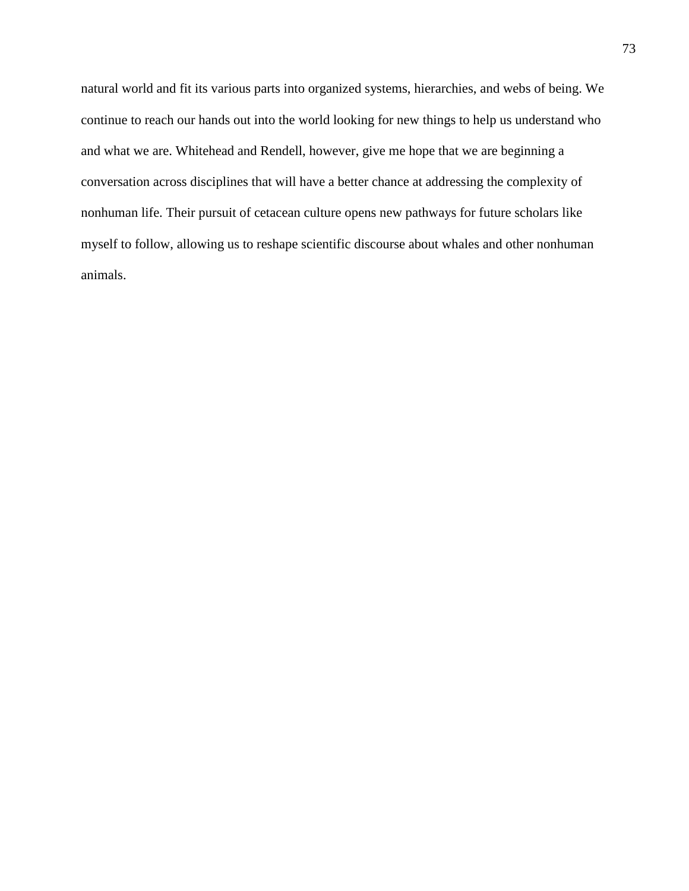natural world and fit its various parts into organized systems, hierarchies, and webs of being. We continue to reach our hands out into the world looking for new things to help us understand who and what we are. Whitehead and Rendell, however, give me hope that we are beginning a conversation across disciplines that will have a better chance at addressing the complexity of nonhuman life. Their pursuit of cetacean culture opens new pathways for future scholars like myself to follow, allowing us to reshape scientific discourse about whales and other nonhuman animals.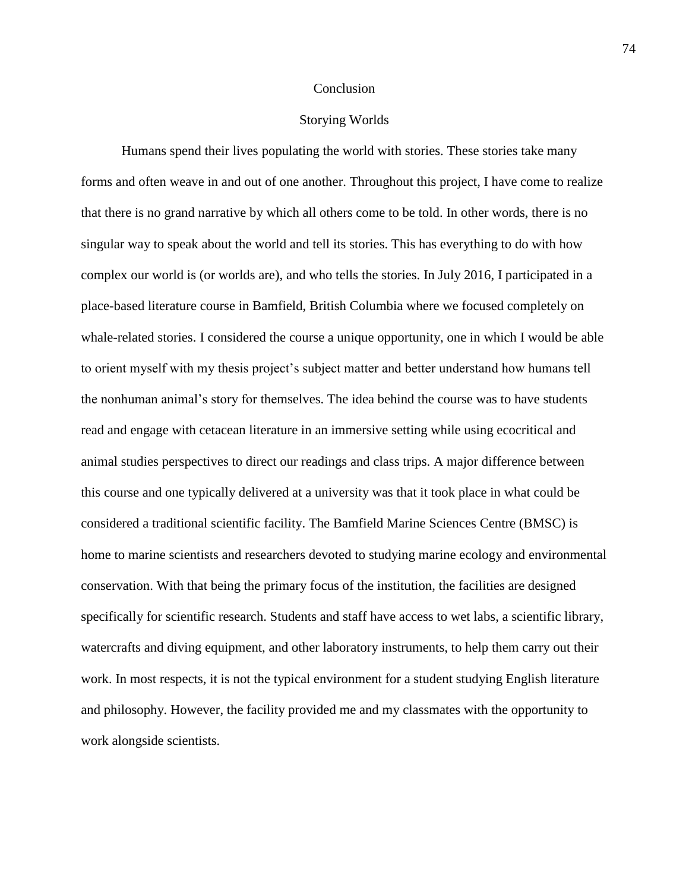#### Conclusion

### Storying Worlds

Humans spend their lives populating the world with stories. These stories take many forms and often weave in and out of one another. Throughout this project, I have come to realize that there is no grand narrative by which all others come to be told. In other words, there is no singular way to speak about the world and tell its stories. This has everything to do with how complex our world is (or worlds are), and who tells the stories. In July 2016, I participated in a place-based literature course in Bamfield, British Columbia where we focused completely on whale-related stories. I considered the course a unique opportunity, one in which I would be able to orient myself with my thesis project's subject matter and better understand how humans tell the nonhuman animal's story for themselves. The idea behind the course was to have students read and engage with cetacean literature in an immersive setting while using ecocritical and animal studies perspectives to direct our readings and class trips. A major difference between this course and one typically delivered at a university was that it took place in what could be considered a traditional scientific facility. The Bamfield Marine Sciences Centre (BMSC) is home to marine scientists and researchers devoted to studying marine ecology and environmental conservation. With that being the primary focus of the institution, the facilities are designed specifically for scientific research. Students and staff have access to wet labs, a scientific library, watercrafts and diving equipment, and other laboratory instruments, to help them carry out their work. In most respects, it is not the typical environment for a student studying English literature and philosophy. However, the facility provided me and my classmates with the opportunity to work alongside scientists.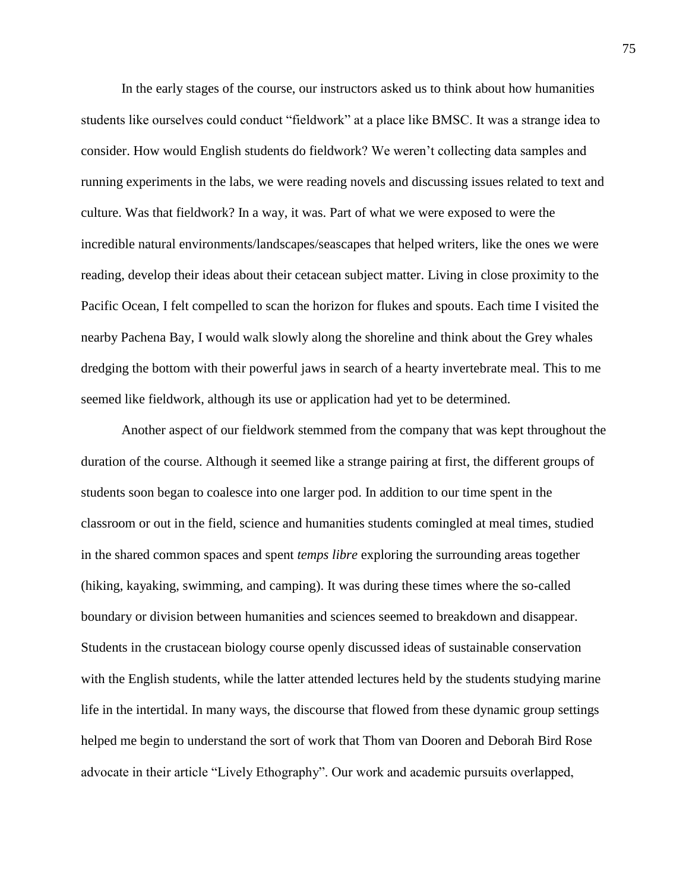In the early stages of the course, our instructors asked us to think about how humanities students like ourselves could conduct "fieldwork" at a place like BMSC. It was a strange idea to consider. How would English students do fieldwork? We weren't collecting data samples and running experiments in the labs, we were reading novels and discussing issues related to text and culture. Was that fieldwork? In a way, it was. Part of what we were exposed to were the incredible natural environments/landscapes/seascapes that helped writers, like the ones we were reading, develop their ideas about their cetacean subject matter. Living in close proximity to the Pacific Ocean, I felt compelled to scan the horizon for flukes and spouts. Each time I visited the nearby Pachena Bay, I would walk slowly along the shoreline and think about the Grey whales dredging the bottom with their powerful jaws in search of a hearty invertebrate meal. This to me seemed like fieldwork, although its use or application had yet to be determined.

Another aspect of our fieldwork stemmed from the company that was kept throughout the duration of the course. Although it seemed like a strange pairing at first, the different groups of students soon began to coalesce into one larger pod. In addition to our time spent in the classroom or out in the field, science and humanities students comingled at meal times, studied in the shared common spaces and spent *temps libre* exploring the surrounding areas together (hiking, kayaking, swimming, and camping). It was during these times where the so-called boundary or division between humanities and sciences seemed to breakdown and disappear. Students in the crustacean biology course openly discussed ideas of sustainable conservation with the English students, while the latter attended lectures held by the students studying marine life in the intertidal. In many ways, the discourse that flowed from these dynamic group settings helped me begin to understand the sort of work that Thom van Dooren and Deborah Bird Rose advocate in their article "Lively Ethography". Our work and academic pursuits overlapped,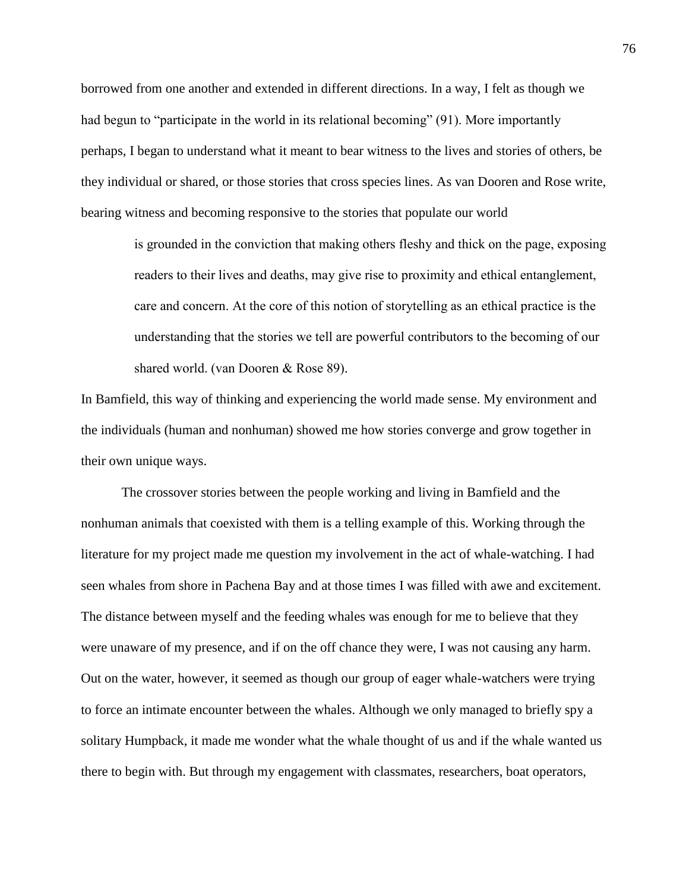borrowed from one another and extended in different directions. In a way, I felt as though we had begun to "participate in the world in its relational becoming" (91). More importantly perhaps, I began to understand what it meant to bear witness to the lives and stories of others, be they individual or shared, or those stories that cross species lines. As van Dooren and Rose write, bearing witness and becoming responsive to the stories that populate our world

> is grounded in the conviction that making others fleshy and thick on the page, exposing readers to their lives and deaths, may give rise to proximity and ethical entanglement, care and concern. At the core of this notion of storytelling as an ethical practice is the understanding that the stories we tell are powerful contributors to the becoming of our shared world. (van Dooren & Rose 89).

In Bamfield, this way of thinking and experiencing the world made sense. My environment and the individuals (human and nonhuman) showed me how stories converge and grow together in their own unique ways.

The crossover stories between the people working and living in Bamfield and the nonhuman animals that coexisted with them is a telling example of this. Working through the literature for my project made me question my involvement in the act of whale-watching. I had seen whales from shore in Pachena Bay and at those times I was filled with awe and excitement. The distance between myself and the feeding whales was enough for me to believe that they were unaware of my presence, and if on the off chance they were, I was not causing any harm. Out on the water, however, it seemed as though our group of eager whale-watchers were trying to force an intimate encounter between the whales. Although we only managed to briefly spy a solitary Humpback, it made me wonder what the whale thought of us and if the whale wanted us there to begin with. But through my engagement with classmates, researchers, boat operators,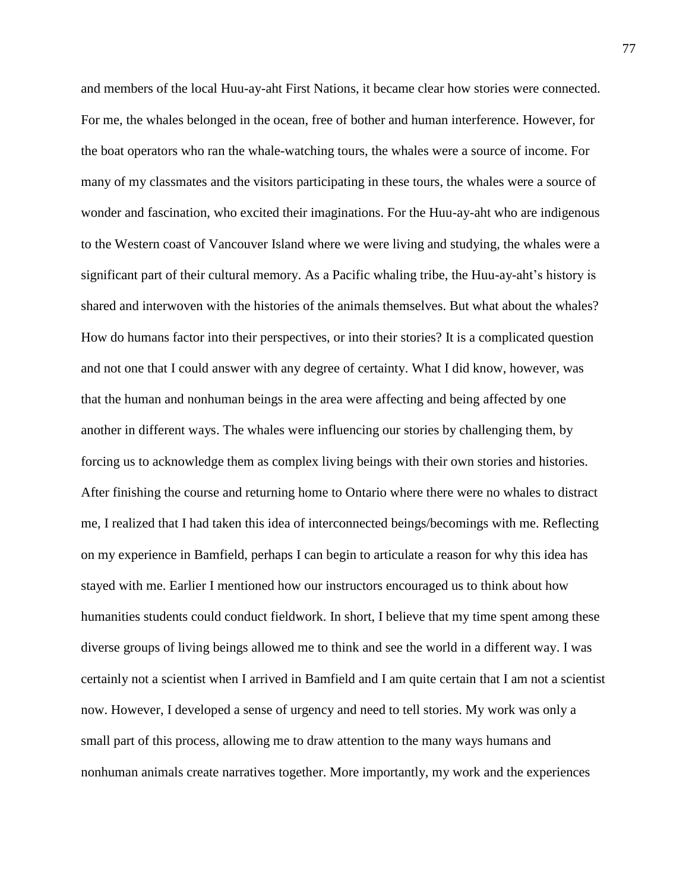and members of the local Huu-ay-aht First Nations, it became clear how stories were connected. For me, the whales belonged in the ocean, free of bother and human interference. However, for the boat operators who ran the whale-watching tours, the whales were a source of income. For many of my classmates and the visitors participating in these tours, the whales were a source of wonder and fascination, who excited their imaginations. For the Huu-ay-aht who are indigenous to the Western coast of Vancouver Island where we were living and studying, the whales were a significant part of their cultural memory. As a Pacific whaling tribe, the Huu-ay-aht's history is shared and interwoven with the histories of the animals themselves. But what about the whales? How do humans factor into their perspectives, or into their stories? It is a complicated question and not one that I could answer with any degree of certainty. What I did know, however, was that the human and nonhuman beings in the area were affecting and being affected by one another in different ways. The whales were influencing our stories by challenging them, by forcing us to acknowledge them as complex living beings with their own stories and histories. After finishing the course and returning home to Ontario where there were no whales to distract me, I realized that I had taken this idea of interconnected beings/becomings with me. Reflecting on my experience in Bamfield, perhaps I can begin to articulate a reason for why this idea has stayed with me. Earlier I mentioned how our instructors encouraged us to think about how humanities students could conduct fieldwork. In short, I believe that my time spent among these diverse groups of living beings allowed me to think and see the world in a different way. I was certainly not a scientist when I arrived in Bamfield and I am quite certain that I am not a scientist now. However, I developed a sense of urgency and need to tell stories. My work was only a small part of this process, allowing me to draw attention to the many ways humans and nonhuman animals create narratives together. More importantly, my work and the experiences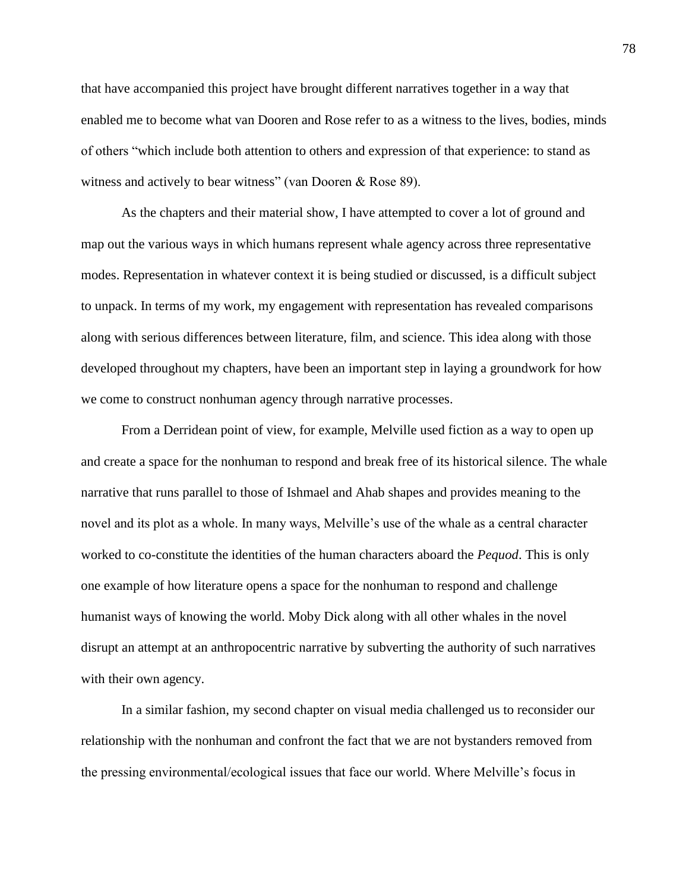that have accompanied this project have brought different narratives together in a way that enabled me to become what van Dooren and Rose refer to as a witness to the lives, bodies, minds of others "which include both attention to others and expression of that experience: to stand as witness and actively to bear witness" (van Dooren & Rose 89).

As the chapters and their material show, I have attempted to cover a lot of ground and map out the various ways in which humans represent whale agency across three representative modes. Representation in whatever context it is being studied or discussed, is a difficult subject to unpack. In terms of my work, my engagement with representation has revealed comparisons along with serious differences between literature, film, and science. This idea along with those developed throughout my chapters, have been an important step in laying a groundwork for how we come to construct nonhuman agency through narrative processes.

From a Derridean point of view, for example, Melville used fiction as a way to open up and create a space for the nonhuman to respond and break free of its historical silence. The whale narrative that runs parallel to those of Ishmael and Ahab shapes and provides meaning to the novel and its plot as a whole. In many ways, Melville's use of the whale as a central character worked to co-constitute the identities of the human characters aboard the *Pequod*. This is only one example of how literature opens a space for the nonhuman to respond and challenge humanist ways of knowing the world. Moby Dick along with all other whales in the novel disrupt an attempt at an anthropocentric narrative by subverting the authority of such narratives with their own agency.

In a similar fashion, my second chapter on visual media challenged us to reconsider our relationship with the nonhuman and confront the fact that we are not bystanders removed from the pressing environmental/ecological issues that face our world. Where Melville's focus in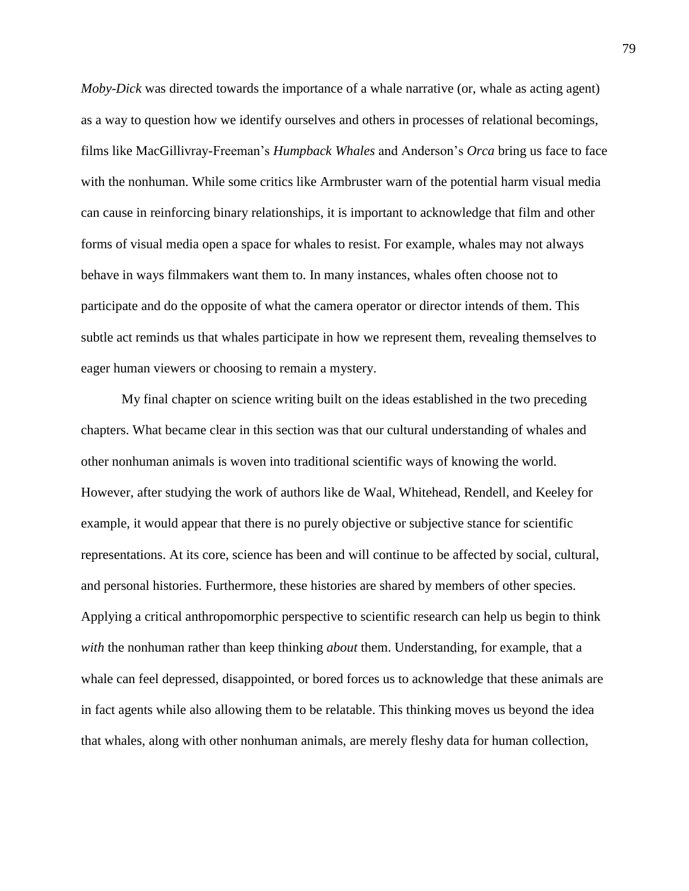*Moby-Dick* was directed towards the importance of a whale narrative (or, whale as acting agent) as a way to question how we identify ourselves and others in processes of relational becomings, films like MacGillivray-Freeman's *Humpback Whales* and Anderson's *Orca* bring us face to face with the nonhuman. While some critics like Armbruster warn of the potential harm visual media can cause in reinforcing binary relationships, it is important to acknowledge that film and other forms of visual media open a space for whales to resist. For example, whales may not always behave in ways filmmakers want them to. In many instances, whales often choose not to participate and do the opposite of what the camera operator or director intends of them. This subtle act reminds us that whales participate in how we represent them, revealing themselves to eager human viewers or choosing to remain a mystery.

My final chapter on science writing built on the ideas established in the two preceding chapters. What became clear in this section was that our cultural understanding of whales and other nonhuman animals is woven into traditional scientific ways of knowing the world. However, after studying the work of authors like de Waal, Whitehead, Rendell, and Keeley for example, it would appear that there is no purely objective or subjective stance for scientific representations. At its core, science has been and will continue to be affected by social, cultural, and personal histories. Furthermore, these histories are shared by members of other species. Applying a critical anthropomorphic perspective to scientific research can help us begin to think *with* the nonhuman rather than keep thinking *about* them. Understanding, for example, that a whale can feel depressed, disappointed, or bored forces us to acknowledge that these animals are in fact agents while also allowing them to be relatable. This thinking moves us beyond the idea that whales, along with other nonhuman animals, are merely fleshy data for human collection,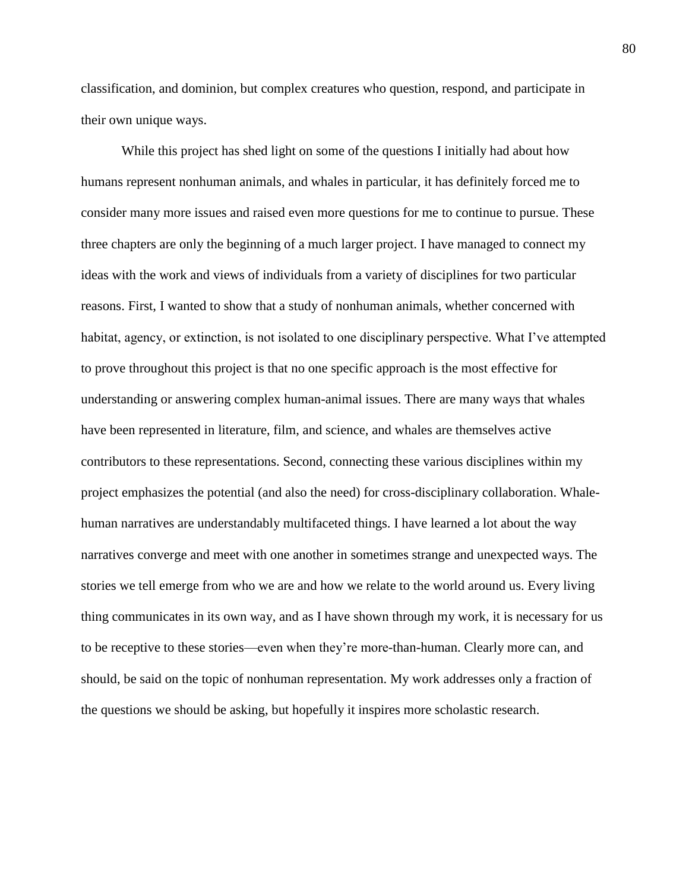classification, and dominion, but complex creatures who question, respond, and participate in their own unique ways.

While this project has shed light on some of the questions I initially had about how humans represent nonhuman animals, and whales in particular, it has definitely forced me to consider many more issues and raised even more questions for me to continue to pursue. These three chapters are only the beginning of a much larger project. I have managed to connect my ideas with the work and views of individuals from a variety of disciplines for two particular reasons. First, I wanted to show that a study of nonhuman animals, whether concerned with habitat, agency, or extinction, is not isolated to one disciplinary perspective. What I've attempted to prove throughout this project is that no one specific approach is the most effective for understanding or answering complex human-animal issues. There are many ways that whales have been represented in literature, film, and science, and whales are themselves active contributors to these representations. Second, connecting these various disciplines within my project emphasizes the potential (and also the need) for cross-disciplinary collaboration. Whalehuman narratives are understandably multifaceted things. I have learned a lot about the way narratives converge and meet with one another in sometimes strange and unexpected ways. The stories we tell emerge from who we are and how we relate to the world around us. Every living thing communicates in its own way, and as I have shown through my work, it is necessary for us to be receptive to these stories—even when they're more-than-human. Clearly more can, and should, be said on the topic of nonhuman representation. My work addresses only a fraction of the questions we should be asking, but hopefully it inspires more scholastic research.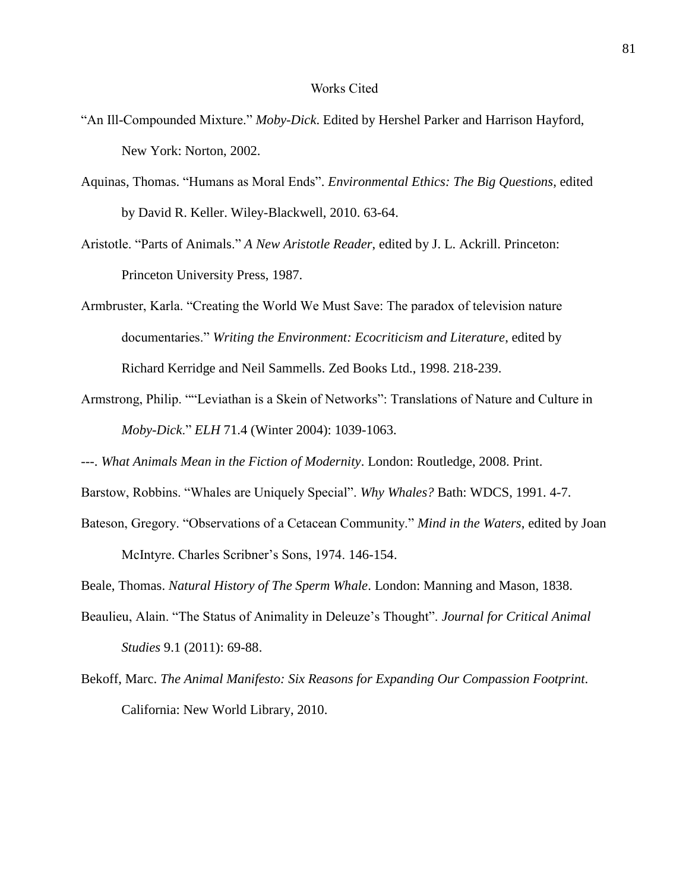#### Works Cited

- "An Ill-Compounded Mixture." *Moby-Dick*. Edited by Hershel Parker and Harrison Hayford, New York: Norton, 2002.
- Aquinas, Thomas. "Humans as Moral Ends". *Environmental Ethics: The Big Questions*, edited by David R. Keller. Wiley-Blackwell, 2010. 63-64.
- Aristotle. "Parts of Animals." *A New Aristotle Reader*, edited by J. L. Ackrill. Princeton: Princeton University Press, 1987.
- Armbruster, Karla. "Creating the World We Must Save: The paradox of television nature documentaries." *Writing the Environment: Ecocriticism and Literature*, edited by Richard Kerridge and Neil Sammells. Zed Books Ltd., 1998. 218-239.
- Armstrong, Philip. ""Leviathan is a Skein of Networks": Translations of Nature and Culture in *Moby-Dick*." *ELH* 71.4 (Winter 2004): 1039-1063.
- ---. *What Animals Mean in the Fiction of Modernity*. London: Routledge, 2008. Print.
- Barstow, Robbins. "Whales are Uniquely Special". *Why Whales?* Bath: WDCS, 1991. 4-7.
- Bateson, Gregory. "Observations of a Cetacean Community." *Mind in the Waters*, edited by Joan McIntyre. Charles Scribner's Sons, 1974. 146-154.
- Beale, Thomas. *Natural History of The Sperm Whale*. London: Manning and Mason, 1838.
- Beaulieu, Alain. "The Status of Animality in Deleuze's Thought". *Journal for Critical Animal Studies* 9.1 (2011): 69-88.
- Bekoff, Marc. *The Animal Manifesto: Six Reasons for Expanding Our Compassion Footprint*. California: New World Library, 2010.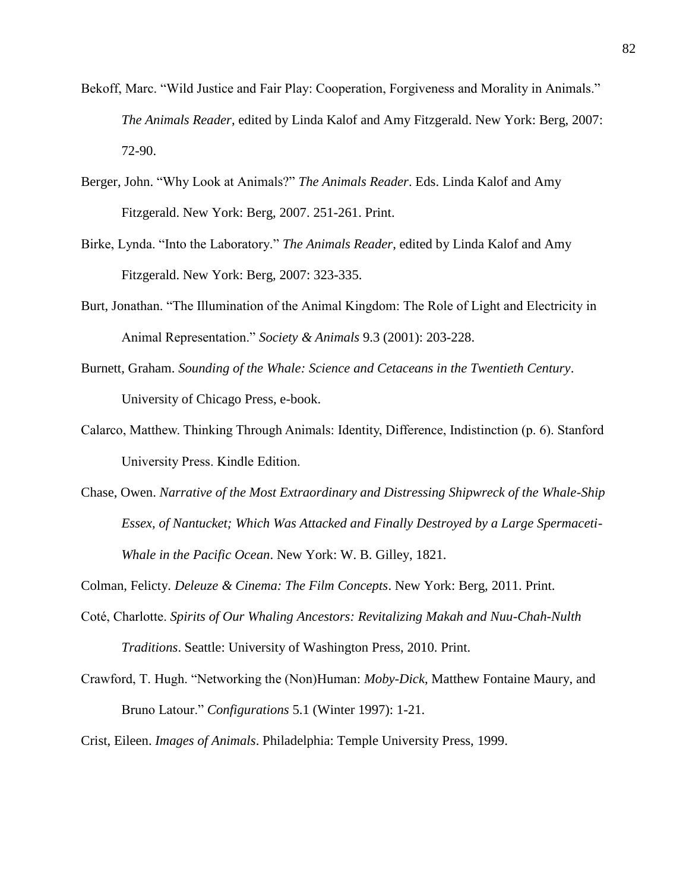- Bekoff, Marc. "Wild Justice and Fair Play: Cooperation, Forgiveness and Morality in Animals." *The Animals Reader*, edited by Linda Kalof and Amy Fitzgerald. New York: Berg, 2007: 72-90.
- Berger, John. "Why Look at Animals?" *The Animals Reader*. Eds. Linda Kalof and Amy Fitzgerald. New York: Berg, 2007. 251-261. Print.
- Birke, Lynda. "Into the Laboratory." *The Animals Reader*, edited by Linda Kalof and Amy Fitzgerald. New York: Berg, 2007: 323-335.
- Burt, Jonathan. "The Illumination of the Animal Kingdom: The Role of Light and Electricity in Animal Representation." *Society & Animals* 9.3 (2001): 203-228.
- Burnett, Graham. *Sounding of the Whale: Science and Cetaceans in the Twentieth Century*. University of Chicago Press, e-book.
- Calarco, Matthew. Thinking Through Animals: Identity, Difference, Indistinction (p. 6). Stanford University Press. Kindle Edition.
- Chase, Owen. *Narrative of the Most Extraordinary and Distressing Shipwreck of the Whale-Ship Essex, of Nantucket; Which Was Attacked and Finally Destroyed by a Large Spermaceti-Whale in the Pacific Ocean*. New York: W. B. Gilley, 1821.

Colman, Felicty. *Deleuze & Cinema: The Film Concepts*. New York: Berg, 2011. Print.

- Coté, Charlotte. *Spirits of Our Whaling Ancestors: Revitalizing Makah and Nuu-Chah-Nulth Traditions*. Seattle: University of Washington Press, 2010. Print.
- Crawford, T. Hugh. "Networking the (Non)Human: *Moby-Dick*, Matthew Fontaine Maury, and Bruno Latour." *Configurations* 5.1 (Winter 1997): 1-21.

Crist, Eileen. *Images of Animals*. Philadelphia: Temple University Press, 1999.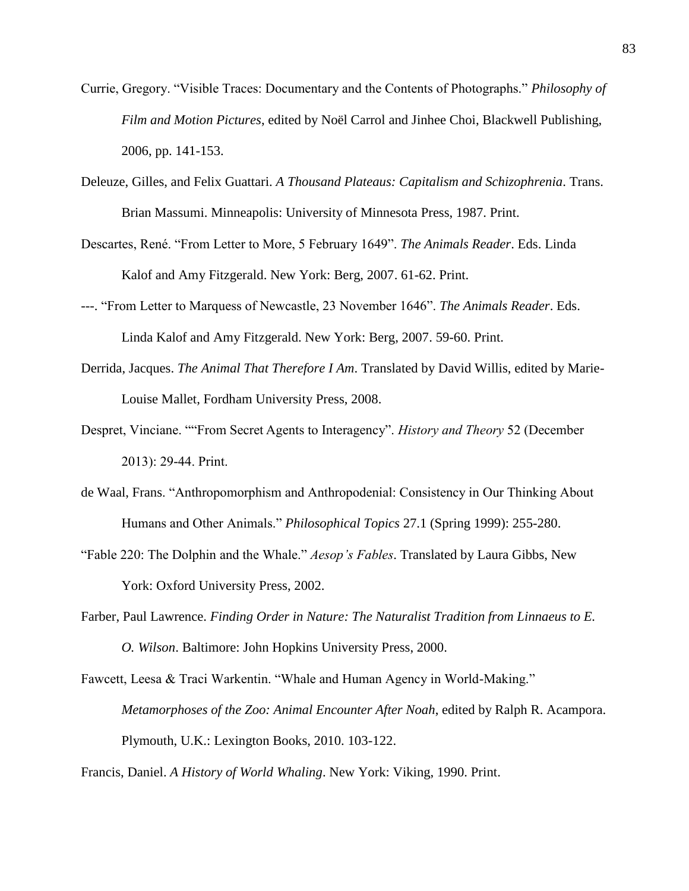- Currie, Gregory. "Visible Traces: Documentary and the Contents of Photographs." *Philosophy of Film and Motion Pictures*, edited by Noël Carrol and Jinhee Choi, Blackwell Publishing, 2006, pp. 141-153.
- Deleuze, Gilles, and Felix Guattari. *A Thousand Plateaus: Capitalism and Schizophrenia*. Trans. Brian Massumi. Minneapolis: University of Minnesota Press, 1987. Print.
- Descartes, René. "From Letter to More, 5 February 1649". *The Animals Reader*. Eds. Linda Kalof and Amy Fitzgerald. New York: Berg, 2007. 61-62. Print.
- ---. "From Letter to Marquess of Newcastle, 23 November 1646". *The Animals Reader*. Eds. Linda Kalof and Amy Fitzgerald. New York: Berg, 2007. 59-60. Print.
- Derrida, Jacques. *The Animal That Therefore I Am*. Translated by David Willis, edited by Marie-Louise Mallet, Fordham University Press, 2008.
- Despret, Vinciane. ""From Secret Agents to Interagency". *History and Theory* 52 (December 2013): 29-44. Print.
- de Waal, Frans. "Anthropomorphism and Anthropodenial: Consistency in Our Thinking About Humans and Other Animals." *Philosophical Topics* 27.1 (Spring 1999): 255-280.
- "Fable 220: The Dolphin and the Whale." *Aesop's Fables*. Translated by Laura Gibbs, New York: Oxford University Press, 2002.
- Farber, Paul Lawrence. *Finding Order in Nature: The Naturalist Tradition from Linnaeus to E. O. Wilson*. Baltimore: John Hopkins University Press, 2000.
- Fawcett, Leesa & Traci Warkentin. "Whale and Human Agency in World-Making." *Metamorphoses of the Zoo: Animal Encounter After Noah*, edited by Ralph R. Acampora. Plymouth, U.K.: Lexington Books, 2010. 103-122.

Francis, Daniel. *A History of World Whaling*. New York: Viking, 1990. Print.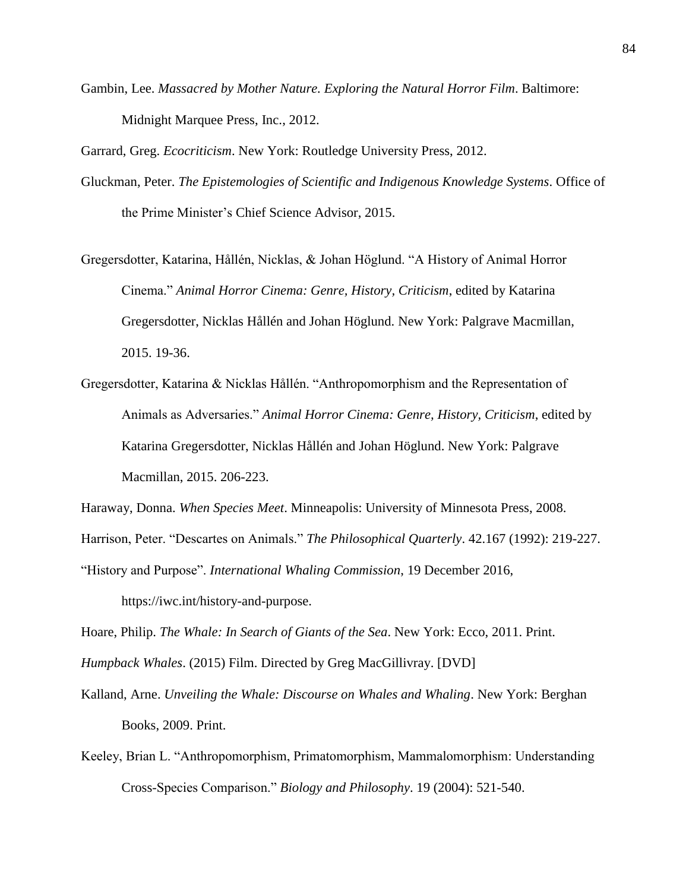Gambin, Lee. *Massacred by Mother Nature. Exploring the Natural Horror Film*. Baltimore: Midnight Marquee Press, Inc., 2012.

Garrard, Greg. *Ecocriticism*. New York: Routledge University Press, 2012.

- Gluckman, Peter. *The Epistemologies of Scientific and Indigenous Knowledge Systems*. Office of the Prime Minister's Chief Science Advisor, 2015.
- Gregersdotter, Katarina, Hållén, Nicklas, & Johan Höglund. "A History of Animal Horror Cinema." *Animal Horror Cinema: Genre, History, Criticism*, edited by Katarina Gregersdotter, Nicklas Hållén and Johan Höglund. New York: Palgrave Macmillan, 2015. 19-36.
- Gregersdotter, Katarina & Nicklas Hållén. "Anthropomorphism and the Representation of Animals as Adversaries." *Animal Horror Cinema: Genre, History, Criticism*, edited by Katarina Gregersdotter, Nicklas Hållén and Johan Höglund. New York: Palgrave Macmillan, 2015. 206-223.

Haraway, Donna. *When Species Meet*. Minneapolis: University of Minnesota Press, 2008.

Harrison, Peter. "Descartes on Animals." *The Philosophical Quarterly*. 42.167 (1992): 219-227.

"History and Purpose". *International Whaling Commission*, 19 December 2016,

https://iwc.int/history-and-purpose.

Hoare, Philip. *The Whale: In Search of Giants of the Sea*. New York: Ecco, 2011. Print.

*Humpback Whales*. (2015) Film. Directed by Greg MacGillivray. [DVD]

- Kalland, Arne. *Unveiling the Whale: Discourse on Whales and Whaling*. New York: Berghan Books, 2009. Print.
- Keeley, Brian L. "Anthropomorphism, Primatomorphism, Mammalomorphism: Understanding Cross-Species Comparison." *Biology and Philosophy*. 19 (2004): 521-540.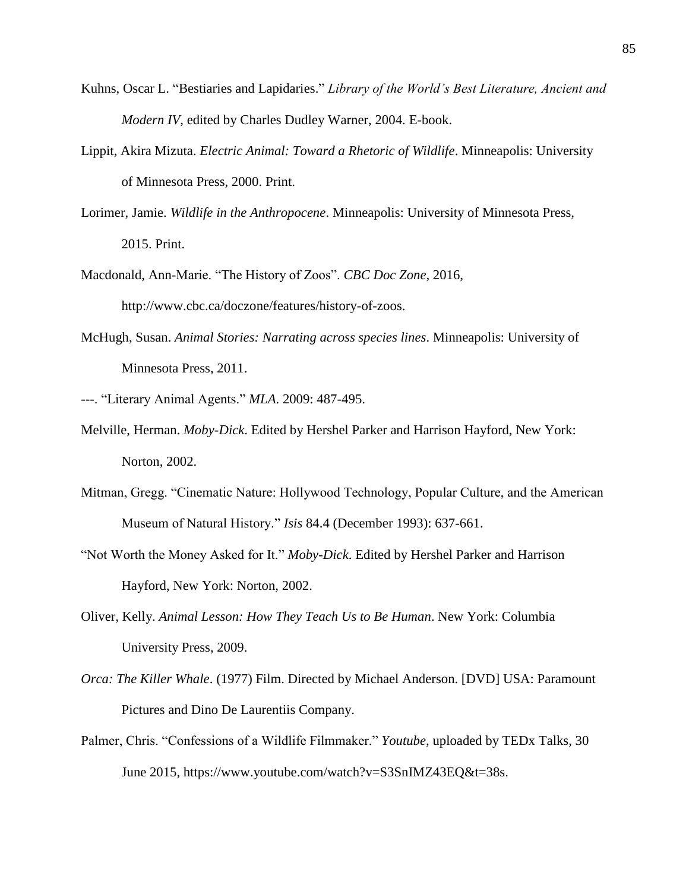- Kuhns, Oscar L. "Bestiaries and Lapidaries." *Library of the World's Best Literature, Ancient and Modern IV*, edited by Charles Dudley Warner, 2004. E-book.
- Lippit, Akira Mizuta. *Electric Animal: Toward a Rhetoric of Wildlife*. Minneapolis: University of Minnesota Press, 2000. Print.
- Lorimer, Jamie. *Wildlife in the Anthropocene*. Minneapolis: University of Minnesota Press, 2015. Print.
- Macdonald, Ann-Marie. "The History of Zoos". *CBC Doc Zone*, 2016, http://www.cbc.ca/doczone/features/history-of-zoos.
- McHugh, Susan. *Animal Stories: Narrating across species lines*. Minneapolis: University of Minnesota Press, 2011.
- ---. "Literary Animal Agents." *MLA*. 2009: 487-495.
- Melville, Herman. *Moby-Dick*. Edited by Hershel Parker and Harrison Hayford, New York: Norton, 2002.
- Mitman, Gregg. "Cinematic Nature: Hollywood Technology, Popular Culture, and the American Museum of Natural History." *Isis* 84.4 (December 1993): 637-661.
- "Not Worth the Money Asked for It." *Moby-Dick*. Edited by Hershel Parker and Harrison Hayford, New York: Norton, 2002.
- Oliver, Kelly. *Animal Lesson: How They Teach Us to Be Human*. New York: Columbia University Press, 2009.
- *Orca: The Killer Whale*. (1977) Film. Directed by Michael Anderson. [DVD] USA: Paramount Pictures and Dino De Laurentiis Company.
- Palmer, Chris. "Confessions of a Wildlife Filmmaker." *Youtube*, uploaded by TEDx Talks, 30 June 2015, https://www.youtube.com/watch?v=S3SnIMZ43EQ&t=38s.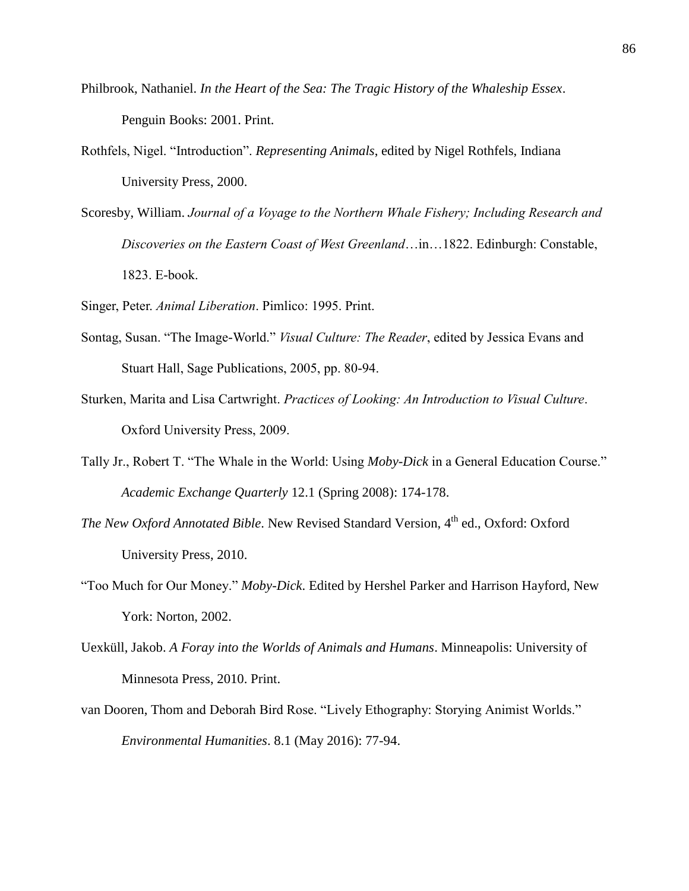- Philbrook, Nathaniel. *In the Heart of the Sea: The Tragic History of the Whaleship Essex*. Penguin Books: 2001. Print.
- Rothfels, Nigel. "Introduction". *Representing Animals*, edited by Nigel Rothfels, Indiana University Press, 2000.
- Scoresby, William. *Journal of a Voyage to the Northern Whale Fishery; Including Research and Discoveries on the Eastern Coast of West Greenland*…in…1822. Edinburgh: Constable, 1823. E-book.
- Singer, Peter. *Animal Liberation*. Pimlico: 1995. Print.
- Sontag, Susan. "The Image-World." *Visual Culture: The Reader*, edited by Jessica Evans and Stuart Hall, Sage Publications, 2005, pp. 80-94.
- Sturken, Marita and Lisa Cartwright. *Practices of Looking: An Introduction to Visual Culture*. Oxford University Press, 2009.
- Tally Jr., Robert T. "The Whale in the World: Using *Moby-Dick* in a General Education Course." *Academic Exchange Quarterly* 12.1 (Spring 2008): 174-178.
- *The New Oxford Annotated Bible*. New Revised Standard Version, 4<sup>th</sup> ed., Oxford: Oxford University Press, 2010.
- "Too Much for Our Money." *Moby-Dick*. Edited by Hershel Parker and Harrison Hayford, New York: Norton, 2002.
- Uexküll, Jakob. *A Foray into the Worlds of Animals and Humans*. Minneapolis: University of Minnesota Press, 2010. Print.
- van Dooren, Thom and Deborah Bird Rose. "Lively Ethography: Storying Animist Worlds." *Environmental Humanities*. 8.1 (May 2016): 77-94.